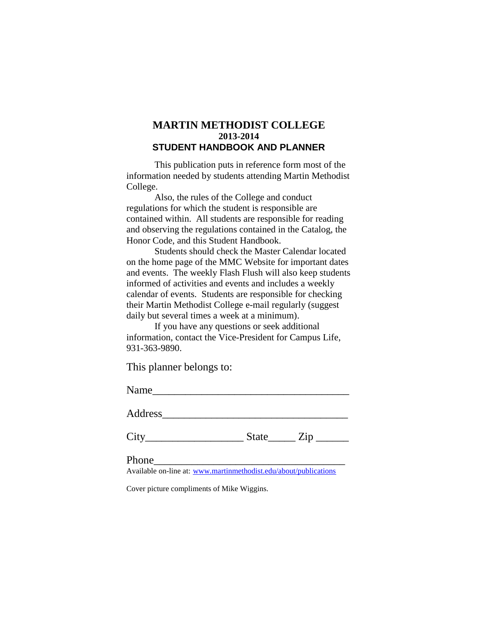# **MARTIN METHODIST COLLEGE 2013-2014 STUDENT HANDBOOK AND PLANNER**

This publication puts in reference form most of the information needed by students attending Martin Methodist College.

Also, the rules of the College and conduct regulations for which the student is responsible are contained within. All students are responsible for reading and observing the regulations contained in the Catalog, the Honor Code, and this Student Handbook.

Students should check the Master Calendar located on the home page of the MMC Website for important dates and events. The weekly Flash Flush will also keep students informed of activities and events and includes a weekly calendar of events. Students are responsible for checking their Martin Methodist College e-mail regularly (suggest daily but several times a week at a minimum).

If you have any questions or seek additional information, contact the Vice-President for Campus Life, 931-363-9890.

This planner belongs to:

Name\_\_\_\_\_\_\_\_\_\_\_\_\_\_\_\_\_\_\_\_\_\_\_\_\_\_\_\_\_\_\_\_\_\_\_\_

Address\_\_\_\_\_\_\_\_\_\_\_\_\_\_\_\_\_\_\_\_\_\_\_\_\_\_\_\_\_\_\_\_\_\_

 $City$   $City$   $State$   $Zip$   $Line$ 

Phone\_\_\_\_\_\_\_\_\_\_\_\_\_\_\_\_\_\_\_\_\_\_\_\_\_\_\_\_\_\_\_\_\_\_\_

Available on-line at: [www.martinmethodist.edu/about/publications](http://www.martinmethodist.edu/about/publications)

Cover picture compliments of Mike Wiggins.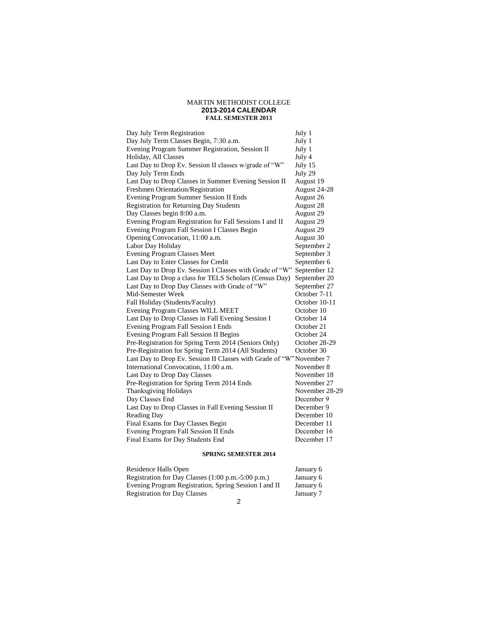#### MARTIN METHODIST COLLEGE **2013-2014 CALENDAR FALL SEMESTER 2013**

| Day July Term Registration                                          | July 1         |
|---------------------------------------------------------------------|----------------|
| Day July Term Classes Begin, 7:30 a.m.                              | July 1         |
| Evening Program Summer Registration, Session II                     | July 1         |
| Holiday, All Classes                                                | July 4         |
| Last Day to Drop Ev. Session II classes w/grade of "W"              | July 15        |
| Day July Term Ends                                                  | July 29        |
| Last Day to Drop Classes in Summer Evening Session II               | August 19      |
| Freshmen Orientation/Registration                                   | August 24-28   |
| Evening Program Summer Session II Ends                              | August 26      |
| <b>Registration for Returning Day Students</b>                      | August 28      |
| Day Classes begin 8:00 a.m.                                         | August 29      |
| Evening Program Registration for Fall Sessions I and II             | August 29      |
| Evening Program Fall Session I Classes Begin                        | August 29      |
| Opening Convocation, 11:00 a.m.                                     | August 30      |
| Labor Day Holiday                                                   | September 2    |
| <b>Evening Program Classes Meet</b>                                 | September 3    |
| Last Day to Enter Classes for Credit                                | September 6    |
| Last Day to Drop Ev. Session I Classes with Grade of "W"            | September 12   |
| Last Day to Drop a class for TELS Scholars (Census Day)             | September 20   |
| Last Day to Drop Day Classes with Grade of "W"                      | September 27   |
| Mid-Semester Week                                                   | October 7-11   |
| Fall Holiday (Students/Faculty)                                     | October 10-11  |
| Evening Program Classes WILL MEET                                   | October 10     |
| Last Day to Drop Classes in Fall Evening Session I                  | October 14     |
| Evening Program Fall Session I Ends                                 | October 21     |
| Evening Program Fall Session II Begins                              | October 24     |
| Pre-Registration for Spring Term 2014 (Seniors Only)                | October 28-29  |
| Pre-Registration for Spring Term 2014 (All Students)                | October 30     |
| Last Day to Drop Ev. Session II Classes with Grade of "W"November 7 |                |
| International Convocation, 11:00 a.m.                               | November 8     |
| Last Day to Drop Day Classes                                        | November 18    |
| Pre-Registration for Spring Term 2014 Ends                          | November 27    |
| Thanksgiving Holidays                                               | November 28-29 |
| Day Classes End                                                     | December 9     |
| Last Day to Drop Classes in Fall Evening Session II                 | December 9     |
| Reading Day                                                         | December 10    |
| Final Exams for Day Classes Begin                                   | December 11    |
| Evening Program Fall Session II Ends                                | December 16    |
| Final Exams for Day Students End                                    | December 17    |

### **SPRING SEMESTER 2014**

| Residence Halls Open                                  | January 6 |
|-------------------------------------------------------|-----------|
| Registration for Day Classes (1:00 p.m.-5:00 p.m.)    | January 6 |
| Evening Program Registration, Spring Session I and II | January 6 |
| <b>Registration for Day Classes</b>                   | January 7 |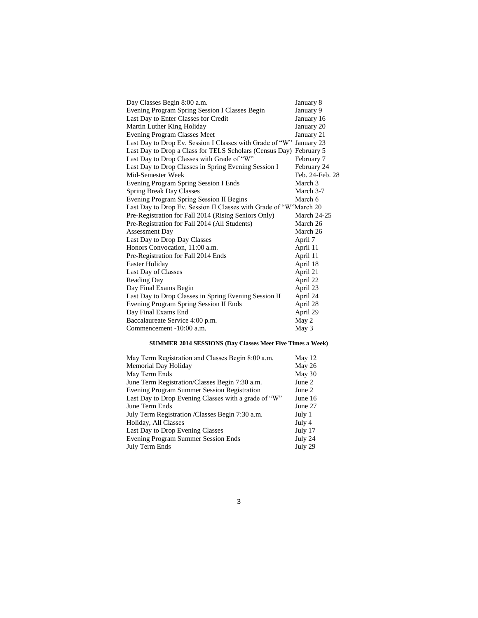| Day Classes Begin 8:00 a.m.                                        | January 8          |
|--------------------------------------------------------------------|--------------------|
| Evening Program Spring Session I Classes Begin                     | January 9          |
| Last Day to Enter Classes for Credit                               | January 16         |
| Martin Luther King Holiday                                         | January 20         |
| <b>Evening Program Classes Meet</b>                                | January 21         |
| Last Day to Drop Ev. Session I Classes with Grade of "W"           | January 23         |
| Last Day to Drop a Class for TELS Scholars (Census Day) February 5 |                    |
| Last Day to Drop Classes with Grade of "W"                         | February 7         |
| Last Day to Drop Classes in Spring Evening Session I               | February 24        |
| Mid-Semester Week                                                  | Feb. 24-Feb. 28    |
| Evening Program Spring Session I Ends                              | March 3            |
| <b>Spring Break Day Classes</b>                                    | March 3-7          |
| Evening Program Spring Session II Begins                           | March 6            |
| Last Day to Drop Ev. Session II Classes with Grade of "W"March 20  |                    |
| Pre-Registration for Fall 2014 (Rising Seniors Only)               | <b>March 24-25</b> |
| Pre-Registration for Fall 2014 (All Students)                      | March 26           |
| <b>Assessment Day</b>                                              | March 26           |
| Last Day to Drop Day Classes                                       | April 7            |
| Honors Convocation, 11:00 a.m.                                     | April 11           |
| Pre-Registration for Fall 2014 Ends                                | April 11           |
| Easter Holiday                                                     | April 18           |
| Last Day of Classes                                                | April 21           |
| <b>Reading Day</b>                                                 | April 22           |
| Day Final Exams Begin                                              | April 23           |
| Last Day to Drop Classes in Spring Evening Session II              | April 24           |
| Evening Program Spring Session II Ends                             | April 28           |
| Day Final Exams End                                                | April 29           |
| Baccalaureate Service 4:00 p.m.                                    | May 2              |
| Commencement -10:00 a.m.                                           | May 3              |

### **SUMMER 2014 SESSIONS (Day Classes Meet Five Times a Week)**

| May Term Registration and Classes Begin 8:00 a.m.    | May 12  |
|------------------------------------------------------|---------|
| Memorial Day Holiday                                 | May 26  |
| May Term Ends                                        | May 30  |
| June Term Registration/Classes Begin 7:30 a.m.       | June 2  |
| <b>Evening Program Summer Session Registration</b>   | June 2  |
| Last Day to Drop Evening Classes with a grade of "W" | June 16 |
| June Term Ends                                       | June 27 |
| July Term Registration / Classes Begin 7:30 a.m.     | July 1  |
| Holiday, All Classes                                 | July 4  |
| Last Day to Drop Evening Classes                     | July 17 |
| <b>Evening Program Summer Session Ends</b>           | July 24 |
| July Term Ends                                       | July 29 |
|                                                      |         |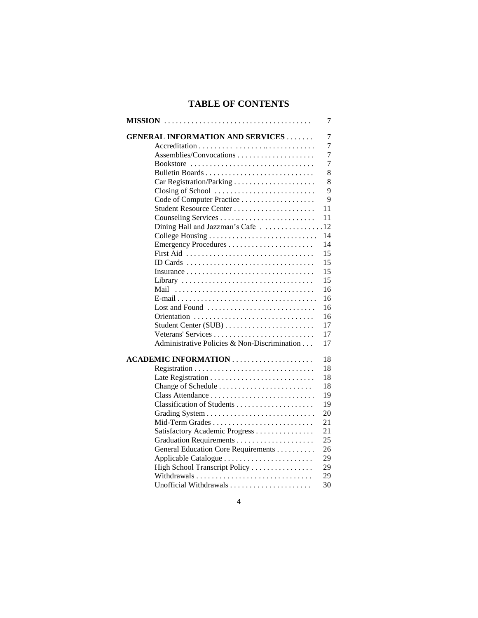# **TABLE OF CONTENTS**

|                                              | 7  |
|----------------------------------------------|----|
| <b>GENERAL INFORMATION AND SERVICES</b>      | 7  |
|                                              | 7  |
|                                              | 7  |
| Bookstore                                    | 7  |
|                                              | 8  |
|                                              | 8  |
| Closing of School                            | 9  |
| Code of Computer Practice                    | 9  |
| Student Resource Center                      | 11 |
|                                              | 11 |
| Dining Hall and Jazzman's Cafe 12            |    |
|                                              | 14 |
|                                              | 14 |
|                                              | 15 |
| ID Cards                                     | 15 |
|                                              | 15 |
| Library                                      | 15 |
| Mail                                         | 16 |
|                                              | 16 |
| Lost and Found                               | 16 |
|                                              | 16 |
| Student Center (SUB)                         | 17 |
| Veterans' Services                           | 17 |
| Administrative Policies & Non-Discrimination | 17 |
| <b>ACADEMIC INFORMATION</b>                  | 18 |
|                                              | 18 |
|                                              | 18 |
|                                              | 18 |
| Class Attendance                             | 19 |
| Classification of Students                   | 19 |
|                                              | 20 |
| Mid-Term Grades                              | 21 |
| Satisfactory Academic Progress               | 21 |
|                                              | 25 |
| General Education Core Requirements          | 26 |
| Applicable Catalogue                         | 29 |
| High School Transcript Policy                | 29 |
|                                              | 29 |
| Unofficial Withdrawals                       | 30 |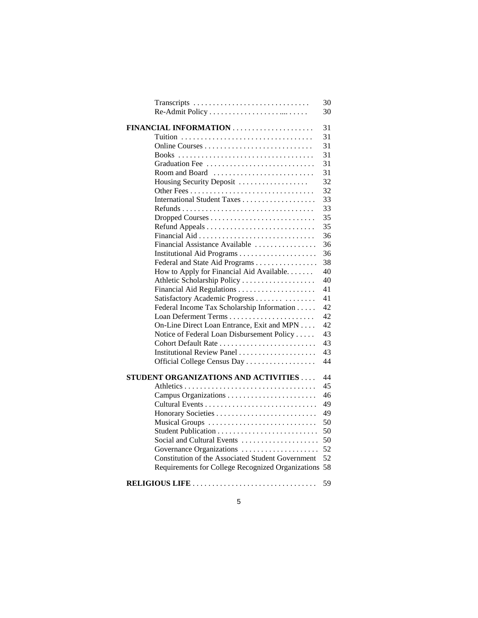| Transcripts                                       | 30 |
|---------------------------------------------------|----|
|                                                   | 30 |
| FINANCIAL INFORMATION                             | 31 |
|                                                   | 31 |
|                                                   | 31 |
|                                                   | 31 |
| Graduation Fee                                    | 31 |
| Room and Board                                    | 31 |
| Housing Security Deposit                          | 32 |
|                                                   | 32 |
|                                                   | 33 |
|                                                   | 33 |
|                                                   | 35 |
|                                                   | 35 |
|                                                   | 36 |
| Financial Assistance Available                    | 36 |
|                                                   | 36 |
| Federal and State Aid Programs                    | 38 |
| How to Apply for Financial Aid Available.         | 40 |
| Athletic Scholarship Policy                       | 40 |
|                                                   | 41 |
| Satisfactory Academic Progress                    | 41 |
| Federal Income Tax Scholarship Information        | 42 |
|                                                   | 42 |
| On-Line Direct Loan Entrance, Exit and MPN        | 42 |
| Notice of Federal Loan Disbursement Policy        | 43 |
| Cohort Default Rate                               | 43 |
| Institutional Review Panel                        | 43 |
| Official College Census Day                       | 44 |
|                                                   |    |
| STUDENT ORGANIZATIONS AND ACTIVITIES              | 44 |
|                                                   | 45 |
| Campus Organizations                              | 46 |
|                                                   | 49 |
|                                                   | 49 |
| Musical Groups                                    | 50 |
|                                                   | 50 |
| Social and Cultural Events                        | 50 |
| Governance Organizations                          | 52 |
| Constitution of the Associated Student Government | 52 |
| Requirements for College Recognized Organizations | 58 |
| RELIGIOUS LIFE                                    | 59 |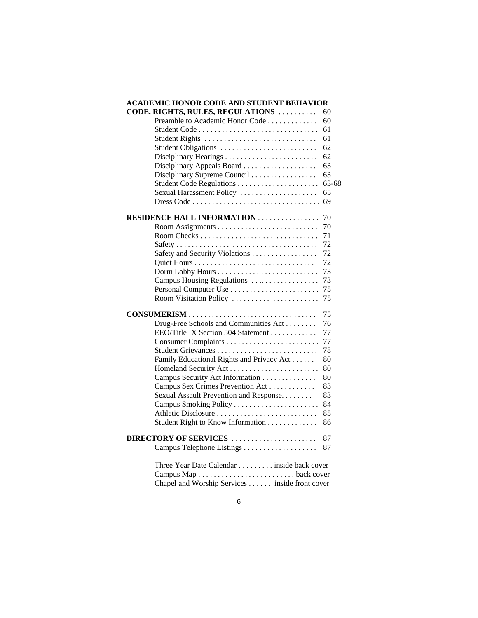#### **ACADEMIC HONOR CODE AND STUDENT BEHAVIOR**

| CODE, RIGHTS, RULES, REGULATIONS           | 60    |
|--------------------------------------------|-------|
| Preamble to Academic Honor Code            | 60    |
|                                            | 61    |
| Student Rights                             | 61    |
| Student Obligations                        | 62    |
|                                            | 62    |
| Disciplinary Appeals Board                 | 63    |
| Disciplinary Supreme Council               | 63    |
| Student Code Regulations                   | 63-68 |
| Sexual Harassment Policy                   | 65    |
| Dress Code                                 | 69    |
| <b>RESIDENCE HALL INFORMATION</b>          | 70    |
|                                            | 70    |
|                                            | 71    |
|                                            | 72    |
| Safety and Security Violations             | 72    |
|                                            | 72    |
|                                            | 73    |
| Campus Housing Regulations                 | 73    |
| Personal Computer Use                      | 75    |
| Room Visitation Policy                     | 75    |
|                                            | 75    |
| Drug-Free Schools and Communities Act      | 76    |
| EEO/Title IX Section 504 Statement         | 77    |
|                                            | 77    |
|                                            | 78    |
| Family Educational Rights and Privacy Act  | 80    |
|                                            | 80    |
| Campus Security Act Information            | 80    |
| Campus Sex Crimes Prevention Act           | 83    |
| Sexual Assault Prevention and Response     | 83    |
| Campus Smoking Policy                      | 84    |
|                                            | 85    |
| Student Right to Know Information          | 86    |
| DIRECTORY OF SERVICES                      | 87    |
|                                            | 87    |
| Three Year Date Calendar inside back cover |       |
|                                            |       |

Chapel and Worship Services . . . . . . inside front cover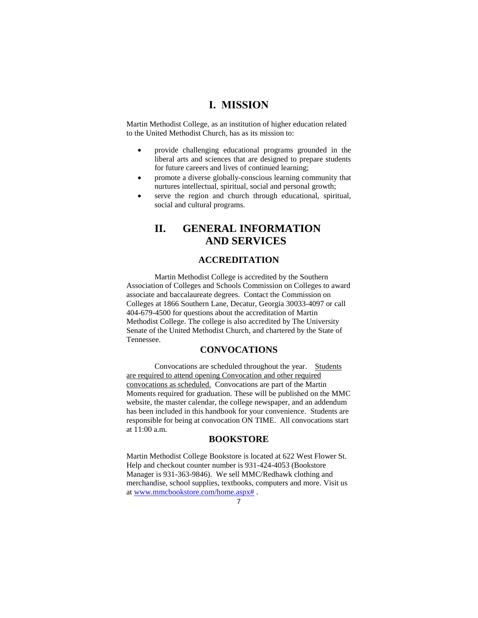# **I. MISSION**

Martin Methodist College, as an institution of higher education related to the United Methodist Church, has as its mission to:

- provide challenging educational programs grounded in the liberal arts and sciences that are designed to prepare students for future careers and lives of continued learning;
- promote a diverse globally-conscious learning community that nurtures intellectual, spiritual, social and personal growth;
- serve the region and church through educational, spiritual, social and cultural programs.

# **II. GENERAL INFORMATION AND SERVICES**

### **ACCREDITATION**

Martin Methodist College is accredited by the Southern Association of Colleges and Schools Commission on Colleges to award associate and baccalaureate degrees. Contact the Commission on Colleges at 1866 Southern Lane, Decatur, Georgia 30033-4097 or call 404-679-4500 for questions about the accreditation of Martin Methodist College. The college is also accredited by The University Senate of the United Methodist Church, and chartered by the State of Tennessee.

### **CONVOCATIONS**

Convocations are scheduled throughout the year. Students are required to attend opening Convocation and other required convocations as scheduled. Convocations are part of the Martin Moments required for graduation. These will be published on the MMC website, the master calendar, the college newspaper, and an addendum has been included in this handbook for your convenience. Students are responsible for being at convocation ON TIME. All convocations start at 11:00 a.m.

### **BOOKSTORE**

Martin Methodist College Bookstore is located at 622 West Flower St. Help and checkout counter number is 931-424-4053 (Bookstore Manager is 931-363-9846). We sell MMC/Redhawk clothing and merchandise, school supplies, textbooks, computers and more. Visit us a[t www.mmcbookstore.com/home.aspx#](http://www.mmcbookstore.com/home.aspx) .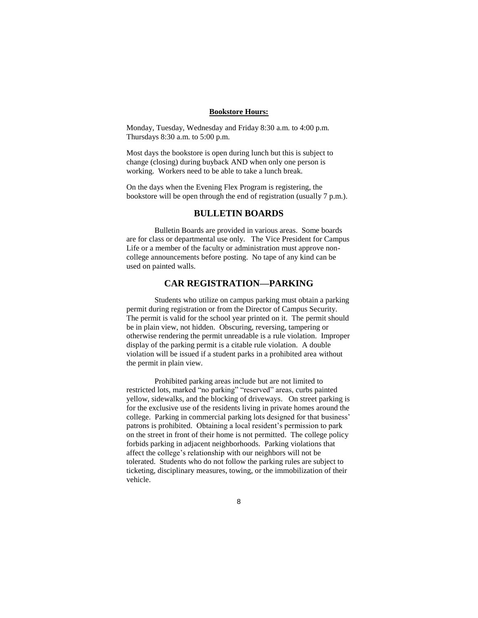#### **Bookstore Hours:**

Monday, Tuesday, Wednesday and Friday 8:30 a.m. to 4:00 p.m. Thursdays 8:30 a.m. to 5:00 p.m.

Most days the bookstore is open during lunch but this is subject to change (closing) during buyback AND when only one person is working. Workers need to be able to take a lunch break.

On the days when the Evening Flex Program is registering, the bookstore will be open through the end of registration (usually 7 p.m.).

#### **BULLETIN BOARDS**

Bulletin Boards are provided in various areas. Some boards are for class or departmental use only. The Vice President for Campus Life or a member of the faculty or administration must approve noncollege announcements before posting. No tape of any kind can be used on painted walls.

### **CAR REGISTRATION—PARKING**

Students who utilize on campus parking must obtain a parking permit during registration or from the Director of Campus Security. The permit is valid for the school year printed on it. The permit should be in plain view, not hidden. Obscuring, reversing, tampering or otherwise rendering the permit unreadable is a rule violation. Improper display of the parking permit is a citable rule violation. A double violation will be issued if a student parks in a prohibited area without the permit in plain view.

Prohibited parking areas include but are not limited to restricted lots, marked "no parking" "reserved" areas, curbs painted yellow, sidewalks, and the blocking of driveways. On street parking is for the exclusive use of the residents living in private homes around the college. Parking in commercial parking lots designed for that business' patrons is prohibited. Obtaining a local resident's permission to park on the street in front of their home is not permitted. The college policy forbids parking in adjacent neighborhoods. Parking violations that affect the college's relationship with our neighbors will not be tolerated. Students who do not follow the parking rules are subject to ticketing, disciplinary measures, towing, or the immobilization of their vehicle.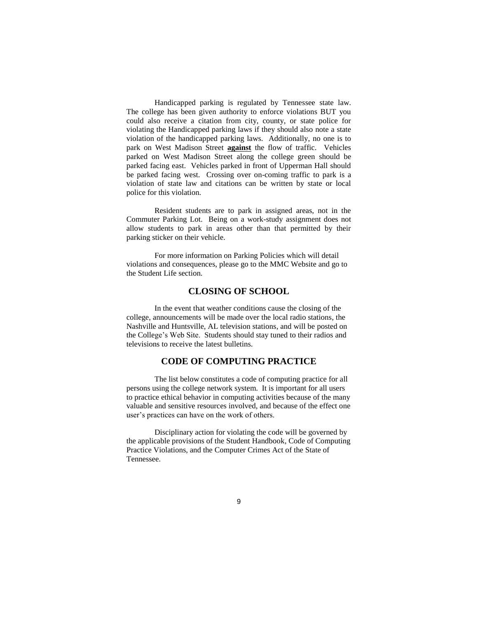Handicapped parking is regulated by Tennessee state law. The college has been given authority to enforce violations BUT you could also receive a citation from city, county, or state police for violating the Handicapped parking laws if they should also note a state violation of the handicapped parking laws. Additionally, no one is to park on West Madison Street **against** the flow of traffic. Vehicles parked on West Madison Street along the college green should be parked facing east. Vehicles parked in front of Upperman Hall should be parked facing west. Crossing over on-coming traffic to park is a violation of state law and citations can be written by state or local police for this violation.

Resident students are to park in assigned areas, not in the Commuter Parking Lot. Being on a work-study assignment does not allow students to park in areas other than that permitted by their parking sticker on their vehicle.

For more information on Parking Policies which will detail violations and consequences, please go to the MMC Website and go to the Student Life section.

### **CLOSING OF SCHOOL**

In the event that weather conditions cause the closing of the college, announcements will be made over the local radio stations, the Nashville and Huntsville, AL television stations, and will be posted on the College's Web Site. Students should stay tuned to their radios and televisions to receive the latest bulletins.

### **CODE OF COMPUTING PRACTICE**

The list below constitutes a code of computing practice for all persons using the college network system. It is important for all users to practice ethical behavior in computing activities because of the many valuable and sensitive resources involved, and because of the effect one user's practices can have on the work of others.

Disciplinary action for violating the code will be governed by the applicable provisions of the Student Handbook, Code of Computing Practice Violations, and the Computer Crimes Act of the State of Tennessee.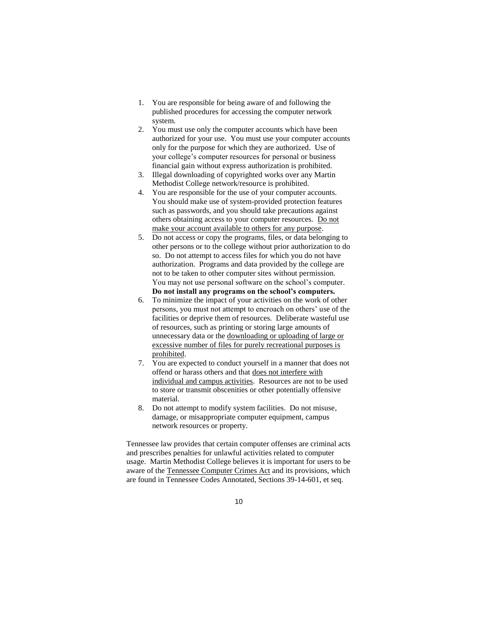- 1. You are responsible for being aware of and following the published procedures for accessing the computer network system.
- 2. You must use only the computer accounts which have been authorized for your use. You must use your computer accounts only for the purpose for which they are authorized. Use of your college's computer resources for personal or business financial gain without express authorization is prohibited.
- 3. Illegal downloading of copyrighted works over any Martin Methodist College network/resource is prohibited.
- 4. You are responsible for the use of your computer accounts. You should make use of system-provided protection features such as passwords, and you should take precautions against others obtaining access to your computer resources. Do not make your account available to others for any purpose.
- 5. Do not access or copy the programs, files, or data belonging to other persons or to the college without prior authorization to do so. Do not attempt to access files for which you do not have authorization. Programs and data provided by the college are not to be taken to other computer sites without permission. You may not use personal software on the school's computer. **Do not install any programs on the school's computers.**
- 6. To minimize the impact of your activities on the work of other persons, you must not attempt to encroach on others' use of the facilities or deprive them of resources. Deliberate wasteful use of resources, such as printing or storing large amounts of unnecessary data or the downloading or uploading of large or excessive number of files for purely recreational purposes is prohibited.
- 7. You are expected to conduct yourself in a manner that does not offend or harass others and that does not interfere with individual and campus activities. Resources are not to be used to store or transmit obscenities or other potentially offensive material.
- 8. Do not attempt to modify system facilities. Do not misuse, damage, or misappropriate computer equipment, campus network resources or property.

Tennessee law provides that certain computer offenses are criminal acts and prescribes penalties for unlawful activities related to computer usage. Martin Methodist College believes it is important for users to be aware of the Tennessee Computer Crimes Act and its provisions, which are found in Tennessee Codes Annotated, Sections 39-14-601, et seq.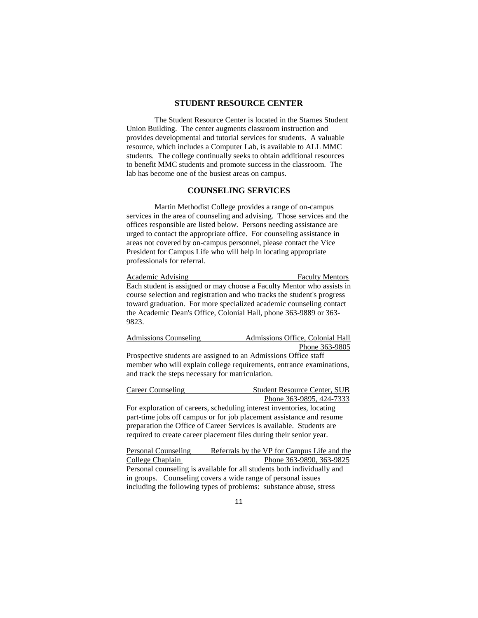### **STUDENT RESOURCE CENTER**

The Student Resource Center is located in the Starnes Student Union Building. The center augments classroom instruction and provides developmental and tutorial services for students. A valuable resource, which includes a Computer Lab, is available to ALL MMC students. The college continually seeks to obtain additional resources to benefit MMC students and promote success in the classroom. The lab has become one of the busiest areas on campus.

#### **COUNSELING SERVICES**

Martin Methodist College provides a range of on-campus services in the area of counseling and advising. Those services and the offices responsible are listed below. Persons needing assistance are urged to contact the appropriate office. For counseling assistance in areas not covered by on-campus personnel, please contact the Vice President for Campus Life who will help in locating appropriate professionals for referral.

Academic Advising Faculty Mentors Each student is assigned or may choose a Faculty Mentor who assists in course selection and registration and who tracks the student's progress toward graduation. For more specialized academic counseling contact the Academic Dean's Office, Colonial Hall, phone 363-9889 or 363- 9823.

| Admissions Counseling | Admissions Office, Colonial Hall |
|-----------------------|----------------------------------|
|                       | Phone 363-9805                   |

Prospective students are assigned to an Admissions Office staff member who will explain college requirements, entrance examinations, and track the steps necessary for matriculation.

Career Counseling Student Resource Center, SUB Phone 363-9895, 424-7333 For exploration of careers, scheduling interest inventories, locating part-time jobs off campus or for job placement assistance and resume preparation the Office of Career Services is available. Students are required to create career placement files during their senior year.

Personal Counseling Referrals by the VP for Campus Life and the College Chaplain Phone 363-9890, 363-9825 Personal counseling is available for all students both individually and in groups. Counseling covers a wide range of personal issues including the following types of problems: substance abuse, stress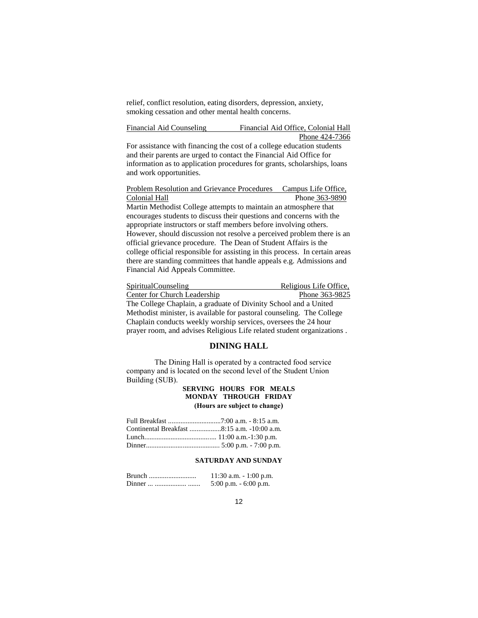relief, conflict resolution, eating disorders, depression, anxiety, smoking cessation and other mental health concerns.

Financial Aid Counseling Financial Aid Office, Colonial Hall Phone 424-7366

For assistance with financing the cost of a college education students and their parents are urged to contact the Financial Aid Office for information as to application procedures for grants, scholarships, loans and work opportunities.

Problem Resolution and Grievance Procedures Campus Life Office, Colonial Hall Phone 363-9890 Martin Methodist College attempts to maintain an atmosphere that encourages students to discuss their questions and concerns with the appropriate instructors or staff members before involving others. However, should discussion not resolve a perceived problem there is an official grievance procedure. The Dean of Student Affairs is the college official responsible for assisting in this process. In certain areas there are standing committees that handle appeals e.g. Admissions and Financial Aid Appeals Committee.

SpiritualCounseling Religious Life Office, Center for Church Leadership Phone 363-9825 The College Chaplain, a graduate of Divinity School and a United Methodist minister, is available for pastoral counseling. The College Chaplain conducts weekly worship services, oversees the 24 hour prayer room, and advises Religious Life related student organizations .

#### **DINING HALL**

The Dining Hall is operated by a contracted food service company and is located on the second level of the Student Union Building (SUB).

### **SERVING HOURS FOR MEALS MONDAY THROUGH FRIDAY (Hours are subject to change)**

| Continental Breakfast 8:15 a.m. -10:00 a.m. |
|---------------------------------------------|
|                                             |
|                                             |

#### **SATURDAY AND SUNDAY**

| Brunch | 11:30 a.m. $-1:00$ p.m.  |
|--------|--------------------------|
| Dinner | $5:00$ p.m. $-6:00$ p.m. |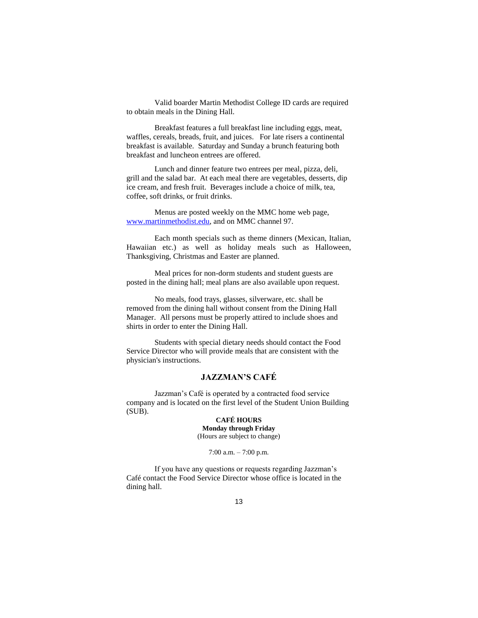Valid boarder Martin Methodist College ID cards are required to obtain meals in the Dining Hall.

Breakfast features a full breakfast line including eggs, meat, waffles, cereals, breads, fruit, and juices. For late risers a continental breakfast is available. Saturday and Sunday a brunch featuring both breakfast and luncheon entrees are offered.

Lunch and dinner feature two entrees per meal, pizza, deli, grill and the salad bar. At each meal there are vegetables, desserts, dip ice cream, and fresh fruit. Beverages include a choice of milk, tea, coffee, soft drinks, or fruit drinks.

Menus are posted weekly on the MMC home web page, [www.martinmethodist.edu,](http://www.martinmethodist.edu/) and on MMC channel 97.

Each month specials such as theme dinners (Mexican, Italian, Hawaiian etc.) as well as holiday meals such as Halloween, Thanksgiving, Christmas and Easter are planned.

Meal prices for non-dorm students and student guests are posted in the dining hall; meal plans are also available upon request.

No meals, food trays, glasses, silverware, etc. shall be removed from the dining hall without consent from the Dining Hall Manager. All persons must be properly attired to include shoes and shirts in order to enter the Dining Hall.

Students with special dietary needs should contact the Food Service Director who will provide meals that are consistent with the physician's instructions.

### **JAZZMAN'S CAFÉ**

Jazzman's Café is operated by a contracted food service company and is located on the first level of the Student Union Building  $(SUB)$ .

#### **CAFÉ HOURS Monday through Friday** (Hours are subject to change)

7:00 a.m. – 7:00 p.m.

If you have any questions or requests regarding Jazzman's Café contact the Food Service Director whose office is located in the dining hall.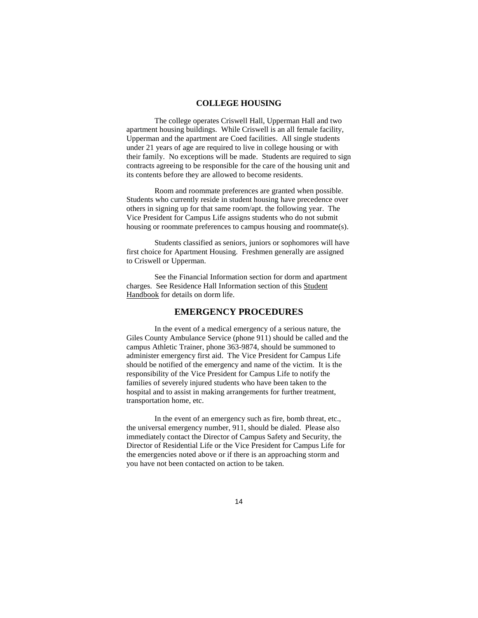### **COLLEGE HOUSING**

The college operates Criswell Hall, Upperman Hall and two apartment housing buildings. While Criswell is an all female facility, Upperman and the apartment are Coed facilities. All single students under 21 years of age are required to live in college housing or with their family. No exceptions will be made. Students are required to sign contracts agreeing to be responsible for the care of the housing unit and its contents before they are allowed to become residents.

Room and roommate preferences are granted when possible. Students who currently reside in student housing have precedence over others in signing up for that same room/apt. the following year. The Vice President for Campus Life assigns students who do not submit housing or roommate preferences to campus housing and roommate(s).

Students classified as seniors, juniors or sophomores will have first choice for Apartment Housing. Freshmen generally are assigned to Criswell or Upperman.

See the Financial Information section for dorm and apartment charges. See Residence Hall Information section of this Student Handbook for details on dorm life.

### **EMERGENCY PROCEDURES**

In the event of a medical emergency of a serious nature, the Giles County Ambulance Service (phone 911) should be called and the campus Athletic Trainer, phone 363-9874, should be summoned to administer emergency first aid. The Vice President for Campus Life should be notified of the emergency and name of the victim. It is the responsibility of the Vice President for Campus Life to notify the families of severely injured students who have been taken to the hospital and to assist in making arrangements for further treatment, transportation home, etc.

In the event of an emergency such as fire, bomb threat, etc., the universal emergency number, 911, should be dialed. Please also immediately contact the Director of Campus Safety and Security, the Director of Residential Life or the Vice President for Campus Life for the emergencies noted above or if there is an approaching storm and you have not been contacted on action to be taken.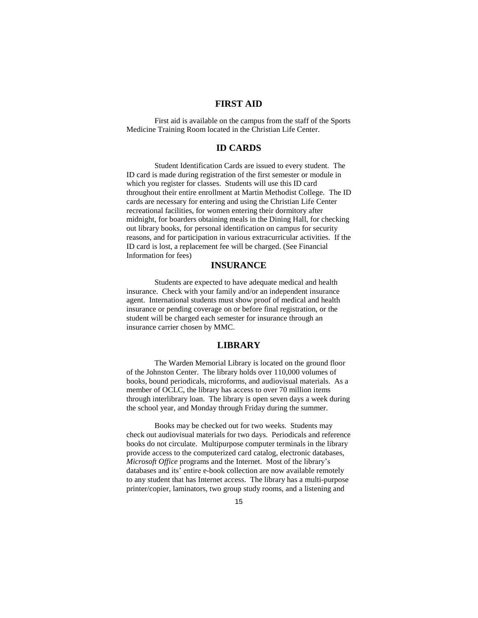# **FIRST AID**

First aid is available on the campus from the staff of the Sports Medicine Training Room located in the Christian Life Center.

### **ID CARDS**

Student Identification Cards are issued to every student. The ID card is made during registration of the first semester or module in which you register for classes. Students will use this ID card throughout their entire enrollment at Martin Methodist College. The ID cards are necessary for entering and using the Christian Life Center recreational facilities, for women entering their dormitory after midnight, for boarders obtaining meals in the Dining Hall, for checking out library books, for personal identification on campus for security reasons, and for participation in various extracurricular activities. If the ID card is lost, a replacement fee will be charged. (See Financial Information for fees)

### **INSURANCE**

Students are expected to have adequate medical and health insurance. Check with your family and/or an independent insurance agent. International students must show proof of medical and health insurance or pending coverage on or before final registration, or the student will be charged each semester for insurance through an insurance carrier chosen by MMC.

### **LIBRARY**

The Warden Memorial Library is located on the ground floor of the Johnston Center. The library holds over 110,000 volumes of books, bound periodicals, microforms, and audiovisual materials. As a member of OCLC, the library has access to over 70 million items through interlibrary loan. The library is open seven days a week during the school year, and Monday through Friday during the summer.

Books may be checked out for two weeks. Students may check out audiovisual materials for two days. Periodicals and reference books do not circulate. Multipurpose computer terminals in the library provide access to the computerized card catalog, electronic databases, *Microsoft Office* programs and the Internet. Most of the library's databases and its' entire e-book collection are now available remotely to any student that has Internet access.The library has a multi-purpose printer/copier, laminators, two group study rooms, and a listening and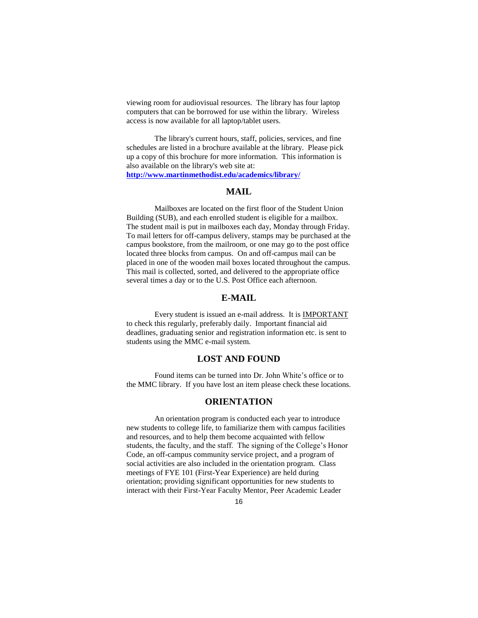viewing room for audiovisual resources. The library has four laptop computers that can be borrowed for use within the library. Wireless access is now available for all laptop/tablet users.

The library's current hours, staff, policies, services, and fine schedules are listed in a brochure available at the library. Please pick up a copy of this brochure for more information. This information is also available on the library's web site at:

**http://www.martinmethodist.edu/academics/library/**

### **MAIL**

Mailboxes are located on the first floor of the Student Union Building (SUB), and each enrolled student is eligible for a mailbox. The student mail is put in mailboxes each day, Monday through Friday. To mail letters for off-campus delivery, stamps may be purchased at the campus bookstore, from the mailroom, or one may go to the post office located three blocks from campus. On and off-campus mail can be placed in one of the wooden mail boxes located throughout the campus. This mail is collected, sorted, and delivered to the appropriate office several times a day or to the U.S. Post Office each afternoon.

### **E-MAIL**

Every student is issued an e-mail address. It is IMPORTANT to check this regularly, preferably daily. Important financial aid deadlines, graduating senior and registration information etc. is sent to students using the MMC e-mail system.

### **LOST AND FOUND**

Found items can be turned into Dr. John White's office or to the MMC library. If you have lost an item please check these locations.

#### **ORIENTATION**

An orientation program is conducted each year to introduce new students to college life, to familiarize them with campus facilities and resources, and to help them become acquainted with fellow students, the faculty, and the staff. The signing of the College's Honor Code, an off-campus community service project, and a program of social activities are also included in the orientation program. Class meetings of FYE 101 (First-Year Experience) are held during orientation; providing significant opportunities for new students to interact with their First-Year Faculty Mentor, Peer Academic Leader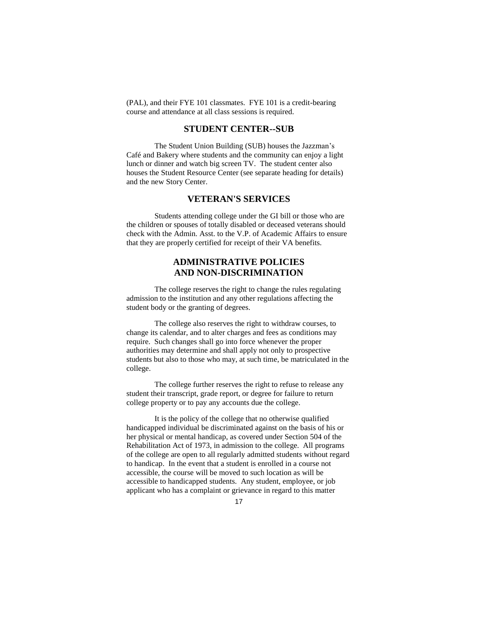(PAL), and their FYE 101 classmates. FYE 101 is a credit-bearing course and attendance at all class sessions is required.

### **STUDENT CENTER--SUB**

The Student Union Building (SUB) houses the Jazzman's Café and Bakery where students and the community can enjoy a light lunch or dinner and watch big screen TV. The student center also houses the Student Resource Center (see separate heading for details) and the new Story Center.

### **VETERAN'S SERVICES**

Students attending college under the GI bill or those who are the children or spouses of totally disabled or deceased veterans should check with the Admin. Asst. to the V.P. of Academic Affairs to ensure that they are properly certified for receipt of their VA benefits.

# **ADMINISTRATIVE POLICIES AND NON-DISCRIMINATION**

The college reserves the right to change the rules regulating admission to the institution and any other regulations affecting the student body or the granting of degrees.

The college also reserves the right to withdraw courses, to change its calendar, and to alter charges and fees as conditions may require. Such changes shall go into force whenever the proper authorities may determine and shall apply not only to prospective students but also to those who may, at such time, be matriculated in the college.

The college further reserves the right to refuse to release any student their transcript, grade report, or degree for failure to return college property or to pay any accounts due the college.

It is the policy of the college that no otherwise qualified handicapped individual be discriminated against on the basis of his or her physical or mental handicap, as covered under Section 504 of the Rehabilitation Act of 1973, in admission to the college. All programs of the college are open to all regularly admitted students without regard to handicap. In the event that a student is enrolled in a course not accessible, the course will be moved to such location as will be accessible to handicapped students. Any student, employee, or job applicant who has a complaint or grievance in regard to this matter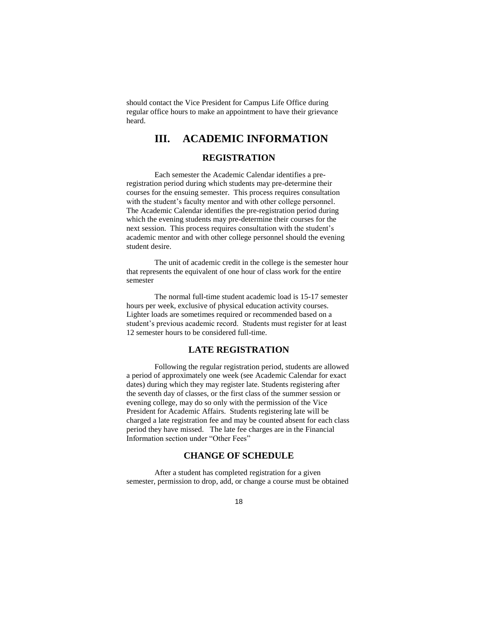should contact the Vice President for Campus Life Office during regular office hours to make an appointment to have their grievance heard.

# **III. ACADEMIC INFORMATION REGISTRATION**

Each semester the Academic Calendar identifies a preregistration period during which students may pre-determine their courses for the ensuing semester. This process requires consultation with the student's faculty mentor and with other college personnel. The Academic Calendar identifies the pre-registration period during which the evening students may pre-determine their courses for the next session. This process requires consultation with the student's academic mentor and with other college personnel should the evening student desire.

The unit of academic credit in the college is the semester hour that represents the equivalent of one hour of class work for the entire semester

The normal full-time student academic load is 15-17 semester hours per week, exclusive of physical education activity courses. Lighter loads are sometimes required or recommended based on a student's previous academic record. Students must register for at least 12 semester hours to be considered full-time.

### **LATE REGISTRATION**

Following the regular registration period, students are allowed a period of approximately one week (see Academic Calendar for exact dates) during which they may register late. Students registering after the seventh day of classes, or the first class of the summer session or evening college, may do so only with the permission of the Vice President for Academic Affairs. Students registering late will be charged a late registration fee and may be counted absent for each class period they have missed. The late fee charges are in the Financial Information section under "Other Fees"

### **CHANGE OF SCHEDULE**

After a student has completed registration for a given semester, permission to drop, add, or change a course must be obtained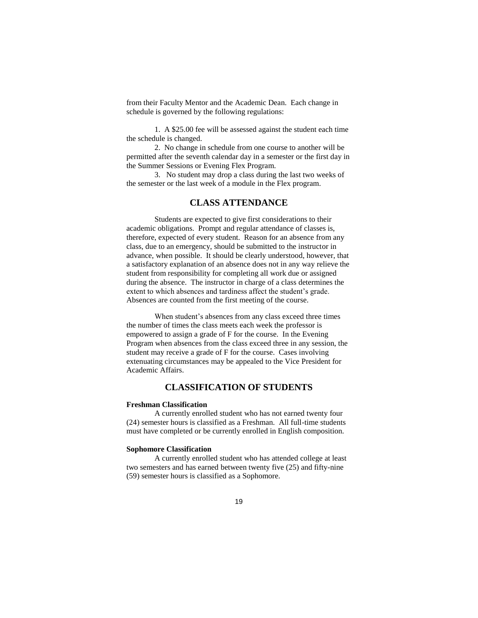from their Faculty Mentor and the Academic Dean. Each change in schedule is governed by the following regulations:

1. A \$25.00 fee will be assessed against the student each time the schedule is changed.

2. No change in schedule from one course to another will be permitted after the seventh calendar day in a semester or the first day in the Summer Sessions or Evening Flex Program.

3. No student may drop a class during the last two weeks of the semester or the last week of a module in the Flex program.

### **CLASS ATTENDANCE**

Students are expected to give first considerations to their academic obligations. Prompt and regular attendance of classes is, therefore, expected of every student. Reason for an absence from any class, due to an emergency, should be submitted to the instructor in advance, when possible. It should be clearly understood, however, that a satisfactory explanation of an absence does not in any way relieve the student from responsibility for completing all work due or assigned during the absence. The instructor in charge of a class determines the extent to which absences and tardiness affect the student's grade. Absences are counted from the first meeting of the course.

When student's absences from any class exceed three times the number of times the class meets each week the professor is empowered to assign a grade of F for the course. In the Evening Program when absences from the class exceed three in any session, the student may receive a grade of F for the course. Cases involving extenuating circumstances may be appealed to the Vice President for Academic Affairs.

### **CLASSIFICATION OF STUDENTS**

#### **Freshman Classification**

A currently enrolled student who has not earned twenty four (24) semester hours is classified as a Freshman. All full-time students must have completed or be currently enrolled in English composition.

#### **Sophomore Classification**

A currently enrolled student who has attended college at least two semesters and has earned between twenty five (25) and fifty-nine (59) semester hours is classified as a Sophomore.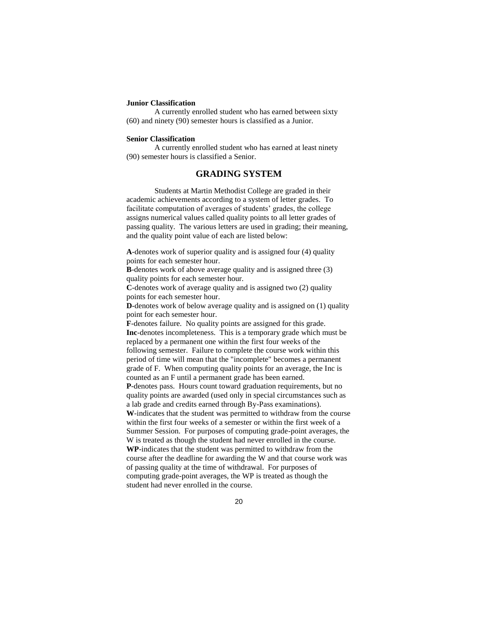#### **Junior Classification**

A currently enrolled student who has earned between sixty (60) and ninety (90) semester hours is classified as a Junior.

#### **Senior Classification**

A currently enrolled student who has earned at least ninety (90) semester hours is classified a Senior.

### **GRADING SYSTEM**

Students at Martin Methodist College are graded in their academic achievements according to a system of letter grades. To facilitate computation of averages of students' grades, the college assigns numerical values called quality points to all letter grades of passing quality. The various letters are used in grading; their meaning, and the quality point value of each are listed below:

**A**-denotes work of superior quality and is assigned four (4) quality points for each semester hour.

**B**-denotes work of above average quality and is assigned three (3) quality points for each semester hour.

**C**-denotes work of average quality and is assigned two (2) quality points for each semester hour.

**D**-denotes work of below average quality and is assigned on (1) quality point for each semester hour.

**F**-denotes failure. No quality points are assigned for this grade. **Inc**-denotes incompleteness. This is a temporary grade which must be replaced by a permanent one within the first four weeks of the following semester. Failure to complete the course work within this period of time will mean that the "incomplete" becomes a permanent grade of F. When computing quality points for an average, the Inc is counted as an F until a permanent grade has been earned.

**P**-denotes pass. Hours count toward graduation requirements, but no quality points are awarded (used only in special circumstances such as a lab grade and credits earned through By-Pass examinations). **W**-indicates that the student was permitted to withdraw from the course within the first four weeks of a semester or within the first week of a Summer Session. For purposes of computing grade-point averages, the W is treated as though the student had never enrolled in the course. **WP**-indicates that the student was permitted to withdraw from the course after the deadline for awarding the W and that course work was of passing quality at the time of withdrawal. For purposes of computing grade-point averages, the WP is treated as though the student had never enrolled in the course.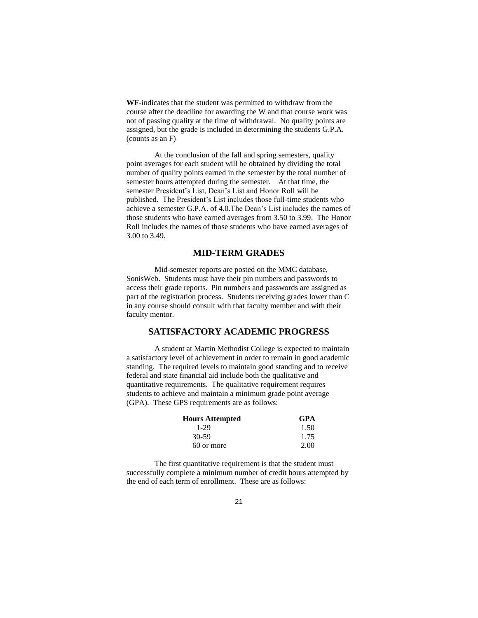**WF**-indicates that the student was permitted to withdraw from the course after the deadline for awarding the W and that course work was not of passing quality at the time of withdrawal. No quality points are assigned, but the grade is included in determining the students G.P.A. (counts as an F)

At the conclusion of the fall and spring semesters, quality point averages for each student will be obtained by dividing the total number of quality points earned in the semester by the total number of semester hours attempted during the semester. At that time, the semester President's List, Dean's List and Honor Roll will be published. The President's List includes those full-time students who achieve a semester G.P.A. of 4.0.The Dean's List includes the names of those students who have earned averages from 3.50 to 3.99. The Honor Roll includes the names of those students who have earned averages of 3.00 to 3.49.

### **MID-TERM GRADES**

Mid-semester reports are posted on the MMC database, SonisWeb. Students must have their pin numbers and passwords to access their grade reports. Pin numbers and passwords are assigned as part of the registration process. Students receiving grades lower than C in any course should consult with that faculty member and with their faculty mentor.

### **SATISFACTORY ACADEMIC PROGRESS**

A student at Martin Methodist College is expected to maintain a satisfactory level of achievement in order to remain in good academic standing. The required levels to maintain good standing and to receive federal and state financial aid include both the qualitative and quantitative requirements. The qualitative requirement requires students to achieve and maintain a minimum grade point average (GPA). These GPS requirements are as follows:

| <b>Hours Attempted</b> | <b>GPA</b> |
|------------------------|------------|
| 1-29                   | 1.50       |
| $30-59$                | 1.75       |
| 60 or more             | 2.00       |

The first quantitative requirement is that the student must successfully complete a minimum number of credit hours attempted by the end of each term of enrollment. These are as follows: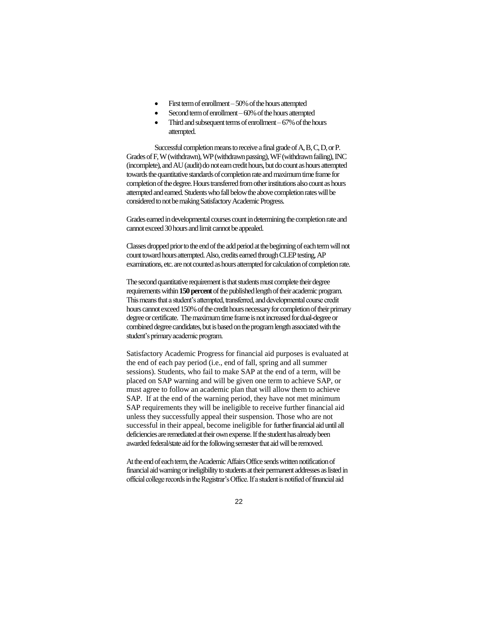- First term of enrollment 50% of the hours attempted
- Second term of enrollment –60% of the hours attempted
- Third and subsequent terms of enrollment  $-67\%$  of the hours attempted.

Successful completion means to receive a final grade of A, B, C, D, or P. Grades of F, W (withdrawn), WP (withdrawn passing), WF (withdrawn failing), INC (incomplete), and AU (audit) do not earn credit hours, but do count as hours attempted towards the quantitative standards of completion rate and maximum time frame for completion of the degree. Hours transferred from other institutions also count as hours attempted and earned. Students who fall below the above completion rates will be considered to not be making Satisfactory Academic Progress.

Grades earned in developmental courses count in determining the completion rate and cannot exceed 30 hours and limit cannot be appealed.

Classes dropped prior to the end of the add period at the beginning of each term will not count toward hours attempted. Also, credits earned through CLEP testing, AP examinations, etc. are not counted as hours attempted for calculation of completion rate.

The second quantitative requirement is that students must complete their degree requirements within **150 percent**of the published length of their academic program. This means that a student's attempted, transferred, and developmental course credit hours cannot exceed 150% of the credit hours necessary for completion of their primary degree or certificate. The maximum time frame is not increased for dual-degree or combined degree candidates, but is based on the program length associated with the student's primary academic program.

Satisfactory Academic Progress for financial aid purposes is evaluated at the end of each pay period (i.e., end of fall, spring and all summer sessions). Students, who fail to make SAP at the end of a term, will be placed on SAP warning and will be given one term to achieve SAP, or must agree to follow an academic plan that will allow them to achieve SAP. If at the end of the warning period, they have not met minimum SAP requirements they will be ineligible to receive further financial aid unless they successfully appeal their suspension. Those who are not successful in their appeal, become ineligible for further financial aid until all deficiencies are remediated at their own expense. If the student has already been awarded federal/state aid for the following semester that aid will be removed.

At the end of each term, the Academic Affairs Office sends written notification of financial aid warning or ineligibility to students at their permanent addresses as listed in official college records in the Registrar's Office. If a student is notified of financial aid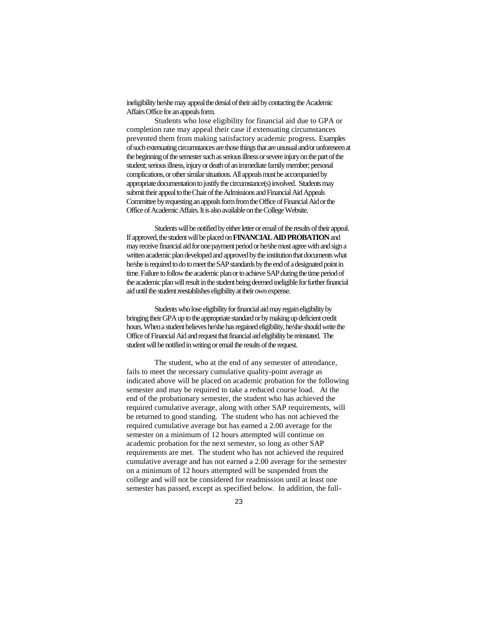ineligibility he/she may appeal the denial of their aid by contacting the Academic Affairs Office for an appeals form.

Students who lose eligibility for financial aid due to GPA or completion rate may appeal their case if extenuating circumstances prevented them from making satisfactory academic progress. Examples of such extenuating circumstances are those things that are unusual and/or unforeseen at the beginning of the semester such as serious illness or severe injury on the part of the student; serious illness, injury or death of an immediate family member; personal complications, or other similar situations. All appeals must be accompanied by appropriate documentation to justify the circumstance(s) involved. Students may submit their appeal to the Chair of the Admissions and Financial Aid Appeals Committee by requesting an appeals form from the Office of Financial Aid or the Office of Academic Affairs. It is also available on the College Website.

Students will be notified by either letter or email of the results of their appeal. If approved, the student will be placed on **FINANCIAL AID PROBATION**and may receive financial aid for one payment period or he/she must agree with and sign a written academic plan developed and approved by the institution that documents what he/she is required to do to meet the SAP standards by the end of a designated point in time. Failure to follow the academic plan or to achieve SAP during the time period of the academic plan will result in the student being deemed ineligible for further financial aid until the student reestablishes eligibility at their own expense.

Students who lose eligibility for financial aid may regain eligibility by bringing their GPA up to the appropriate standard or by making up deficient credit hours. When a student believes he/she has regained eligibility, he/she should write the Office of Financial Aid and request that financial aid eligibility be reinstated. The student will be notified in writing or email the results of the request.

The student, who at the end of any semester of attendance, fails to meet the necessary cumulative quality-point average as indicated above will be placed on academic probation for the following semester and may be required to take a reduced course load. At the end of the probationary semester, the student who has achieved the required cumulative average, along with other SAP requirements, will be returned to good standing. The student who has not achieved the required cumulative average but has earned a 2.00 average for the semester on a minimum of 12 hours attempted will continue on academic probation for the next semester, so long as other SAP requirements are met. The student who has not achieved the required cumulative average and has not earned a 2.00 average for the semester on a minimum of 12 hours attempted will be suspended from the college and will not be considered for readmission until at least one semester has passed, except as specified below. In addition, the full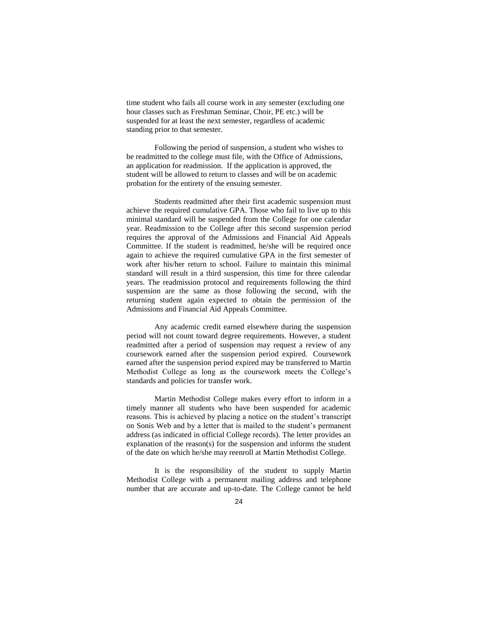time student who fails all course work in any semester (excluding one hour classes such as Freshman Seminar, Choir, PE etc.) will be suspended for at least the next semester, regardless of academic standing prior to that semester.

Following the period of suspension, a student who wishes to be readmitted to the college must file, with the Office of Admissions, an application for readmission. If the application is approved, the student will be allowed to return to classes and will be on academic probation for the entirety of the ensuing semester.

Students readmitted after their first academic suspension must achieve the required cumulative GPA. Those who fail to live up to this minimal standard will be suspended from the College for one calendar year. Readmission to the College after this second suspension period requires the approval of the Admissions and Financial Aid Appeals Committee. If the student is readmitted, he/she will be required once again to achieve the required cumulative GPA in the first semester of work after his/her return to school. Failure to maintain this minimal standard will result in a third suspension, this time for three calendar years. The readmission protocol and requirements following the third suspension are the same as those following the second, with the returning student again expected to obtain the permission of the Admissions and Financial Aid Appeals Committee.

Any academic credit earned elsewhere during the suspension period will not count toward degree requirements. However, a student readmitted after a period of suspension may request a review of any coursework earned after the suspension period expired. Coursework earned after the suspension period expired may be transferred to Martin Methodist College as long as the coursework meets the College's standards and policies for transfer work.

Martin Methodist College makes every effort to inform in a timely manner all students who have been suspended for academic reasons. This is achieved by placing a notice on the student's transcript on Sonis Web and by a letter that is mailed to the student's permanent address (as indicated in official College records). The letter provides an explanation of the reason(s) for the suspension and informs the student of the date on which he/she may reenroll at Martin Methodist College.

It is the responsibility of the student to supply Martin Methodist College with a permanent mailing address and telephone number that are accurate and up-to-date. The College cannot be held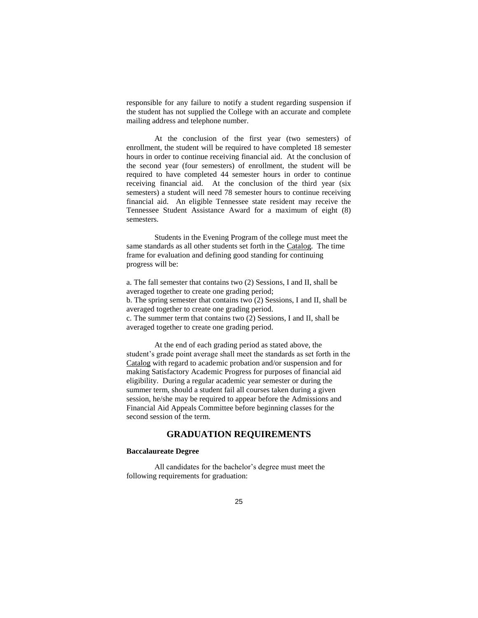responsible for any failure to notify a student regarding suspension if the student has not supplied the College with an accurate and complete mailing address and telephone number.

At the conclusion of the first year (two semesters) of enrollment, the student will be required to have completed 18 semester hours in order to continue receiving financial aid. At the conclusion of the second year (four semesters) of enrollment, the student will be required to have completed 44 semester hours in order to continue receiving financial aid. At the conclusion of the third year (six semesters) a student will need 78 semester hours to continue receiving financial aid. An eligible Tennessee state resident may receive the Tennessee Student Assistance Award for a maximum of eight (8) semesters.

Students in the Evening Program of the college must meet the same standards as all other students set forth in the Catalog. The time frame for evaluation and defining good standing for continuing progress will be:

a. The fall semester that contains two (2) Sessions, I and II, shall be averaged together to create one grading period; b. The spring semester that contains two (2) Sessions, I and II, shall be averaged together to create one grading period. c. The summer term that contains two (2) Sessions, I and II, shall be averaged together to create one grading period.

At the end of each grading period as stated above, the student's grade point average shall meet the standards as set forth in the Catalog with regard to academic probation and/or suspension and for making Satisfactory Academic Progress for purposes of financial aid eligibility. During a regular academic year semester or during the summer term, should a student fail all courses taken during a given session, he/she may be required to appear before the Admissions and Financial Aid Appeals Committee before beginning classes for the second session of the term.

### **GRADUATION REQUIREMENTS**

#### **Baccalaureate Degree**

All candidates for the bachelor's degree must meet the following requirements for graduation: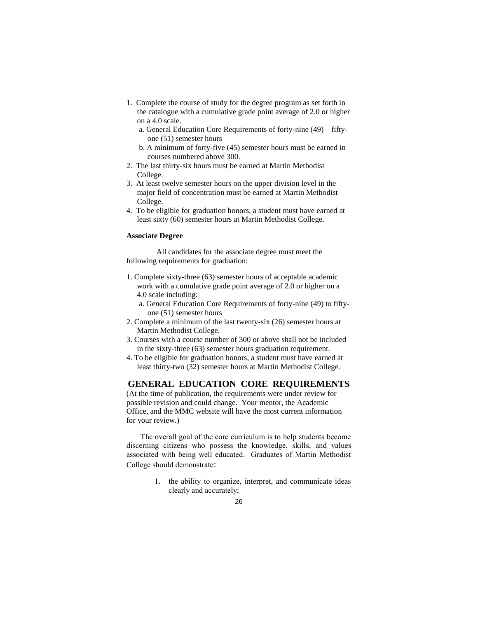- 1. Complete the course of study for the degree program as set forth in the catalogue with a cumulative grade point average of 2.0 or higher on a 4.0 scale.
	- a. General Education Core Requirements of forty-nine (49) fiftyone (51) semester hours
	- b. A minimum of forty-five (45) semester hours must be earned in courses numbered above 300.
- 2. The last thirty-six hours must be earned at Martin Methodist College.
- 3. At least twelve semester hours on the upper division level in the major field of concentration must be earned at Martin Methodist College.
- 4. To be eligible for graduation honors, a student must have earned at least sixty (60) semester hours at Martin Methodist College.

### **Associate Degree**

All candidates for the associate degree must meet the following requirements for graduation:

- 1. Complete sixty-three (63) semester hours of acceptable academic work with a cumulative grade point average of 2.0 or higher on a 4.0 scale including:
	- a. General Education Core Requirements of forty-nine (49) to fiftyone (51) semester hours
- 2. Complete a minimum of the last twenty-six (26) semester hours at Martin Methodist College.
- 3. Courses with a course number of 300 or above shall not be included in the sixty-three (63) semester hours graduation requirement.
- 4. To be eligible for graduation honors, a student must have earned at least thirty-two (32) semester hours at Martin Methodist College.

### **GENERAL EDUCATION CORE REQUIREMENTS**

(At the time of publication, the requirements were under review for possible revision and could change. Your mentor, the Academic Office, and the MMC website will have the most current information for your review.)

The overall goal of the core curriculum is to help students become discerning citizens who possess the knowledge, skills, and values associated with being well educated. Graduates of Martin Methodist College should demonstrate:

> 1. the ability to organize, interpret, and communicate ideas clearly and accurately;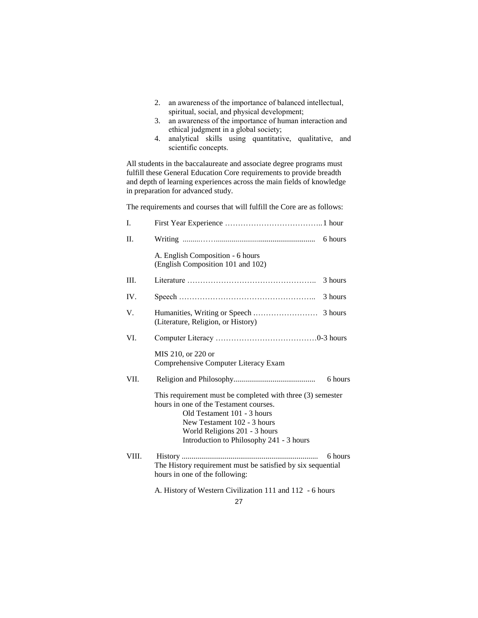- 2. an awareness of the importance of balanced intellectual, spiritual, social, and physical development;
- 3. an awareness of the importance of human interaction and ethical judgment in a global society;
- 4. analytical skills using quantitative, qualitative, and scientific concepts.

All students in the baccalaureate and associate degree programs must fulfill these General Education Core requirements to provide breadth and depth of learning experiences across the main fields of knowledge in preparation for advanced study.

The requirements and courses that will fulfill the Core are as follows:

| I.    |                                                                                                                                                                                                                                                 |         |
|-------|-------------------------------------------------------------------------------------------------------------------------------------------------------------------------------------------------------------------------------------------------|---------|
| П.    |                                                                                                                                                                                                                                                 | 6 hours |
|       | A. English Composition - 6 hours<br>(English Composition 101 and 102)                                                                                                                                                                           |         |
| Ш.    |                                                                                                                                                                                                                                                 | 3 hours |
| IV.   |                                                                                                                                                                                                                                                 | 3 hours |
| V.    | (Literature, Religion, or History)                                                                                                                                                                                                              |         |
| VI.   |                                                                                                                                                                                                                                                 |         |
|       | MIS 210, or 220 or<br>Comprehensive Computer Literacy Exam                                                                                                                                                                                      |         |
| VII.  |                                                                                                                                                                                                                                                 | 6 hours |
|       | This requirement must be completed with three (3) semester<br>hours in one of the Testament courses.<br>Old Testament 101 - 3 hours<br>New Testament 102 - 3 hours<br>World Religions 201 - 3 hours<br>Introduction to Philosophy 241 - 3 hours |         |
| VIII. | The History requirement must be satisfied by six sequential<br>hours in one of the following:                                                                                                                                                   | 6 hours |
|       | A. History of Western Civilization 111 and 112 - 6 hours                                                                                                                                                                                        |         |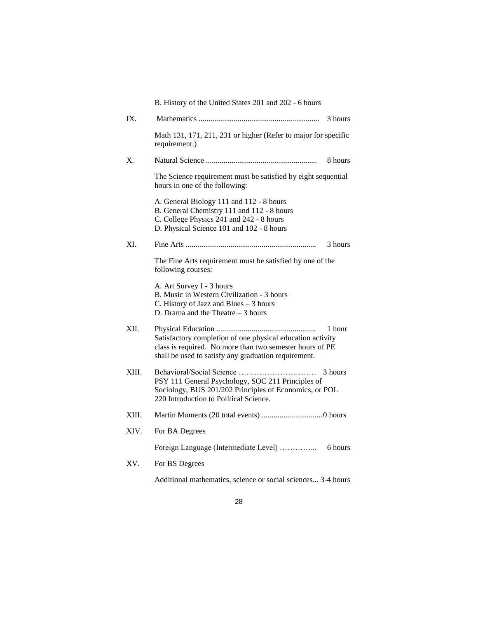|       | B. History of the United States 201 and 202 - 6 hours                                                                                                                                    |
|-------|------------------------------------------------------------------------------------------------------------------------------------------------------------------------------------------|
| IX.   | 3 hours                                                                                                                                                                                  |
|       | Math 131, 171, 211, 231 or higher (Refer to major for specific<br>requirement.)                                                                                                          |
| X.    | 8 hours                                                                                                                                                                                  |
|       | The Science requirement must be satisfied by eight sequential<br>hours in one of the following:                                                                                          |
|       | A. General Biology 111 and 112 - 8 hours<br>B. General Chemistry 111 and 112 - 8 hours<br>C. College Physics 241 and 242 - 8 hours<br>D. Physical Science 101 and 102 - 8 hours          |
| XI.   | 3 hours                                                                                                                                                                                  |
|       | The Fine Arts requirement must be satisfied by one of the<br>following courses:                                                                                                          |
|       | A. Art Survey I - 3 hours<br>B. Music in Western Civilization - 3 hours<br>C. History of Jazz and Blues - 3 hours<br>D. Drama and the Theatre $-3$ hours                                 |
| XII.  | 1 hour<br>Satisfactory completion of one physical education activity<br>class is required. No more than two semester hours of PE<br>shall be used to satisfy any graduation requirement. |
| XIII. | 3 hours<br>PSY 111 General Psychology, SOC 211 Principles of<br>Sociology, BUS 201/202 Principles of Economics, or POL<br>220 Introduction to Political Science.                         |
| XIII. |                                                                                                                                                                                          |
| XIV.  | For BA Degrees                                                                                                                                                                           |
|       | 6 hours                                                                                                                                                                                  |
| XV.   | For BS Degrees                                                                                                                                                                           |
|       | Additional mathematics, science or social sciences 3-4 hours                                                                                                                             |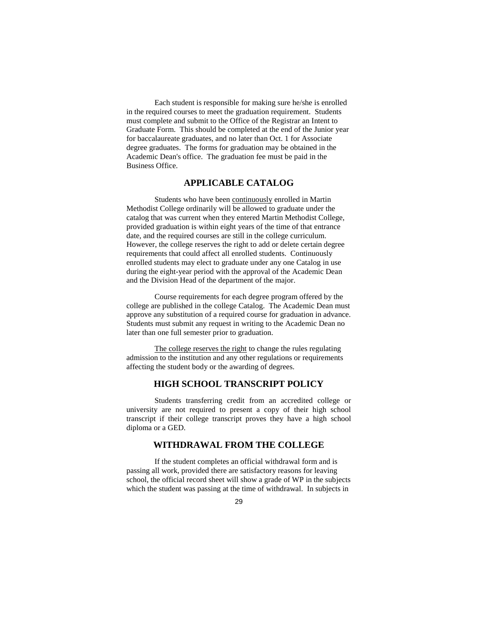Each student is responsible for making sure he/she is enrolled in the required courses to meet the graduation requirement. Students must complete and submit to the Office of the Registrar an Intent to Graduate Form. This should be completed at the end of the Junior year for baccalaureate graduates, and no later than Oct. 1 for Associate degree graduates. The forms for graduation may be obtained in the Academic Dean's office. The graduation fee must be paid in the Business Office.

### **APPLICABLE CATALOG**

Students who have been continuously enrolled in Martin Methodist College ordinarily will be allowed to graduate under the catalog that was current when they entered Martin Methodist College, provided graduation is within eight years of the time of that entrance date, and the required courses are still in the college curriculum. However, the college reserves the right to add or delete certain degree requirements that could affect all enrolled students. Continuously enrolled students may elect to graduate under any one Catalog in use during the eight-year period with the approval of the Academic Dean and the Division Head of the department of the major.

Course requirements for each degree program offered by the college are published in the college Catalog. The Academic Dean must approve any substitution of a required course for graduation in advance. Students must submit any request in writing to the Academic Dean no later than one full semester prior to graduation.

The college reserves the right to change the rules regulating admission to the institution and any other regulations or requirements affecting the student body or the awarding of degrees.

### **HIGH SCHOOL TRANSCRIPT POLICY**

Students transferring credit from an accredited college or university are not required to present a copy of their high school transcript if their college transcript proves they have a high school diploma or a GED.

### **WITHDRAWAL FROM THE COLLEGE**

If the student completes an official withdrawal form and is passing all work, provided there are satisfactory reasons for leaving school, the official record sheet will show a grade of WP in the subjects which the student was passing at the time of withdrawal. In subjects in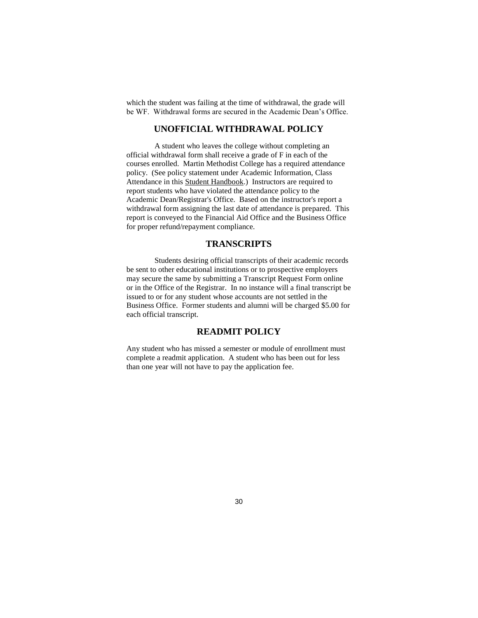which the student was failing at the time of withdrawal, the grade will be WF. Withdrawal forms are secured in the Academic Dean's Office.

# **UNOFFICIAL WITHDRAWAL POLICY**

A student who leaves the college without completing an official withdrawal form shall receive a grade of F in each of the courses enrolled. Martin Methodist College has a required attendance policy. (See policy statement under Academic Information, Class Attendance in this Student Handbook.) Instructors are required to report students who have violated the attendance policy to the Academic Dean/Registrar's Office. Based on the instructor's report a withdrawal form assigning the last date of attendance is prepared. This report is conveyed to the Financial Aid Office and the Business Office for proper refund/repayment compliance.

### **TRANSCRIPTS**

Students desiring official transcripts of their academic records be sent to other educational institutions or to prospective employers may secure the same by submitting a Transcript Request Form online or in the Office of the Registrar. In no instance will a final transcript be issued to or for any student whose accounts are not settled in the Business Office. Former students and alumni will be charged \$5.00 for each official transcript.

## **READMIT POLICY**

Any student who has missed a semester or module of enrollment must complete a readmit application. A student who has been out for less than one year will not have to pay the application fee.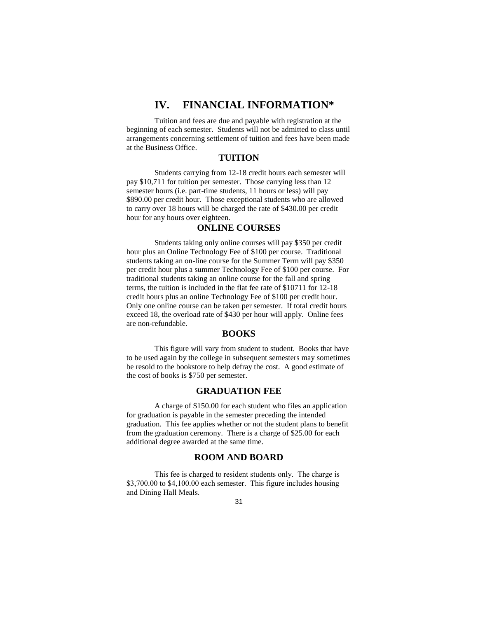# **IV. FINANCIAL INFORMATION\***

Tuition and fees are due and payable with registration at the beginning of each semester. Students will not be admitted to class until arrangements concerning settlement of tuition and fees have been made at the Business Office.

#### **TUITION**

Students carrying from 12-18 credit hours each semester will pay \$10,711 for tuition per semester. Those carrying less than 12 semester hours (i.e. part-time students, 11 hours or less) will pay \$890.00 per credit hour. Those exceptional students who are allowed to carry over 18 hours will be charged the rate of \$430.00 per credit hour for any hours over eighteen.

### **ONLINE COURSES**

Students taking only online courses will pay \$350 per credit hour plus an Online Technology Fee of \$100 per course. Traditional students taking an on-line course for the Summer Term will pay \$350 per credit hour plus a summer Technology Fee of \$100 per course. For traditional students taking an online course for the fall and spring terms, the tuition is included in the flat fee rate of \$10711 for 12-18 credit hours plus an online Technology Fee of \$100 per credit hour. Only one online course can be taken per semester. If total credit hours exceed 18, the overload rate of \$430 per hour will apply. Online fees are non-refundable.

#### **BOOKS**

This figure will vary from student to student. Books that have to be used again by the college in subsequent semesters may sometimes be resold to the bookstore to help defray the cost. A good estimate of the cost of books is \$750 per semester.

### **GRADUATION FEE**

A charge of \$150.00 for each student who files an application for graduation is payable in the semester preceding the intended graduation. This fee applies whether or not the student plans to benefit from the graduation ceremony. There is a charge of \$25.00 for each additional degree awarded at the same time.

#### **ROOM AND BOARD**

This fee is charged to resident students only. The charge is \$3,700.00 to \$4,100.00 each semester. This figure includes housing and Dining Hall Meals.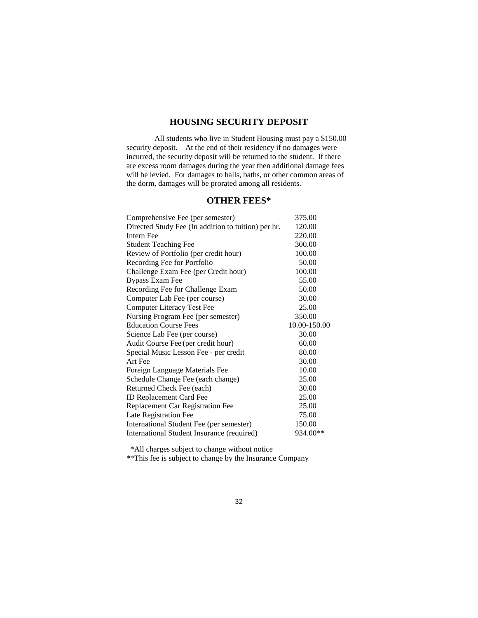# **HOUSING SECURITY DEPOSIT**

All students who live in Student Housing must pay a \$150.00 security deposit. At the end of their residency if no damages were incurred, the security deposit will be returned to the student. If there are excess room damages during the year then additional damage fees will be levied. For damages to halls, baths, or other common areas of the dorm, damages will be prorated among all residents.

# **OTHER FEES\***

| Comprehensive Fee (per semester)                    | 375.00       |
|-----------------------------------------------------|--------------|
| Directed Study Fee (In addition to tuition) per hr. | 120.00       |
| Intern Fee                                          | 220.00       |
| <b>Student Teaching Fee</b>                         | 300.00       |
| Review of Portfolio (per credit hour)               | 100.00       |
| Recording Fee for Portfolio                         | 50.00        |
| Challenge Exam Fee (per Credit hour)                | 100.00       |
| <b>Bypass Exam Fee</b>                              | 55.00        |
| Recording Fee for Challenge Exam                    | 50.00        |
| Computer Lab Fee (per course)                       | 30.00        |
| <b>Computer Literacy Test Fee</b>                   | 25.00        |
| Nursing Program Fee (per semester)                  | 350.00       |
| <b>Education Course Fees</b>                        | 10.00-150.00 |
| Science Lab Fee (per course)                        | 30.00        |
| Audit Course Fee (per credit hour)                  | 60.00        |
| Special Music Lesson Fee - per credit               | 80.00        |
| Art Fee                                             | 30.00        |
| Foreign Language Materials Fee                      | 10.00        |
| Schedule Change Fee (each change)                   | 25.00        |
| Returned Check Fee (each)                           | 30.00        |
| <b>ID Replacement Card Fee</b>                      | 25.00        |
| <b>Replacement Car Registration Fee</b>             | 25.00        |
| Late Registration Fee                               | 75.00        |
| International Student Fee (per semester)            | 150.00       |
| International Student Insurance (required)          | 934.00**     |

\*All charges subject to change without notice

\*\*This fee is subject to change by the Insurance Company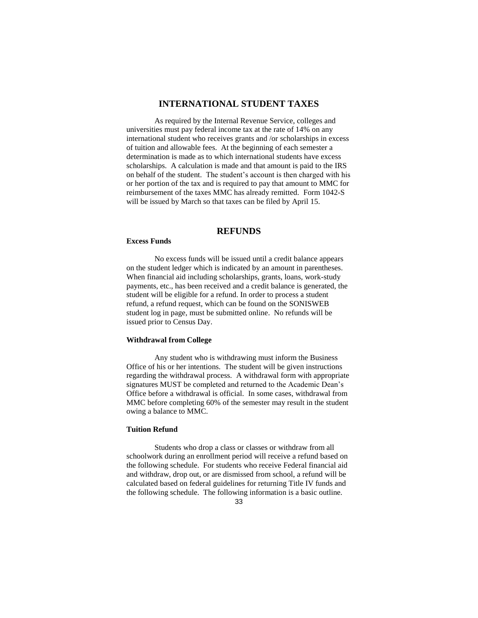### **INTERNATIONAL STUDENT TAXES**

As required by the Internal Revenue Service, colleges and universities must pay federal income tax at the rate of 14% on any international student who receives grants and /or scholarships in excess of tuition and allowable fees. At the beginning of each semester a determination is made as to which international students have excess scholarships. A calculation is made and that amount is paid to the IRS on behalf of the student. The student's account is then charged with his or her portion of the tax and is required to pay that amount to MMC for reimbursement of the taxes MMC has already remitted. Form 1042-S will be issued by March so that taxes can be filed by April 15.

### **REFUNDS**

#### **Excess Funds**

No excess funds will be issued until a credit balance appears on the student ledger which is indicated by an amount in parentheses. When financial aid including scholarships, grants, loans, work-study payments, etc., has been received and a credit balance is generated, the student will be eligible for a refund. In order to process a student refund, a refund request, which can be found on the SONISWEB student log in page, must be submitted online. No refunds will be issued prior to Census Day.

#### **Withdrawal from College**

Any student who is withdrawing must inform the Business Office of his or her intentions. The student will be given instructions regarding the withdrawal process. A withdrawal form with appropriate signatures MUST be completed and returned to the Academic Dean's Office before a withdrawal is official. In some cases, withdrawal from MMC before completing 60% of the semester may result in the student owing a balance to MMC.

### **Tuition Refund**

Students who drop a class or classes or withdraw from all schoolwork during an enrollment period will receive a refund based on the following schedule. For students who receive Federal financial aid and withdraw, drop out, or are dismissed from school, a refund will be calculated based on federal guidelines for returning Title IV funds and the following schedule. The following information is a basic outline.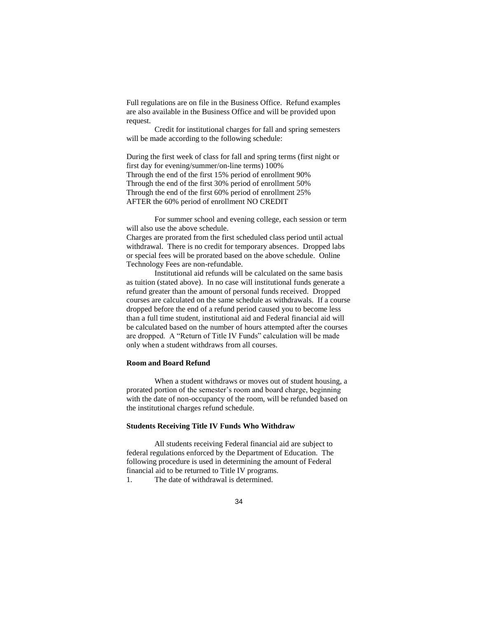Full regulations are on file in the Business Office. Refund examples are also available in the Business Office and will be provided upon request.

Credit for institutional charges for fall and spring semesters will be made according to the following schedule:

During the first week of class for fall and spring terms (first night or first day for evening/summer/on-line terms) 100% Through the end of the first 15% period of enrollment 90% Through the end of the first 30% period of enrollment 50% Through the end of the first 60% period of enrollment 25% AFTER the 60% period of enrollment NO CREDIT

For summer school and evening college, each session or term will also use the above schedule. Charges are prorated from the first scheduled class period until actual withdrawal. There is no credit for temporary absences. Dropped labs or special fees will be prorated based on the above schedule. Online

Technology Fees are non-refundable.

Institutional aid refunds will be calculated on the same basis as tuition (stated above). In no case will institutional funds generate a refund greater than the amount of personal funds received. Dropped courses are calculated on the same schedule as withdrawals. If a course dropped before the end of a refund period caused you to become less than a full time student, institutional aid and Federal financial aid will be calculated based on the number of hours attempted after the courses are dropped. A "Return of Title IV Funds" calculation will be made only when a student withdraws from all courses.

#### **Room and Board Refund**

When a student withdraws or moves out of student housing, a prorated portion of the semester's room and board charge, beginning with the date of non-occupancy of the room, will be refunded based on the institutional charges refund schedule.

#### **Students Receiving Title IV Funds Who Withdraw**

All students receiving Federal financial aid are subject to federal regulations enforced by the Department of Education. The following procedure is used in determining the amount of Federal financial aid to be returned to Title IV programs.

1. The date of withdrawal is determined.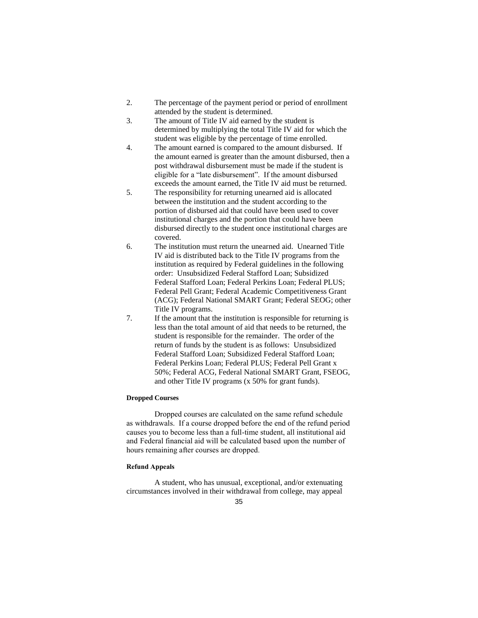- 2. The percentage of the payment period or period of enrollment attended by the student is determined.
- 3. The amount of Title IV aid earned by the student is determined by multiplying the total Title IV aid for which the student was eligible by the percentage of time enrolled.
- 4. The amount earned is compared to the amount disbursed. If the amount earned is greater than the amount disbursed, then a post withdrawal disbursement must be made if the student is eligible for a "late disbursement". If the amount disbursed exceeds the amount earned, the Title IV aid must be returned.
- 5. The responsibility for returning unearned aid is allocated between the institution and the student according to the portion of disbursed aid that could have been used to cover institutional charges and the portion that could have been disbursed directly to the student once institutional charges are covered.
- 6. The institution must return the unearned aid. Unearned Title IV aid is distributed back to the Title IV programs from the institution as required by Federal guidelines in the following order: Unsubsidized Federal Stafford Loan; Subsidized Federal Stafford Loan; Federal Perkins Loan; Federal PLUS; Federal Pell Grant; Federal Academic Competitiveness Grant (ACG); Federal National SMART Grant; Federal SEOG; other Title IV programs.
- 7. If the amount that the institution is responsible for returning is less than the total amount of aid that needs to be returned, the student is responsible for the remainder. The order of the return of funds by the student is as follows: Unsubsidized Federal Stafford Loan; Subsidized Federal Stafford Loan; Federal Perkins Loan; Federal PLUS; Federal Pell Grant x 50%; Federal ACG, Federal National SMART Grant, FSEOG, and other Title IV programs (x 50% for grant funds).

#### **Dropped Courses**

Dropped courses are calculated on the same refund schedule as withdrawals. If a course dropped before the end of the refund period causes you to become less than a full-time student, all institutional aid and Federal financial aid will be calculated based upon the number of hours remaining after courses are dropped.

#### **Refund Appeals**

A student, who has unusual, exceptional, and/or extenuating circumstances involved in their withdrawal from college, may appeal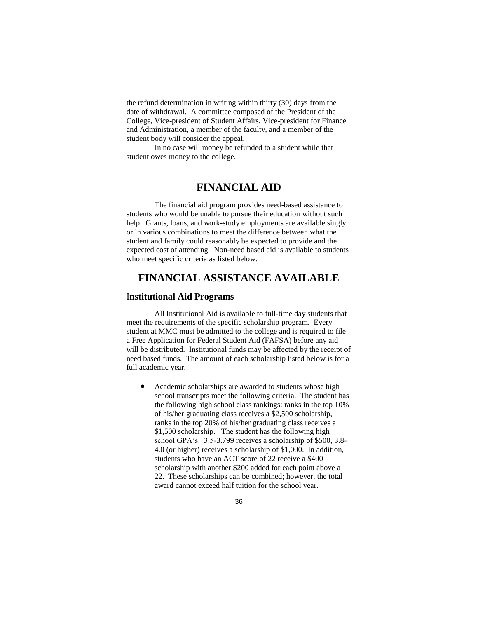the refund determination in writing within thirty (30) days from the date of withdrawal. A committee composed of the President of the College, Vice-president of Student Affairs, Vice-president for Finance and Administration, a member of the faculty, and a member of the student body will consider the appeal.

In no case will money be refunded to a student while that student owes money to the college.

# **FINANCIAL AID**

The financial aid program provides need-based assistance to students who would be unable to pursue their education without such help. Grants, loans, and work-study employments are available singly or in various combinations to meet the difference between what the student and family could reasonably be expected to provide and the expected cost of attending. Non-need based aid is available to students who meet specific criteria as listed below.

# **FINANCIAL ASSISTANCE AVAILABLE**

### I**nstitutional Aid Programs**

All Institutional Aid is available to full-time day students that meet the requirements of the specific scholarship program. Every student at MMC must be admitted to the college and is required to file a Free Application for Federal Student Aid (FAFSA) before any aid will be distributed. Institutional funds may be affected by the receipt of need based funds. The amount of each scholarship listed below is for a full academic year.

 Academic scholarships are awarded to students whose high school transcripts meet the following criteria. The student has the following high school class rankings: ranks in the top 10% of his/her graduating class receives a \$2,500 scholarship, ranks in the top 20% of his/her graduating class receives a \$1,500 scholarship. The student has the following high school GPA's: 3.5-3.799 receives a scholarship of \$500, 3.8- 4.0 (or higher) receives a scholarship of \$1,000. In addition, students who have an ACT score of 22 receive a \$400 scholarship with another \$200 added for each point above a 22. These scholarships can be combined; however, the total award cannot exceed half tuition for the school year.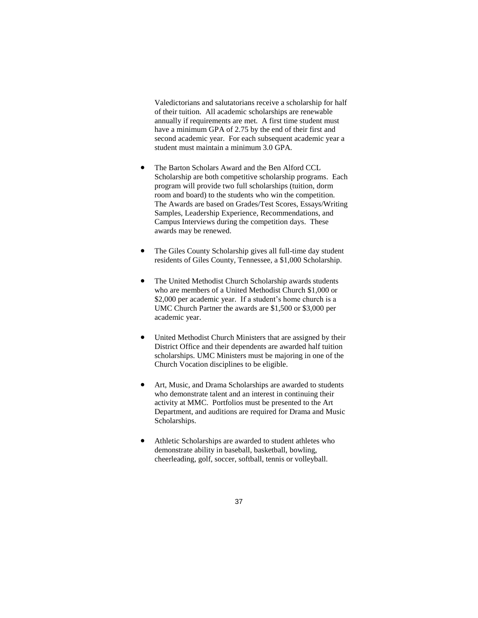Valedictorians and salutatorians receive a scholarship for half of their tuition. All academic scholarships are renewable annually if requirements are met. A first time student must have a minimum GPA of 2.75 by the end of their first and second academic year. For each subsequent academic year a student must maintain a minimum 3.0 GPA.

- The Barton Scholars Award and the Ben Alford CCL Scholarship are both competitive scholarship programs. Each program will provide two full scholarships (tuition, dorm room and board) to the students who win the competition. The Awards are based on Grades/Test Scores, Essays/Writing Samples, Leadership Experience, Recommendations, and Campus Interviews during the competition days. These awards may be renewed.
- The Giles County Scholarship gives all full-time day student residents of Giles County, Tennessee, a \$1,000 Scholarship.
- The United Methodist Church Scholarship awards students who are members of a United Methodist Church \$1,000 or \$2,000 per academic year. If a student's home church is a UMC Church Partner the awards are \$1,500 or \$3,000 per academic year.
- United Methodist Church Ministers that are assigned by their District Office and their dependents are awarded half tuition scholarships. UMC Ministers must be majoring in one of the Church Vocation disciplines to be eligible.
- Art, Music, and Drama Scholarships are awarded to students who demonstrate talent and an interest in continuing their activity at MMC. Portfolios must be presented to the Art Department, and auditions are required for Drama and Music Scholarships.
- Athletic Scholarships are awarded to student athletes who demonstrate ability in baseball, basketball, bowling, cheerleading, golf, soccer, softball, tennis or volleyball.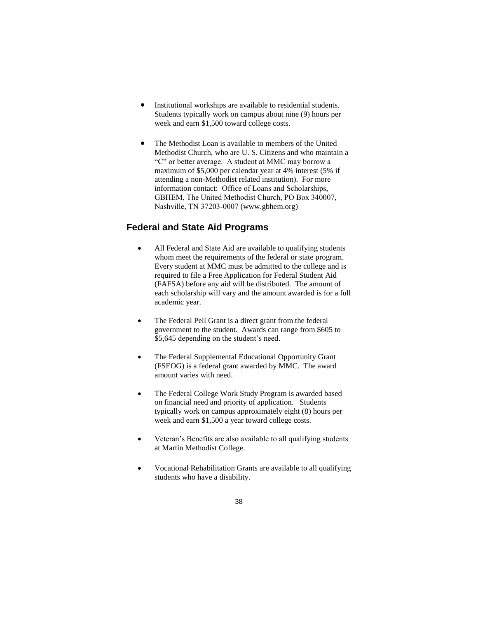- Institutional workships are available to residential students. Students typically work on campus about nine (9) hours per week and earn \$1,500 toward college costs.
- The Methodist Loan is available to members of the United Methodist Church, who are U. S. Citizens and who maintain a "C" or better average. A student at MMC may borrow a maximum of \$5,000 per calendar year at 4% interest (5% if attending a non-Methodist related institution). For more information contact: Office of Loans and Scholarships, GBHEM, The United Methodist Church, PO Box 340007, Nashville, TN 37203-0007 (www.gbhem.org)

## **Federal and State Aid Programs**

- All Federal and State Aid are available to qualifying students whom meet the requirements of the federal or state program. Every student at MMC must be admitted to the college and is required to file a Free Application for Federal Student Aid (FAFSA) before any aid will be distributed. The amount of each scholarship will vary and the amount awarded is for a full academic year.
- The Federal Pell Grant is a direct grant from the federal government to the student. Awards can range from \$605 to \$5,645 depending on the student's need.
- The Federal Supplemental Educational Opportunity Grant (FSEOG) is a federal grant awarded by MMC. The award amount varies with need.
- The Federal College Work Study Program is awarded based on financial need and priority of application. Students typically work on campus approximately eight (8) hours per week and earn \$1,500 a year toward college costs.
- Veteran's Benefits are also available to all qualifying students at Martin Methodist College.
- Vocational Rehabilitation Grants are available to all qualifying students who have a disability.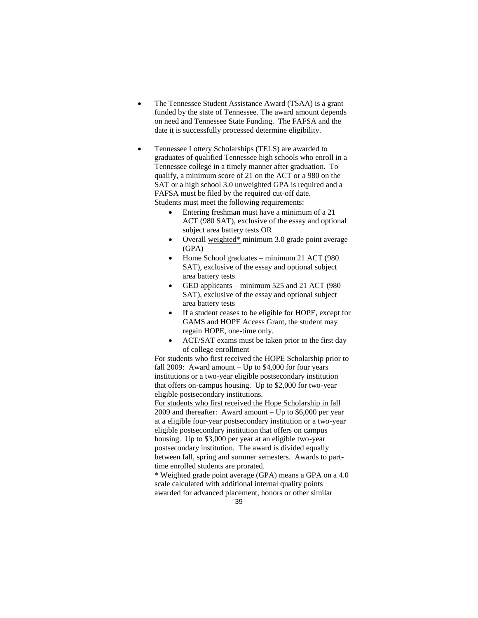- The Tennessee Student Assistance Award (TSAA) is a grant funded by the state of Tennessee. The award amount depends on need and Tennessee State Funding. The FAFSA and the date it is successfully processed determine eligibility.
- Tennessee Lottery Scholarships (TELS) are awarded to graduates of qualified Tennessee high schools who enroll in a Tennessee college in a timely manner after graduation. To qualify, a minimum score of 21 on the ACT or a 980 on the SAT or a high school 3.0 unweighted GPA is required and a FAFSA must be filed by the required cut-off date. Students must meet the following requirements:
	- Entering freshman must have a minimum of a 21 ACT (980 SAT), exclusive of the essay and optional subject area battery tests OR
	- Overall weighted\* minimum 3.0 grade point average (GPA)
	- Home School graduates minimum 21 ACT (980 SAT), exclusive of the essay and optional subject area battery tests
	- GED applicants minimum 525 and 21 ACT (980 SAT), exclusive of the essay and optional subject area battery tests
	- If a student ceases to be eligible for HOPE, except for GAMS and HOPE Access Grant, the student may regain HOPE, one-time only.
	- ACT/SAT exams must be taken prior to the first day of college enrollment

For students who first received the HOPE Scholarship prior to fall  $2009$ : Award amount – Up to \$4,000 for four years institutions or a two-year eligible postsecondary institution that offers on-campus housing. Up to \$2,000 for two-year eligible postsecondary institutions.

For students who first received the Hope Scholarship in fall 2009 and thereafter: Award amount – Up to \$6,000 per year at a eligible four-year postsecondary institution or a two-year eligible postsecondary institution that offers on campus housing. Up to \$3,000 per year at an eligible two-year postsecondary institution. The award is divided equally between fall, spring and summer semesters. Awards to parttime enrolled students are prorated.

\* Weighted grade point average (GPA) means a GPA on a 4.0 scale calculated with additional internal quality points awarded for advanced placement, honors or other similar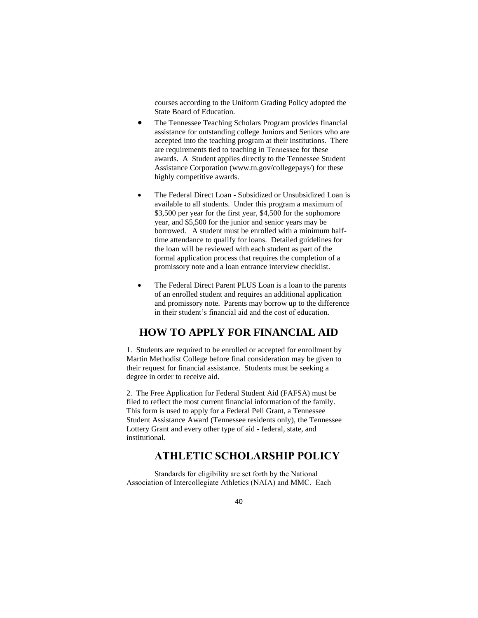courses according to the Uniform Grading Policy adopted the State Board of Education.

- The Tennessee Teaching Scholars Program provides financial assistance for outstanding college Juniors and Seniors who are accepted into the teaching program at their institutions. There are requirements tied to teaching in Tennessee for these awards. A Student applies directly to the Tennessee Student Assistance Corporation (www.tn.gov/collegepays/) for these highly competitive awards.
- The Federal Direct Loan Subsidized or Unsubsidized Loan is available to all students. Under this program a maximum of \$3,500 per year for the first year, \$4,500 for the sophomore year, and \$5,500 for the junior and senior years may be borrowed. A student must be enrolled with a minimum halftime attendance to qualify for loans. Detailed guidelines for the loan will be reviewed with each student as part of the formal application process that requires the completion of a promissory note and a loan entrance interview checklist.
- The Federal Direct Parent PLUS Loan is a loan to the parents of an enrolled student and requires an additional application and promissory note. Parents may borrow up to the difference in their student's financial aid and the cost of education.

## **HOW TO APPLY FOR FINANCIAL AID**

1. Students are required to be enrolled or accepted for enrollment by Martin Methodist College before final consideration may be given to their request for financial assistance. Students must be seeking a degree in order to receive aid.

2. The Free Application for Federal Student Aid (FAFSA) must be filed to reflect the most current financial information of the family. This form is used to apply for a Federal Pell Grant, a Tennessee Student Assistance Award (Tennessee residents only), the Tennessee Lottery Grant and every other type of aid - federal, state, and institutional.

## **ATHLETIC SCHOLARSHIP POLICY**

Standards for eligibility are set forth by the National Association of Intercollegiate Athletics (NAIA) and MMC. Each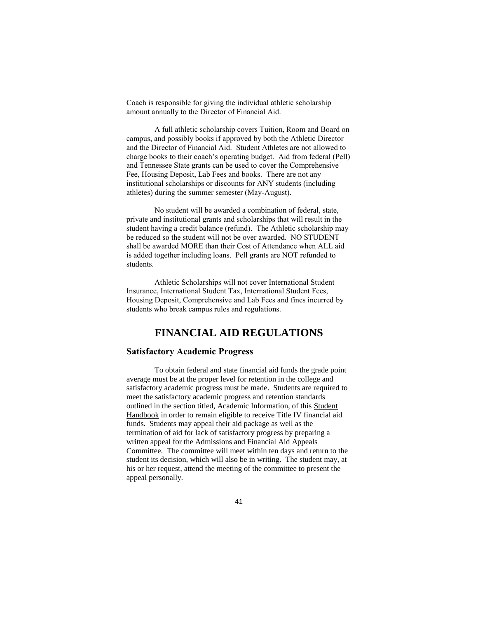Coach is responsible for giving the individual athletic scholarship amount annually to the Director of Financial Aid.

A full athletic scholarship covers Tuition, Room and Board on campus, and possibly books if approved by both the Athletic Director and the Director of Financial Aid. Student Athletes are not allowed to charge books to their coach's operating budget. Aid from federal (Pell) and Tennessee State grants can be used to cover the Comprehensive Fee, Housing Deposit, Lab Fees and books. There are not any institutional scholarships or discounts for ANY students (including athletes) during the summer semester (May-August).

No student will be awarded a combination of federal, state, private and institutional grants and scholarships that will result in the student having a credit balance (refund). The Athletic scholarship may be reduced so the student will not be over awarded. NO STUDENT shall be awarded MORE than their Cost of Attendance when ALL aid is added together including loans. Pell grants are NOT refunded to students.

Athletic Scholarships will not cover International Student Insurance, International Student Tax, International Student Fees, Housing Deposit, Comprehensive and Lab Fees and fines incurred by students who break campus rules and regulations.

## **FINANCIAL AID REGULATIONS**

### **Satisfactory Academic Progress**

To obtain federal and state financial aid funds the grade point average must be at the proper level for retention in the college and satisfactory academic progress must be made. Students are required to meet the satisfactory academic progress and retention standards outlined in the section titled, Academic Information, of this Student Handbook in order to remain eligible to receive Title IV financial aid funds. Students may appeal their aid package as well as the termination of aid for lack of satisfactory progress by preparing a written appeal for the Admissions and Financial Aid Appeals Committee. The committee will meet within ten days and return to the student its decision, which will also be in writing. The student may, at his or her request, attend the meeting of the committee to present the appeal personally.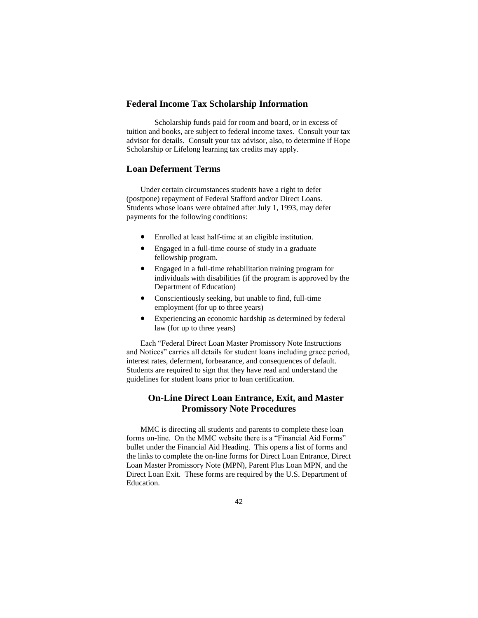#### **Federal Income Tax Scholarship Information**

Scholarship funds paid for room and board, or in excess of tuition and books, are subject to federal income taxes. Consult your tax advisor for details. Consult your tax advisor, also, to determine if Hope Scholarship or Lifelong learning tax credits may apply.

### **Loan Deferment Terms**

Under certain circumstances students have a right to defer (postpone) repayment of Federal Stafford and/or Direct Loans. Students whose loans were obtained after July 1, 1993, may defer payments for the following conditions:

- Enrolled at least half-time at an eligible institution.
- Engaged in a full-time course of study in a graduate fellowship program.
- Engaged in a full-time rehabilitation training program for individuals with disabilities (if the program is approved by the Department of Education)
- Conscientiously seeking, but unable to find, full-time employment (for up to three years)
- Experiencing an economic hardship as determined by federal law (for up to three years)

Each "Federal Direct Loan Master Promissory Note Instructions and Notices" carries all details for student loans including grace period, interest rates, deferment, forbearance, and consequences of default. Students are required to sign that they have read and understand the guidelines for student loans prior to loan certification.

### **On-Line Direct Loan Entrance, Exit, and Master Promissory Note Procedures**

MMC is directing all students and parents to complete these loan forms on-line. On the MMC website there is a "Financial Aid Forms" bullet under the Financial Aid Heading. This opens a list of forms and the links to complete the on-line forms for Direct Loan Entrance, Direct Loan Master Promissory Note (MPN), Parent Plus Loan MPN, and the Direct Loan Exit. These forms are required by the U.S. Department of Education.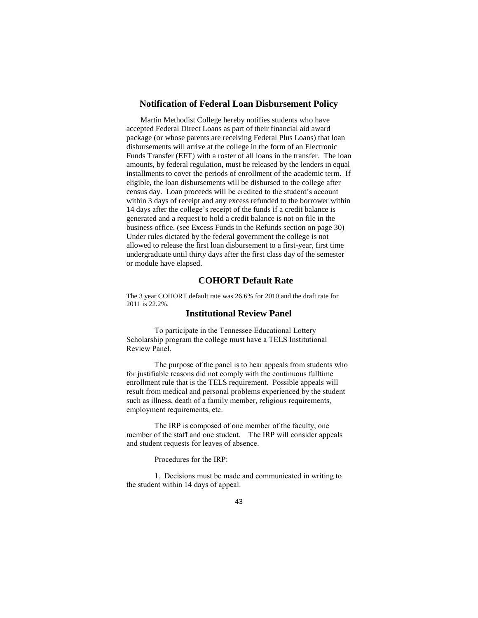#### **Notification of Federal Loan Disbursement Policy**

Martin Methodist College hereby notifies students who have accepted Federal Direct Loans as part of their financial aid award package (or whose parents are receiving Federal Plus Loans) that loan disbursements will arrive at the college in the form of an Electronic Funds Transfer (EFT) with a roster of all loans in the transfer. The loan amounts, by federal regulation, must be released by the lenders in equal installments to cover the periods of enrollment of the academic term. If eligible, the loan disbursements will be disbursed to the college after census day. Loan proceeds will be credited to the student's account within 3 days of receipt and any excess refunded to the borrower within 14 days after the college's receipt of the funds if a credit balance is generated and a request to hold a credit balance is not on file in the business office. (see Excess Funds in the Refunds section on page 30) Under rules dictated by the federal government the college is not allowed to release the first loan disbursement to a first-year, first time undergraduate until thirty days after the first class day of the semester or module have elapsed.

### **COHORT Default Rate**

The 3 year COHORT default rate was 26.6% for 2010 and the draft rate for 2011 is 22.2%.

### **Institutional Review Panel**

To participate in the Tennessee Educational Lottery Scholarship program the college must have a TELS Institutional Review Panel.

The purpose of the panel is to hear appeals from students who for justifiable reasons did not comply with the continuous fulltime enrollment rule that is the TELS requirement. Possible appeals will result from medical and personal problems experienced by the student such as illness, death of a family member, religious requirements, employment requirements, etc.

The IRP is composed of one member of the faculty, one member of the staff and one student. The IRP will consider appeals and student requests for leaves of absence.

Procedures for the IRP:

1. Decisions must be made and communicated in writing to the student within 14 days of appeal.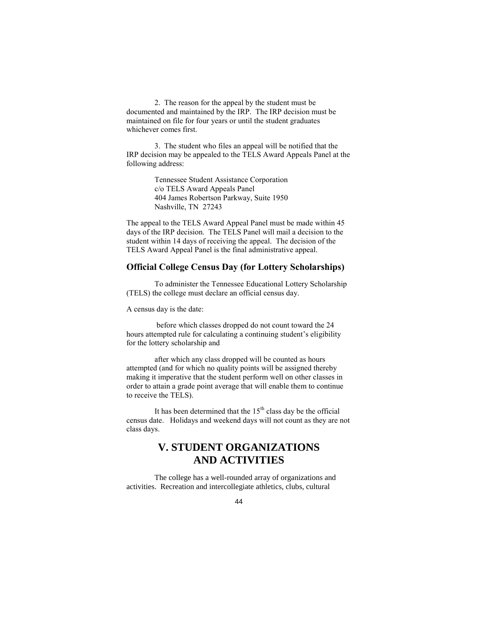2. The reason for the appeal by the student must be documented and maintained by the IRP. The IRP decision must be maintained on file for four years or until the student graduates whichever comes first.

3. The student who files an appeal will be notified that the IRP decision may be appealed to the TELS Award Appeals Panel at the following address:

> Tennessee Student Assistance Corporation c/o TELS Award Appeals Panel 404 James Robertson Parkway, Suite 1950 Nashville, TN 27243

The appeal to the TELS Award Appeal Panel must be made within 45 days of the IRP decision. The TELS Panel will mail a decision to the student within 14 days of receiving the appeal. The decision of the TELS Award Appeal Panel is the final administrative appeal.

#### **Official College Census Day (for Lottery Scholarships)**

To administer the Tennessee Educational Lottery Scholarship (TELS) the college must declare an official census day.

A census day is the date:

before which classes dropped do not count toward the 24 hours attempted rule for calculating a continuing student's eligibility for the lottery scholarship and

after which any class dropped will be counted as hours attempted (and for which no quality points will be assigned thereby making it imperative that the student perform well on other classes in order to attain a grade point average that will enable them to continue to receive the TELS).

It has been determined that the  $15<sup>th</sup>$  class day be the official census date. Holidays and weekend days will not count as they are not class days.

## **V. STUDENT ORGANIZATIONS AND ACTIVITIES**

The college has a well-rounded array of organizations and activities. Recreation and intercollegiate athletics, clubs, cultural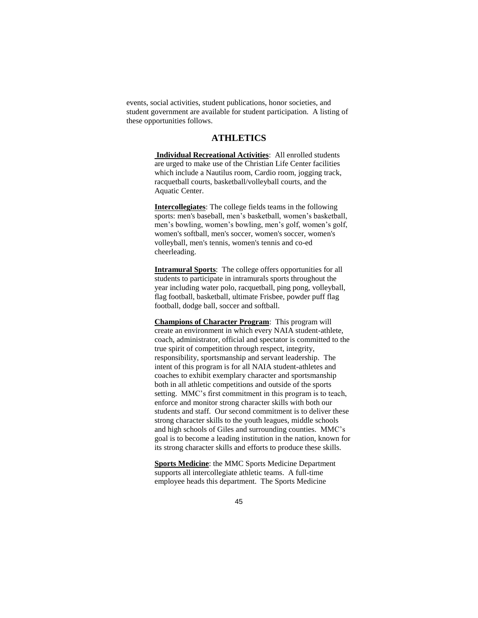events, social activities, student publications, honor societies, and student government are available for student participation. A listing of these opportunities follows.

### **ATHLETICS**

**Individual Recreational Activities**: All enrolled students are urged to make use of the Christian Life Center facilities which include a Nautilus room, Cardio room, jogging track, racquetball courts, basketball/volleyball courts, and the Aquatic Center.

**Intercollegiates**: The college fields teams in the following sports: men's baseball, men's basketball, women's basketball, men's bowling, women's bowling, men's golf, women's golf, women's softball, men's soccer, women's soccer, women's volleyball, men's tennis, women's tennis and co-ed cheerleading.

**Intramural Sports**: The college offers opportunities for all students to participate in intramurals sports throughout the year including water polo, racquetball, ping pong, volleyball, flag football, basketball, ultimate Frisbee, powder puff flag football, dodge ball, soccer and softball.

**Champions of Character Program**: This program will create an environment in which every NAIA student-athlete, coach, administrator, official and spectator is committed to the true spirit of competition through respect, integrity, responsibility, sportsmanship and servant leadership. The intent of this program is for all NAIA student-athletes and coaches to exhibit exemplary character and sportsmanship both in all athletic competitions and outside of the sports setting. MMC's first commitment in this program is to teach, enforce and monitor strong character skills with both our students and staff. Our second commitment is to deliver these strong character skills to the youth leagues, middle schools and high schools of Giles and surrounding counties. MMC's goal is to become a leading institution in the nation, known for its strong character skills and efforts to produce these skills.

**Sports Medicine**: the MMC Sports Medicine Department supports all intercollegiate athletic teams. A full-time employee heads this department. The Sports Medicine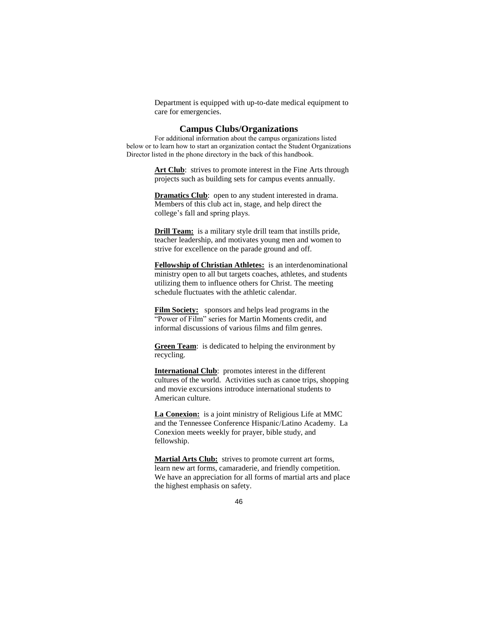Department is equipped with up-to-date medical equipment to care for emergencies.

#### **Campus Clubs/Organizations**

For additional information about the campus organizations listed below or to learn how to start an organization contact the Student Organizations Director listed in the phone directory in the back of this handbook.

> Art Club: strives to promote interest in the Fine Arts through projects such as building sets for campus events annually.

**Dramatics Club**: open to any student interested in drama. Members of this club act in, stage, and help direct the college's fall and spring plays.

**Drill Team:** is a military style drill team that instills pride, teacher leadership, and motivates young men and women to strive for excellence on the parade ground and off.

**Fellowship of Christian Athletes:** is an interdenominational ministry open to all but targets coaches, athletes, and students utilizing them to influence others for Christ. The meeting schedule fluctuates with the athletic calendar.

**Film Society:** sponsors and helps lead programs in the "Power of Film" series for Martin Moments credit, and informal discussions of various films and film genres.

**Green Team**: is dedicated to helping the environment by recycling.

**International Club**: promotes interest in the different cultures of the world. Activities such as canoe trips, shopping and movie excursions introduce international students to American culture.

**La Conexion:** is a joint ministry of Religious Life at MMC and the Tennessee Conference Hispanic/Latino Academy. La Conexion meets weekly for prayer, bible study, and fellowship.

**Martial Arts Club:** strives to promote current art forms, learn new art forms, camaraderie, and friendly competition. We have an appreciation for all forms of martial arts and place the highest emphasis on safety.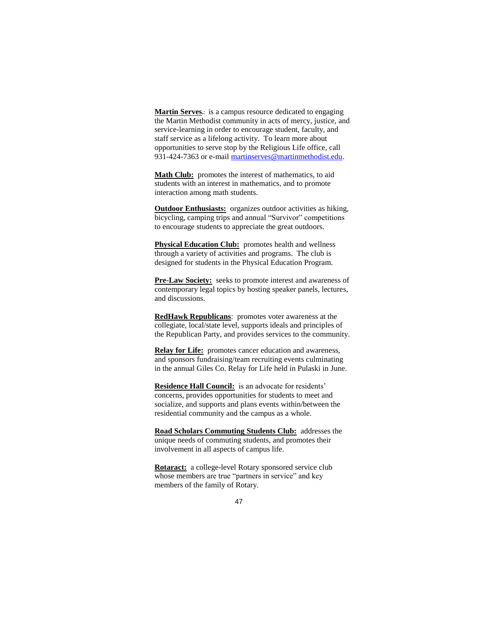**Martin Serves.**: is a campus resource dedicated to engaging the Martin Methodist community in acts of mercy, justice, and service-learning in order to encourage student, faculty, and staff service as a lifelong activity. To learn more about opportunities to serve stop by the Religious Life office, call 931-424-7363 or e-mail [martinserves@martinmethodist.edu.](mailto:martinserves@martinmethodist.edu)

Math Club: promotes the interest of mathematics, to aid students with an interest in mathematics, and to promote interaction among math students.

**Outdoor Enthusiasts:** organizes outdoor activities as hiking, bicycling, camping trips and annual "Survivor" competitions to encourage students to appreciate the great outdoors.

**Physical Education Club:** promotes health and wellness through a variety of activities and programs. The club is designed for students in the Physical Education Program.

**Pre-Law Society:** seeks to promote interest and awareness of contemporary legal topics by hosting speaker panels, lectures, and discussions.

**RedHawk Republicans**: promotes voter awareness at the collegiate, local/state level, supports ideals and principles of the Republican Party, and provides services to the community.

**Relay for Life:** promotes cancer education and awareness, and sponsors fundraising/team recruiting events culminating in the annual Giles Co. Relay for Life held in Pulaski in June.

**Residence Hall Council:** is an advocate for residents' concerns, provides opportunities for students to meet and socialize, and supports and plans events within/between the residential community and the campus as a whole.

**Road Scholars Commuting Students Club:** addresses the unique needs of commuting students, and promotes their involvement in all aspects of campus life.

Rotaract: a college-level Rotary sponsored service club whose members are true "partners in service" and key members of the family of Rotary.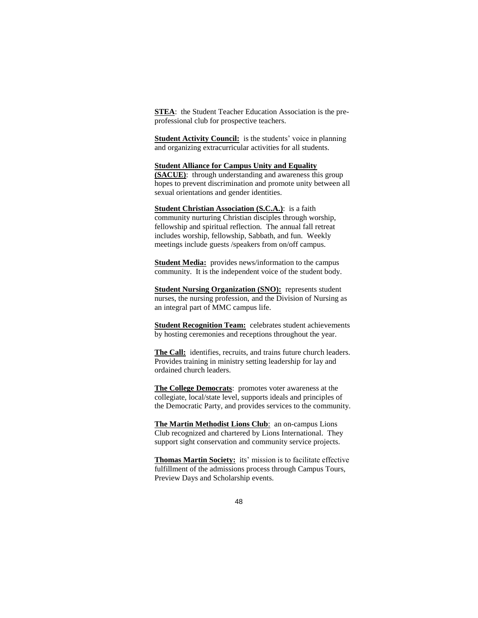**STEA**: the Student Teacher Education Association is the preprofessional club for prospective teachers.

**Student Activity Council:** is the students' voice in planning and organizing extracurricular activities for all students.

#### **Student Alliance for Campus Unity and Equality**

**(SACUE)**: through understanding and awareness this group hopes to prevent discrimination and promote unity between all sexual orientations and gender identities.

**Student Christian Association (S.C.A.)**: is a faith community nurturing Christian disciples through worship, fellowship and spiritual reflection. The annual fall retreat includes worship, fellowship, Sabbath, and fun. Weekly meetings include guests /speakers from on/off campus.

**Student Media:** provides news/information to the campus community. It is the independent voice of the student body.

**Student Nursing Organization (SNO):** represents student nurses, the nursing profession, and the Division of Nursing as an integral part of MMC campus life.

**Student Recognition Team:** celebrates student achievements by hosting ceremonies and receptions throughout the year.

**The Call:** identifies, recruits, and trains future church leaders. Provides training in ministry setting leadership for lay and ordained church leaders.

**The College Democrats**: promotes voter awareness at the collegiate, local/state level, supports ideals and principles of the Democratic Party, and provides services to the community.

**The Martin Methodist Lions Club**: an on-campus Lions Club recognized and chartered by Lions International. They support sight conservation and community service projects.

**Thomas Martin Society:** its' mission is to facilitate effective fulfillment of the admissions process through Campus Tours, Preview Days and Scholarship events.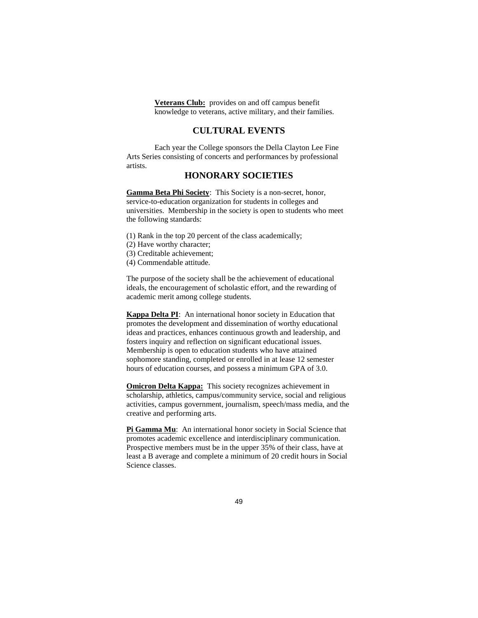**Veterans Club:** provides on and off campus benefit knowledge to veterans, active military, and their families.

### **CULTURAL EVENTS**

Each year the College sponsors the Della Clayton Lee Fine Arts Series consisting of concerts and performances by professional artists.

### **HONORARY SOCIETIES**

**Gamma Beta Phi Society**: This Society is a non-secret, honor, service-to-education organization for students in colleges and universities. Membership in the society is open to students who meet the following standards:

- (1) Rank in the top 20 percent of the class academically;
- (2) Have worthy character;
- (3) Creditable achievement;
- (4) Commendable attitude.

The purpose of the society shall be the achievement of educational ideals, the encouragement of scholastic effort, and the rewarding of academic merit among college students.

**Kappa Delta PI**: An international honor society in Education that promotes the development and dissemination of worthy educational ideas and practices, enhances continuous growth and leadership, and fosters inquiry and reflection on significant educational issues. Membership is open to education students who have attained sophomore standing, completed or enrolled in at lease 12 semester hours of education courses, and possess a minimum GPA of 3.0.

**Omicron Delta Kappa:** This society recognizes achievement in scholarship, athletics, campus/community service, social and religious activities, campus government, journalism, speech/mass media, and the creative and performing arts.

**Pi Gamma Mu**: An international honor society in Social Science that promotes academic excellence and interdisciplinary communication. Prospective members must be in the upper 35% of their class, have at least a B average and complete a minimum of 20 credit hours in Social Science classes.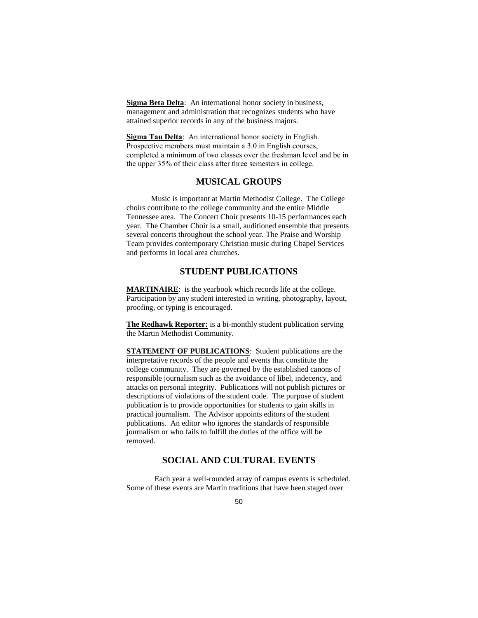**Sigma Beta Delta**: An international honor society in business, management and administration that recognizes students who have attained superior records in any of the business majors.

**Sigma Tau Delta**: An international honor society in English. Prospective members must maintain a 3.0 in English courses, completed a minimum of two classes over the freshman level and be in the upper 35% of their class after three semesters in college.

### **MUSICAL GROUPS**

Music is important at Martin Methodist College. The College choirs contribute to the college community and the entire Middle Tennessee area. The Concert Choir presents 10-15 performances each year. The Chamber Choir is a small, auditioned ensemble that presents several concerts throughout the school year. The Praise and Worship Team provides contemporary Christian music during Chapel Services and performs in local area churches.

### **STUDENT PUBLICATIONS**

**MARTINAIRE**: is the yearbook which records life at the college. Participation by any student interested in writing, photography, layout, proofing, or typing is encouraged.

**The Redhawk Reporter:** is a bi-monthly student publication serving the Martin Methodist Community.

**STATEMENT OF PUBLICATIONS:** Student publications are the interpretative records of the people and events that constitute the college community. They are governed by the established canons of responsible journalism such as the avoidance of libel, indecency, and attacks on personal integrity. Publications will not publish pictures or descriptions of violations of the student code. The purpose of student publication is to provide opportunities for students to gain skills in practical journalism. The Advisor appoints editors of the student publications. An editor who ignores the standards of responsible journalism or who fails to fulfill the duties of the office will be removed.

### **SOCIAL AND CULTURAL EVENTS**

Each year a well-rounded array of campus events is scheduled. Some of these events are Martin traditions that have been staged over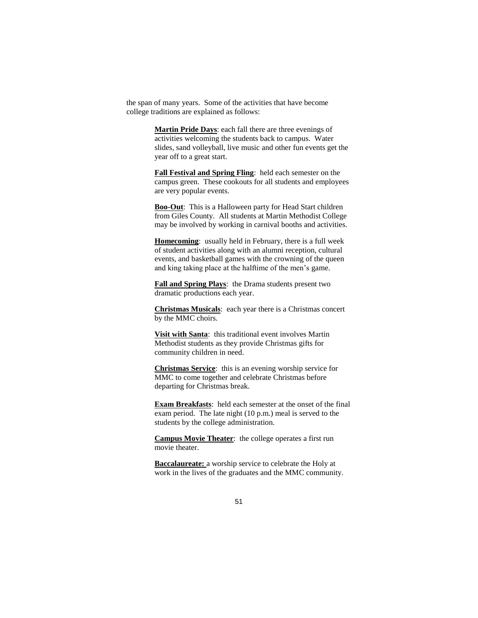the span of many years. Some of the activities that have become college traditions are explained as follows:

> **Martin Pride Days**: each fall there are three evenings of activities welcoming the students back to campus. Water slides, sand volleyball, live music and other fun events get the year off to a great start.

> **Fall Festival and Spring Fling**: held each semester on the campus green. These cookouts for all students and employees are very popular events.

> **Boo-Out**: This is a Halloween party for Head Start children from Giles County. All students at Martin Methodist College may be involved by working in carnival booths and activities.

**Homecoming**: usually held in February, there is a full week of student activities along with an alumni reception, cultural events, and basketball games with the crowning of the queen and king taking place at the halftime of the men's game.

**Fall and Spring Plays**: the Drama students present two dramatic productions each year.

**Christmas Musicals**: each year there is a Christmas concert by the MMC choirs.

**Visit with Santa**: this traditional event involves Martin Methodist students as they provide Christmas gifts for community children in need.

**Christmas Service**: this is an evening worship service for MMC to come together and celebrate Christmas before departing for Christmas break.

**Exam Breakfasts**: held each semester at the onset of the final exam period. The late night (10 p.m.) meal is served to the students by the college administration.

**Campus Movie Theater**: the college operates a first run movie theater.

**Baccalaureate:** a worship service to celebrate the Holy at work in the lives of the graduates and the MMC community.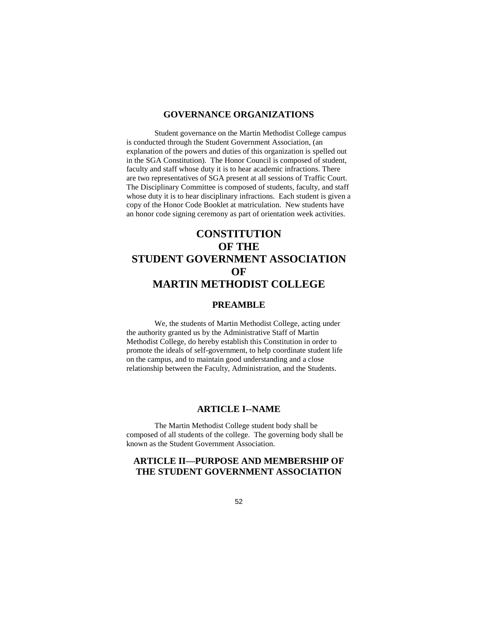### **GOVERNANCE ORGANIZATIONS**

Student governance on the Martin Methodist College campus is conducted through the Student Government Association, (an explanation of the powers and duties of this organization is spelled out in the SGA Constitution). The Honor Council is composed of student, faculty and staff whose duty it is to hear academic infractions. There are two representatives of SGA present at all sessions of Traffic Court. The Disciplinary Committee is composed of students, faculty, and staff whose duty it is to hear disciplinary infractions. Each student is given a copy of the Honor Code Booklet at matriculation. New students have an honor code signing ceremony as part of orientation week activities.

# **CONSTITUTION OF THE STUDENT GOVERNMENT ASSOCIATION OF MARTIN METHODIST COLLEGE**

### **PREAMBLE**

We, the students of Martin Methodist College, acting under the authority granted us by the Administrative Staff of Martin Methodist College, do hereby establish this Constitution in order to promote the ideals of self-government, to help coordinate student life on the campus, and to maintain good understanding and a close relationship between the Faculty, Administration, and the Students.

### **ARTICLE I--NAME**

The Martin Methodist College student body shall be composed of all students of the college. The governing body shall be known as the Student Government Association.

### **ARTICLE II—PURPOSE AND MEMBERSHIP OF THE STUDENT GOVERNMENT ASSOCIATION**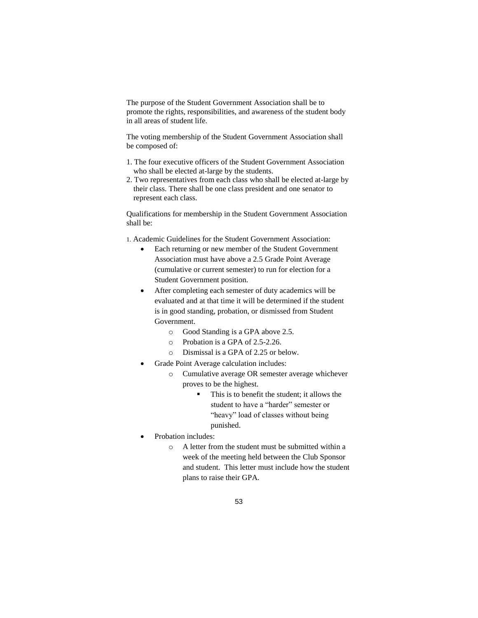The purpose of the Student Government Association shall be to promote the rights, responsibilities, and awareness of the student body in all areas of student life.

The voting membership of the Student Government Association shall be composed of:

- 1. The four executive officers of the Student Government Association who shall be elected at-large by the students.
- 2. Two representatives from each class who shall be elected at-large by their class. There shall be one class president and one senator to represent each class.

Qualifications for membership in the Student Government Association shall be:

1. Academic Guidelines for the Student Government Association:

- Each returning or new member of the Student Government Association must have above a 2.5 Grade Point Average (cumulative or current semester) to run for election for a Student Government position.
- After completing each semester of duty academics will be evaluated and at that time it will be determined if the student is in good standing, probation, or dismissed from Student Government.
	- o Good Standing is a GPA above 2.5.
	- o Probation is a GPA of 2.5-2.26.
	- o Dismissal is a GPA of 2.25 or below.
- Grade Point Average calculation includes:
	- o Cumulative average OR semester average whichever proves to be the highest.
		- This is to benefit the student; it allows the student to have a "harder" semester or "heavy" load of classes without being punished.
- Probation includes:
	- o A letter from the student must be submitted within a week of the meeting held between the Club Sponsor and student. This letter must include how the student plans to raise their GPA.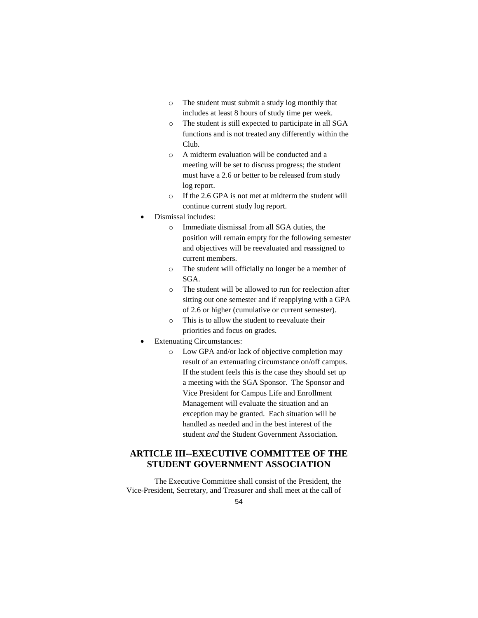- o The student must submit a study log monthly that includes at least 8 hours of study time per week.
- o The student is still expected to participate in all SGA functions and is not treated any differently within the Club.
- o A midterm evaluation will be conducted and a meeting will be set to discuss progress; the student must have a 2.6 or better to be released from study log report.
- o If the 2.6 GPA is not met at midterm the student will continue current study log report.
- Dismissal includes:
	- o Immediate dismissal from all SGA duties, the position will remain empty for the following semester and objectives will be reevaluated and reassigned to current members.
	- o The student will officially no longer be a member of SGA.
	- o The student will be allowed to run for reelection after sitting out one semester and if reapplying with a GPA of 2.6 or higher (cumulative or current semester).
	- o This is to allow the student to reevaluate their priorities and focus on grades.
- Extenuating Circumstances:
	- o Low GPA and/or lack of objective completion may result of an extenuating circumstance on/off campus. If the student feels this is the case they should set up a meeting with the SGA Sponsor. The Sponsor and Vice President for Campus Life and Enrollment Management will evaluate the situation and an exception may be granted. Each situation will be handled as needed and in the best interest of the student *and* the Student Government Association.

## **ARTICLE III--EXECUTIVE COMMITTEE OF THE STUDENT GOVERNMENT ASSOCIATION**

The Executive Committee shall consist of the President, the Vice-President, Secretary, and Treasurer and shall meet at the call of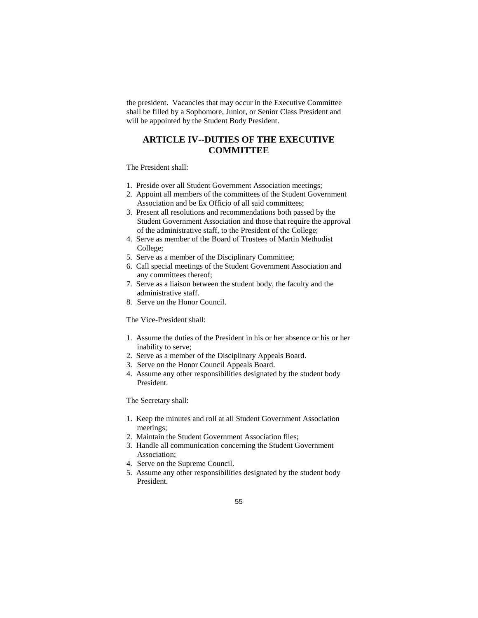the president. Vacancies that may occur in the Executive Committee shall be filled by a Sophomore, Junior, or Senior Class President and will be appointed by the Student Body President.

### **ARTICLE IV--DUTIES OF THE EXECUTIVE COMMITTEE**

The President shall:

- 1. Preside over all Student Government Association meetings;
- 2. Appoint all members of the committees of the Student Government Association and be Ex Officio of all said committees;
- 3. Present all resolutions and recommendations both passed by the Student Government Association and those that require the approval of the administrative staff, to the President of the College;
- 4. Serve as member of the Board of Trustees of Martin Methodist College;
- 5. Serve as a member of the Disciplinary Committee;
- 6. Call special meetings of the Student Government Association and any committees thereof;
- 7. Serve as a liaison between the student body, the faculty and the administrative staff.
- 8. Serve on the Honor Council.

The Vice-President shall:

- 1. Assume the duties of the President in his or her absence or his or her inability to serve;
- 2. Serve as a member of the Disciplinary Appeals Board.
- 3. Serve on the Honor Council Appeals Board.
- 4. Assume any other responsibilities designated by the student body President.

The Secretary shall:

- 1. Keep the minutes and roll at all Student Government Association meetings;
- 2. Maintain the Student Government Association files;
- 3. Handle all communication concerning the Student Government Association;
- 4. Serve on the Supreme Council.
- 5. Assume any other responsibilities designated by the student body President.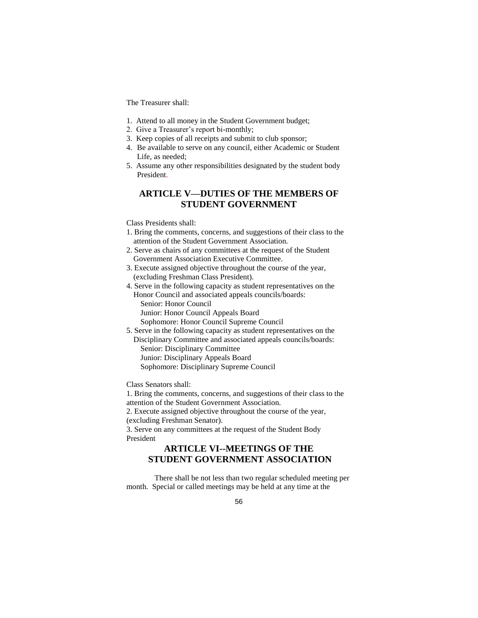The Treasurer shall:

- 1. Attend to all money in the Student Government budget;
- 2. Give a Treasurer's report bi-monthly;
- 3. Keep copies of all receipts and submit to club sponsor;
- 4. Be available to serve on any council, either Academic or Student Life, as needed;
- 5. Assume any other responsibilities designated by the student body President.

### **ARTICLE V—DUTIES OF THE MEMBERS OF STUDENT GOVERNMENT**

#### Class Presidents shall:

- 1. Bring the comments, concerns, and suggestions of their class to the attention of the Student Government Association.
- 2. Serve as chairs of any committees at the request of the Student Government Association Executive Committee.
- 3. Execute assigned objective throughout the course of the year, (excluding Freshman Class President).
- 4. Serve in the following capacity as student representatives on the Honor Council and associated appeals councils/boards: Senior: Honor Council Junior: Honor Council Appeals Board Sophomore: Honor Council Supreme Council

5. Serve in the following capacity as student representatives on the Disciplinary Committee and associated appeals councils/boards: Senior: Disciplinary Committee Junior: Disciplinary Appeals Board Sophomore: Disciplinary Supreme Council

Class Senators shall:

1. Bring the comments, concerns, and suggestions of their class to the attention of the Student Government Association.

2. Execute assigned objective throughout the course of the year, (excluding Freshman Senator).

3. Serve on any committees at the request of the Student Body President

### **ARTICLE VI--MEETINGS OF THE STUDENT GOVERNMENT ASSOCIATION**

There shall be not less than two regular scheduled meeting per month. Special or called meetings may be held at any time at the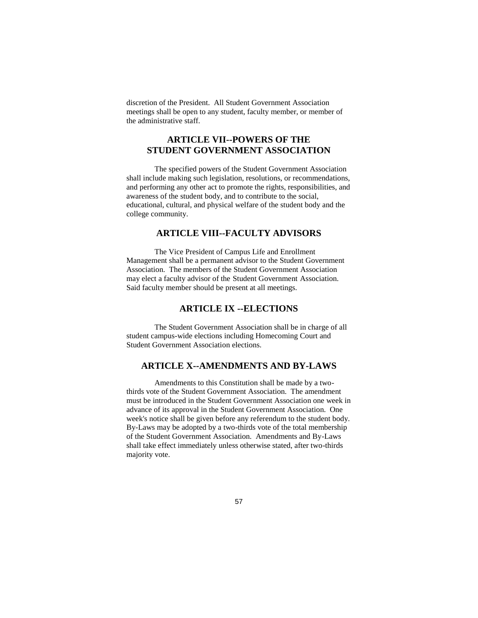discretion of the President. All Student Government Association meetings shall be open to any student, faculty member, or member of the administrative staff.

### **ARTICLE VII--POWERS OF THE STUDENT GOVERNMENT ASSOCIATION**

The specified powers of the Student Government Association shall include making such legislation, resolutions, or recommendations, and performing any other act to promote the rights, responsibilities, and awareness of the student body, and to contribute to the social, educational, cultural, and physical welfare of the student body and the college community.

### **ARTICLE VIII--FACULTY ADVISORS**

The Vice President of Campus Life and Enrollment Management shall be a permanent advisor to the Student Government Association. The members of the Student Government Association may elect a faculty advisor of the Student Government Association. Said faculty member should be present at all meetings.

### **ARTICLE IX --ELECTIONS**

The Student Government Association shall be in charge of all student campus-wide elections including Homecoming Court and Student Government Association elections.

### **ARTICLE X--AMENDMENTS AND BY-LAWS**

Amendments to this Constitution shall be made by a twothirds vote of the Student Government Association. The amendment must be introduced in the Student Government Association one week in advance of its approval in the Student Government Association. One week's notice shall be given before any referendum to the student body. By-Laws may be adopted by a two-thirds vote of the total membership of the Student Government Association. Amendments and By-Laws shall take effect immediately unless otherwise stated, after two-thirds majority vote.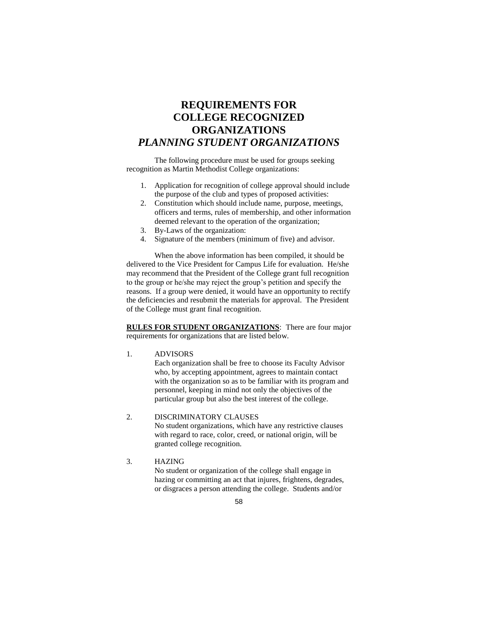# **REQUIREMENTS FOR COLLEGE RECOGNIZED ORGANIZATIONS** *PLANNING STUDENT ORGANIZATIONS*

The following procedure must be used for groups seeking recognition as Martin Methodist College organizations:

- 1. Application for recognition of college approval should include the purpose of the club and types of proposed activities:
- 2. Constitution which should include name, purpose, meetings, officers and terms, rules of membership, and other information deemed relevant to the operation of the organization;
- 3. By-Laws of the organization:
- 4. Signature of the members (minimum of five) and advisor.

When the above information has been compiled, it should be delivered to the Vice President for Campus Life for evaluation. He/she may recommend that the President of the College grant full recognition to the group or he/she may reject the group's petition and specify the reasons. If a group were denied, it would have an opportunity to rectify the deficiencies and resubmit the materials for approval. The President of the College must grant final recognition.

**RULES FOR STUDENT ORGANIZATIONS**: There are four major requirements for organizations that are listed below.

1. ADVISORS

Each organization shall be free to choose its Faculty Advisor who, by accepting appointment, agrees to maintain contact with the organization so as to be familiar with its program and personnel, keeping in mind not only the objectives of the particular group but also the best interest of the college.

### 2. DISCRIMINATORY CLAUSES

No student organizations, which have any restrictive clauses with regard to race, color, creed, or national origin, will be granted college recognition.

3. HAZING No student or organization of the college shall engage in hazing or committing an act that injures, frightens, degrades, or disgraces a person attending the college. Students and/or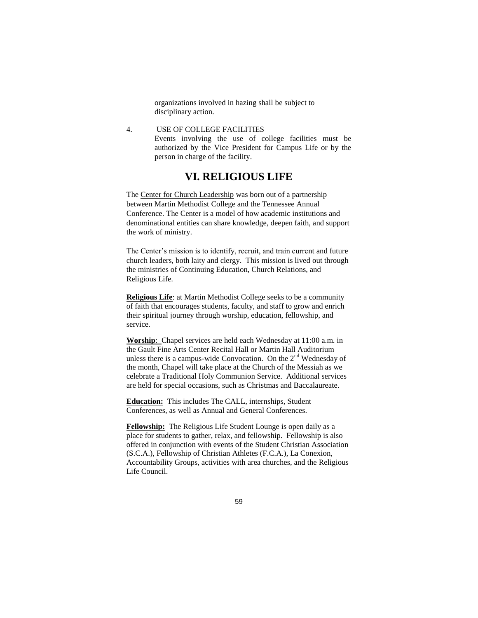organizations involved in hazing shall be subject to disciplinary action.

4. USE OF COLLEGE FACILITIES Events involving the use of college facilities must be authorized by the Vice President for Campus Life or by the person in charge of the facility.

### **VI. RELIGIOUS LIFE**

The Center for Church Leadership was born out of a partnership between Martin Methodist College and the Tennessee Annual Conference. The Center is a model of how academic institutions and denominational entities can share knowledge, deepen faith, and support the work of ministry.

The Center's mission is to identify, recruit, and train current and future church leaders, both laity and clergy. This mission is lived out through the ministries of Continuing Education, Church Relations, and Religious Life.

**Religious Life**: at Martin Methodist College seeks to be a community of faith that encourages students, faculty, and staff to grow and enrich their spiritual journey through worship, education, fellowship, and service.

**Worship**: Chapel services are held each Wednesday at 11:00 a.m. in the Gault Fine Arts Center Recital Hall or Martin Hall Auditorium unless there is a campus-wide Convocation. On the  $2<sup>nd</sup>$  Wednesday of the month, Chapel will take place at the Church of the Messiah as we celebrate a Traditional Holy Communion Service. Additional services are held for special occasions, such as Christmas and Baccalaureate.

**Education:** This includes The CALL, internships, Student Conferences, as well as Annual and General Conferences.

**Fellowship:** The Religious Life Student Lounge is open daily as a place for students to gather, relax, and fellowship. Fellowship is also offered in conjunction with events of the Student Christian Association (S.C.A.), Fellowship of Christian Athletes (F.C.A.), La Conexion, Accountability Groups, activities with area churches, and the Religious Life Council.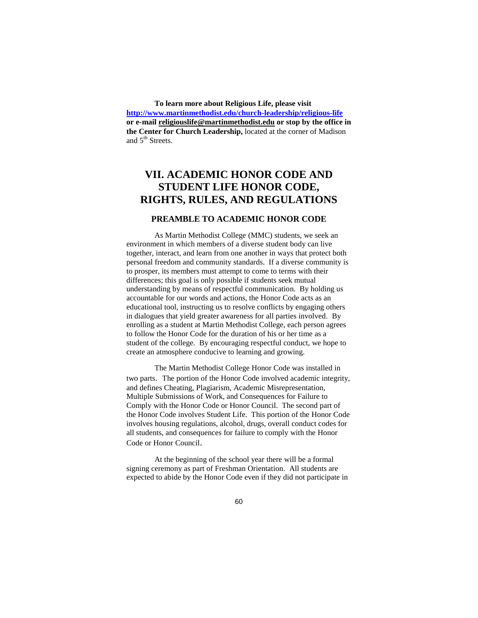**To learn more about Religious Life, please visit <http://www.martinmethodist.edu/church-leadership/religious-life> or e-mail [religiouslife@martinmethodist.edu](mailto:religiouslife@martinmethodist.edu) or stop by the office in the Center for Church Leadership,** located at the corner of Madison and 5<sup>th</sup> Streets.

# **VII. ACADEMIC HONOR CODE AND STUDENT LIFE HONOR CODE, RIGHTS, RULES, AND REGULATIONS**

### **PREAMBLE TO ACADEMIC HONOR CODE**

As Martin Methodist College (MMC) students, we seek an environment in which members of a diverse student body can live together, interact, and learn from one another in ways that protect both personal freedom and community standards. If a diverse community is to prosper, its members must attempt to come to terms with their differences; this goal is only possible if students seek mutual understanding by means of respectful communication. By holding us accountable for our words and actions, the Honor Code acts as an educational tool, instructing us to resolve conflicts by engaging others in dialogues that yield greater awareness for all parties involved. By enrolling as a student at Martin Methodist College, each person agrees to follow the Honor Code for the duration of his or her time as a student of the college. By encouraging respectful conduct, we hope to create an atmosphere conducive to learning and growing.

The Martin Methodist College Honor Code was installed in two parts. The portion of the Honor Code involved academic integrity, and defines Cheating, Plagiarism, Academic Misrepresentation, Multiple Submissions of Work, and Consequences for Failure to Comply with the Honor Code or Honor Council. The second part of the Honor Code involves Student Life. This portion of the Honor Code involves housing regulations, alcohol, drugs, overall conduct codes for all students, and consequences for failure to comply with the Honor Code or Honor Council.

At the beginning of the school year there will be a formal signing ceremony as part of Freshman Orientation. All students are expected to abide by the Honor Code even if they did not participate in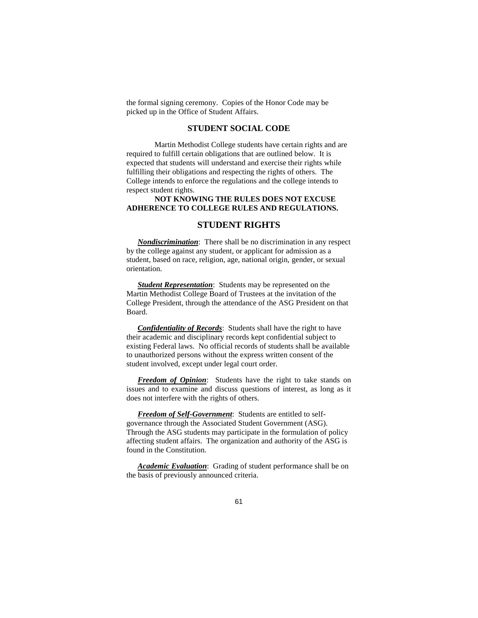the formal signing ceremony. Copies of the Honor Code may be picked up in the Office of Student Affairs.

### **STUDENT SOCIAL CODE**

Martin Methodist College students have certain rights and are required to fulfill certain obligations that are outlined below. It is expected that students will understand and exercise their rights while fulfilling their obligations and respecting the rights of others. The College intends to enforce the regulations and the college intends to respect student rights.

#### **NOT KNOWING THE RULES DOES NOT EXCUSE ADHERENCE TO COLLEGE RULES AND REGULATIONS.**

### **STUDENT RIGHTS**

*Nondiscrimination*: There shall be no discrimination in any respect by the college against any student, or applicant for admission as a student, based on race, religion, age, national origin, gender, or sexual orientation.

*Student Representation*: Students may be represented on the Martin Methodist College Board of Trustees at the invitation of the College President, through the attendance of the ASG President on that Board.

*Confidentiality of Records*: Students shall have the right to have their academic and disciplinary records kept confidential subject to existing Federal laws. No official records of students shall be available to unauthorized persons without the express written consent of the student involved, except under legal court order.

*Freedom of Opinion*: Students have the right to take stands on issues and to examine and discuss questions of interest, as long as it does not interfere with the rights of others.

*Freedom of Self-Government*: Students are entitled to selfgovernance through the Associated Student Government (ASG). Through the ASG students may participate in the formulation of policy affecting student affairs. The organization and authority of the ASG is found in the Constitution.

*Academic Evaluation*: Grading of student performance shall be on the basis of previously announced criteria.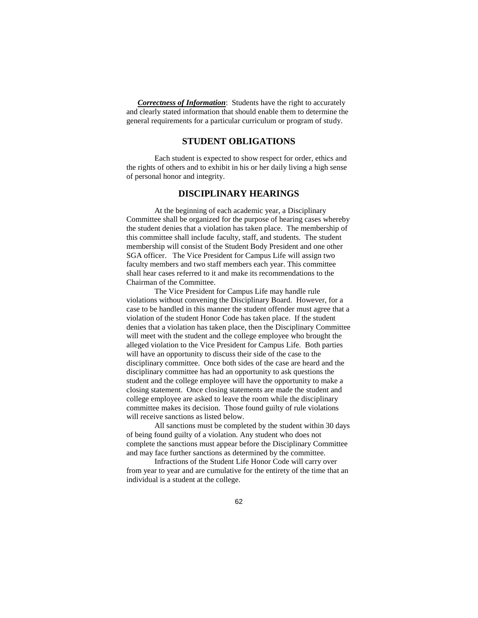*Correctness of Information*: Students have the right to accurately and clearly stated information that should enable them to determine the general requirements for a particular curriculum or program of study.

### **STUDENT OBLIGATIONS**

Each student is expected to show respect for order, ethics and the rights of others and to exhibit in his or her daily living a high sense of personal honor and integrity.

### **DISCIPLINARY HEARINGS**

At the beginning of each academic year, a Disciplinary Committee shall be organized for the purpose of hearing cases whereby the student denies that a violation has taken place. The membership of this committee shall include faculty, staff, and students. The student membership will consist of the Student Body President and one other SGA officer. The Vice President for Campus Life will assign two faculty members and two staff members each year. This committee shall hear cases referred to it and make its recommendations to the Chairman of the Committee.

The Vice President for Campus Life may handle rule violations without convening the Disciplinary Board. However, for a case to be handled in this manner the student offender must agree that a violation of the student Honor Code has taken place. If the student denies that a violation has taken place, then the Disciplinary Committee will meet with the student and the college employee who brought the alleged violation to the Vice President for Campus Life. Both parties will have an opportunity to discuss their side of the case to the disciplinary committee. Once both sides of the case are heard and the disciplinary committee has had an opportunity to ask questions the student and the college employee will have the opportunity to make a closing statement. Once closing statements are made the student and college employee are asked to leave the room while the disciplinary committee makes its decision. Those found guilty of rule violations will receive sanctions as listed below.

All sanctions must be completed by the student within 30 days of being found guilty of a violation. Any student who does not complete the sanctions must appear before the Disciplinary Committee and may face further sanctions as determined by the committee.

Infractions of the Student Life Honor Code will carry over from year to year and are cumulative for the entirety of the time that an individual is a student at the college.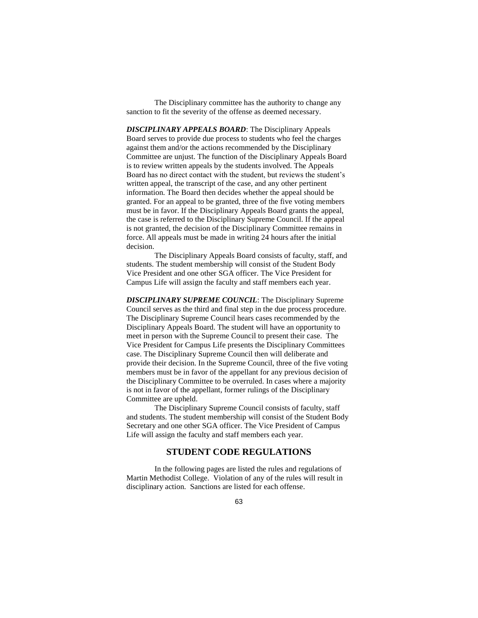The Disciplinary committee has the authority to change any sanction to fit the severity of the offense as deemed necessary.

*DISCIPLINARY APPEALS BOARD*: The Disciplinary Appeals Board serves to provide due process to students who feel the charges against them and/or the actions recommended by the Disciplinary Committee are unjust. The function of the Disciplinary Appeals Board is to review written appeals by the students involved. The Appeals Board has no direct contact with the student, but reviews the student's written appeal, the transcript of the case, and any other pertinent information. The Board then decides whether the appeal should be granted. For an appeal to be granted, three of the five voting members must be in favor. If the Disciplinary Appeals Board grants the appeal, the case is referred to the Disciplinary Supreme Council. If the appeal is not granted, the decision of the Disciplinary Committee remains in force. All appeals must be made in writing 24 hours after the initial decision.

The Disciplinary Appeals Board consists of faculty, staff, and students. The student membership will consist of the Student Body Vice President and one other SGA officer. The Vice President for Campus Life will assign the faculty and staff members each year.

*DISCIPLINARY SUPREME COUNCIL*: The Disciplinary Supreme Council serves as the third and final step in the due process procedure. The Disciplinary Supreme Council hears cases recommended by the Disciplinary Appeals Board. The student will have an opportunity to meet in person with the Supreme Council to present their case. The Vice President for Campus Life presents the Disciplinary Committees case. The Disciplinary Supreme Council then will deliberate and provide their decision. In the Supreme Council, three of the five voting members must be in favor of the appellant for any previous decision of the Disciplinary Committee to be overruled. In cases where a majority is not in favor of the appellant, former rulings of the Disciplinary Committee are upheld.

The Disciplinary Supreme Council consists of faculty, staff and students. The student membership will consist of the Student Body Secretary and one other SGA officer. The Vice President of Campus Life will assign the faculty and staff members each year.

### **STUDENT CODE REGULATIONS**

In the following pages are listed the rules and regulations of Martin Methodist College. Violation of any of the rules will result in disciplinary action. Sanctions are listed for each offense.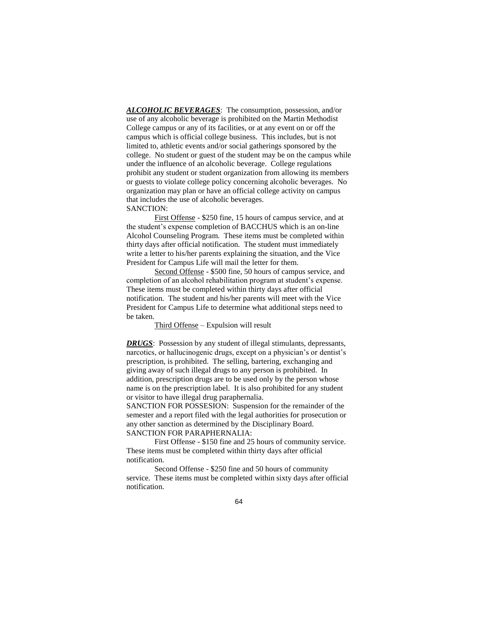*ALCOHOLIC BEVERAGES*: The consumption, possession, and/or use of any alcoholic beverage is prohibited on the Martin Methodist College campus or any of its facilities, or at any event on or off the campus which is official college business. This includes, but is not limited to, athletic events and/or social gatherings sponsored by the college. No student or guest of the student may be on the campus while under the influence of an alcoholic beverage. College regulations prohibit any student or student organization from allowing its members or guests to violate college policy concerning alcoholic beverages. No organization may plan or have an official college activity on campus that includes the use of alcoholic beverages. SANCTION:

First Offense - \$250 fine, 15 hours of campus service, and at the student's expense completion of BACCHUS which is an on-line Alcohol Counseling Program. These items must be completed within thirty days after official notification. The student must immediately write a letter to his/her parents explaining the situation, and the Vice President for Campus Life will mail the letter for them.

Second Offense - \$500 fine, 50 hours of campus service, and completion of an alcohol rehabilitation program at student's expense. These items must be completed within thirty days after official notification. The student and his/her parents will meet with the Vice President for Campus Life to determine what additional steps need to be taken.

#### Third Offense – Expulsion will result

**DRUGS**: Possession by any student of illegal stimulants, depressants, narcotics, or hallucinogenic drugs, except on a physician's or dentist's prescription, is prohibited. The selling, bartering, exchanging and giving away of such illegal drugs to any person is prohibited. In addition, prescription drugs are to be used only by the person whose name is on the prescription label. It is also prohibited for any student or visitor to have illegal drug paraphernalia.

SANCTION FOR POSSESION: Suspension for the remainder of the semester and a report filed with the legal authorities for prosecution or any other sanction as determined by the Disciplinary Board. SANCTION FOR PARAPHERNALIA:

First Offense - \$150 fine and 25 hours of community service. These items must be completed within thirty days after official notification.

Second Offense - \$250 fine and 50 hours of community service. These items must be completed within sixty days after official notification.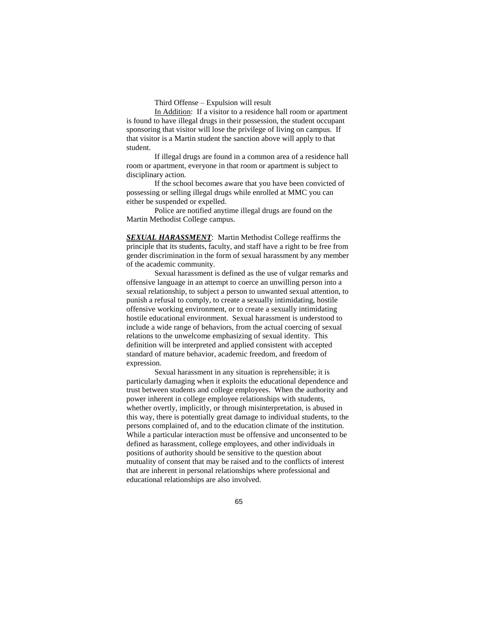Third Offense – Expulsion will result

In Addition: If a visitor to a residence hall room or apartment is found to have illegal drugs in their possession, the student occupant sponsoring that visitor will lose the privilege of living on campus. If that visitor is a Martin student the sanction above will apply to that student.

If illegal drugs are found in a common area of a residence hall room or apartment, everyone in that room or apartment is subject to disciplinary action.

If the school becomes aware that you have been convicted of possessing or selling illegal drugs while enrolled at MMC you can either be suspended or expelled.

Police are notified anytime illegal drugs are found on the Martin Methodist College campus.

*SEXUAL HARASSMENT*: Martin Methodist College reaffirms the principle that its students, faculty, and staff have a right to be free from gender discrimination in the form of sexual harassment by any member of the academic community.

Sexual harassment is defined as the use of vulgar remarks and offensive language in an attempt to coerce an unwilling person into a sexual relationship, to subject a person to unwanted sexual attention, to punish a refusal to comply, to create a sexually intimidating, hostile offensive working environment, or to create a sexually intimidating hostile educational environment. Sexual harassment is understood to include a wide range of behaviors, from the actual coercing of sexual relations to the unwelcome emphasizing of sexual identity. This definition will be interpreted and applied consistent with accepted standard of mature behavior, academic freedom, and freedom of expression.

Sexual harassment in any situation is reprehensible; it is particularly damaging when it exploits the educational dependence and trust between students and college employees. When the authority and power inherent in college employee relationships with students, whether overtly, implicitly, or through misinterpretation, is abused in this way, there is potentially great damage to individual students, to the persons complained of, and to the education climate of the institution. While a particular interaction must be offensive and unconsented to be defined as harassment, college employees, and other individuals in positions of authority should be sensitive to the question about mutuality of consent that may be raised and to the conflicts of interest that are inherent in personal relationships where professional and educational relationships are also involved.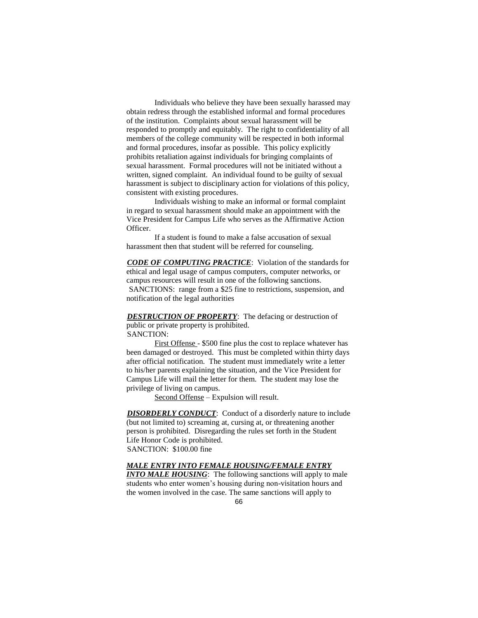Individuals who believe they have been sexually harassed may obtain redress through the established informal and formal procedures of the institution. Complaints about sexual harassment will be responded to promptly and equitably. The right to confidentiality of all members of the college community will be respected in both informal and formal procedures, insofar as possible. This policy explicitly prohibits retaliation against individuals for bringing complaints of sexual harassment. Formal procedures will not be initiated without a written, signed complaint. An individual found to be guilty of sexual harassment is subject to disciplinary action for violations of this policy, consistent with existing procedures.

Individuals wishing to make an informal or formal complaint in regard to sexual harassment should make an appointment with the Vice President for Campus Life who serves as the Affirmative Action Officer.

If a student is found to make a false accusation of sexual harassment then that student will be referred for counseling.

*CODE OF COMPUTING PRACTICE*: Violation of the standards for ethical and legal usage of campus computers, computer networks, or campus resources will result in one of the following sanctions. SANCTIONS: range from a \$25 fine to restrictions, suspension, and notification of the legal authorities

*DESTRUCTION OF PROPERTY*: The defacing or destruction of public or private property is prohibited. SANCTION:

First Offense - \$500 fine plus the cost to replace whatever has been damaged or destroyed. This must be completed within thirty days after official notification. The student must immediately write a letter to his/her parents explaining the situation, and the Vice President for Campus Life will mail the letter for them. The student may lose the privilege of living on campus.

Second Offense – Expulsion will result.

*DISORDERLY CONDUCT*: Conduct of a disorderly nature to include (but not limited to) screaming at, cursing at, or threatening another person is prohibited. Disregarding the rules set forth in the Student Life Honor Code is prohibited. SANCTION: \$100.00 fine

#### *MALE ENTRY INTO FEMALE HOUSING/FEMALE ENTRY*

*INTO MALE HOUSING*: The following sanctions will apply to male students who enter women's housing during non-visitation hours and the women involved in the case. The same sanctions will apply to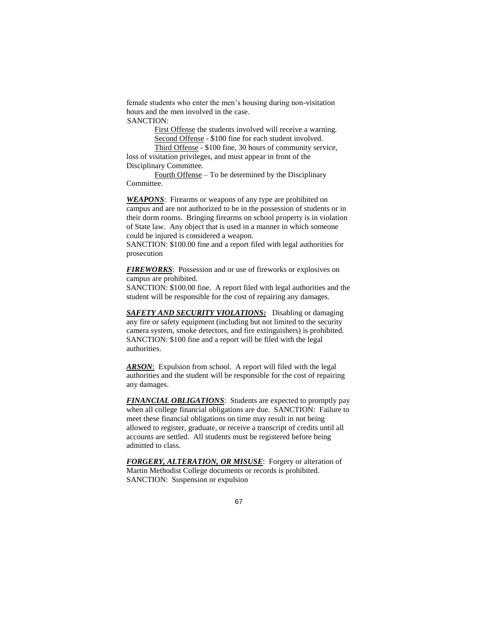female students who enter the men's housing during non-visitation hours and the men involved in the case.

SANCTION:

First Offense the students involved will receive a warning. Second Offense - \$100 fine for each student involved.

Third Offense - \$100 fine, 30 hours of community service, loss of visitation privileges, and must appear in front of the Disciplinary Committee.

Fourth Offense – To be determined by the Disciplinary Committee.

*WEAPONS*: Firearms or weapons of any type are prohibited on campus and are not authorized to be in the possession of students or in their dorm rooms. Bringing firearms on school property is in violation of State law. Any object that is used in a manner in which someone could be injured is considered a weapon.

SANCTION: \$100.00 fine and a report filed with legal authorities for prosecution

*FIREWORKS*: Possession and or use of fireworks or explosives on campus are prohibited.

SANCTION: \$100.00 fine. A report filed with legal authorities and the student will be responsible for the cost of repairing any damages.

*SAFETY AND SECURITY VIOLATIONS:* Disabling or damaging any fire or safety equipment (including but not limited to the security camera system, smoke detectors, and fire extinguishers) is prohibited. SANCTION: \$100 fine and a report will be filed with the legal authorities.

**ARSON:** Expulsion from school. A report will filed with the legal authorities and the student will be responsible for the cost of repairing any damages.

*FINANCIAL OBLIGATIONS*: Students are expected to promptly pay when all college financial obligations are due. SANCTION: Failure to meet these financial obligations on time may result in not being allowed to register, graduate, or receive a transcript of credits until all accounts are settled. All students must be registered before being admitted to class.

*FORGERY, ALTERATION, OR MISUSE*: Forgery or alteration of Martin Methodist College documents or records is prohibited. SANCTION: Suspension or expulsion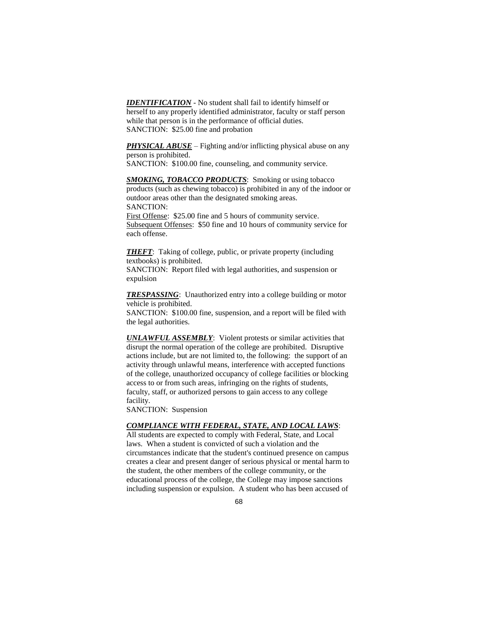*IDENTIFICATION* - No student shall fail to identify himself or herself to any properly identified administrator, faculty or staff person while that person is in the performance of official duties. SANCTION: \$25.00 fine and probation

**PHYSICAL ABUSE** – Fighting and/or inflicting physical abuse on any person is prohibited.

SANCTION: \$100.00 fine, counseling, and community service.

**SMOKING, TOBACCO PRODUCTS:** Smoking or using tobacco products (such as chewing tobacco) is prohibited in any of the indoor or outdoor areas other than the designated smoking areas. SANCTION:

First Offense: \$25.00 fine and 5 hours of community service. Subsequent Offenses: \$50 fine and 10 hours of community service for each offense.

*THEFT*: Taking of college, public, or private property (including textbooks) is prohibited.

SANCTION: Report filed with legal authorities, and suspension or expulsion

*TRESPASSING*: Unauthorized entry into a college building or motor vehicle is prohibited.

SANCTION: \$100.00 fine, suspension, and a report will be filed with the legal authorities.

*UNLAWFUL ASSEMBLY*: Violent protests or similar activities that disrupt the normal operation of the college are prohibited. Disruptive actions include, but are not limited to, the following: the support of an activity through unlawful means, interference with accepted functions of the college, unauthorized occupancy of college facilities or blocking access to or from such areas, infringing on the rights of students, faculty, staff, or authorized persons to gain access to any college facility.

SANCTION: Suspension

### *COMPLIANCE WITH FEDERAL, STATE, AND LOCAL LAWS*:

All students are expected to comply with Federal, State, and Local laws. When a student is convicted of such a violation and the circumstances indicate that the student's continued presence on campus creates a clear and present danger of serious physical or mental harm to the student, the other members of the college community, or the educational process of the college, the College may impose sanctions including suspension or expulsion. A student who has been accused of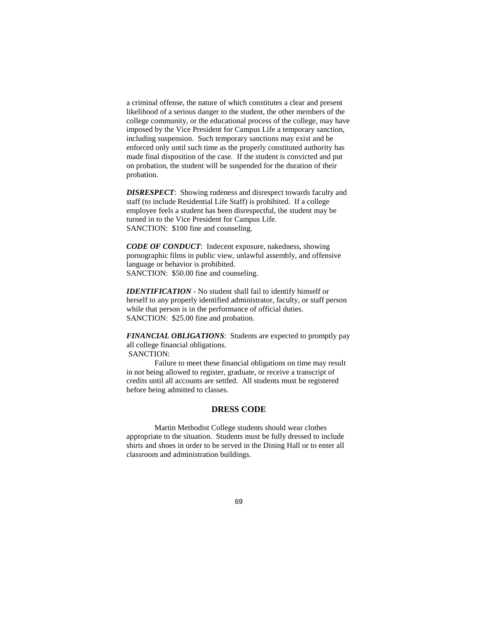a criminal offense, the nature of which constitutes a clear and present likelihood of a serious danger to the student, the other members of the college community, or the educational process of the college, may have imposed by the Vice President for Campus Life a temporary sanction, including suspension. Such temporary sanctions may exist and be enforced only until such time as the properly constituted authority has made final disposition of the case. If the student is convicted and put on probation, the student will be suspended for the duration of their probation.

*DISRESPECT*: Showing rudeness and disrespect towards faculty and staff (to include Residential Life Staff) is prohibited. If a college employee feels a student has been disrespectful, the student may be turned in to the Vice President for Campus Life. SANCTION: \$100 fine and counseling.

*CODE OF CONDUCT*: Indecent exposure, nakedness, showing pornographic films in public view, unlawful assembly, and offensive language or behavior is prohibited. SANCTION: \$50.00 fine and counseling.

*IDENTIFICATION* - No student shall fail to identify himself or herself to any properly identified administrator, faculty, or staff person while that person is in the performance of official duties. SANCTION: \$25.00 fine and probation.

*FINANCIAL OBLIGATIONS*: Students are expected to promptly pay all college financial obligations. SANCTION:

Failure to meet these financial obligations on time may result in not being allowed to register, graduate, or receive a transcript of credits until all accounts are settled. All students must be registered before being admitted to classes.

### **DRESS CODE**

Martin Methodist College students should wear clothes appropriate to the situation. Students must be fully dressed to include shirts and shoes in order to be served in the Dining Hall or to enter all classroom and administration buildings.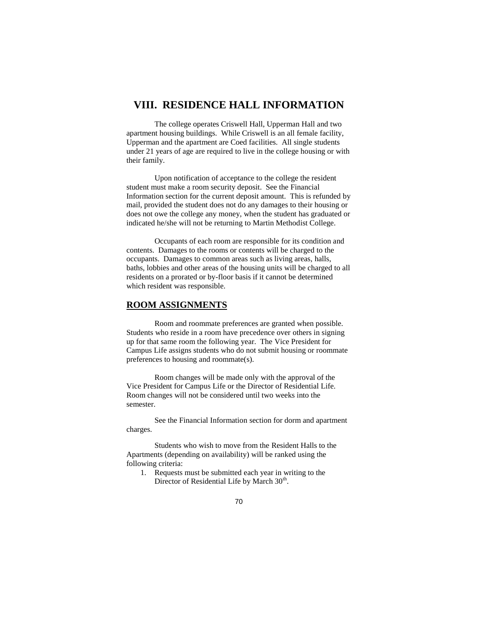## **VIII. RESIDENCE HALL INFORMATION**

The college operates Criswell Hall, Upperman Hall and two apartment housing buildings. While Criswell is an all female facility, Upperman and the apartment are Coed facilities. All single students under 21 years of age are required to live in the college housing or with their family.

Upon notification of acceptance to the college the resident student must make a room security deposit. See the Financial Information section for the current deposit amount. This is refunded by mail, provided the student does not do any damages to their housing or does not owe the college any money, when the student has graduated or indicated he/she will not be returning to Martin Methodist College.

Occupants of each room are responsible for its condition and contents. Damages to the rooms or contents will be charged to the occupants. Damages to common areas such as living areas, halls, baths, lobbies and other areas of the housing units will be charged to all residents on a prorated or by-floor basis if it cannot be determined which resident was responsible.

### **ROOM ASSIGNMENTS**

Room and roommate preferences are granted when possible. Students who reside in a room have precedence over others in signing up for that same room the following year. The Vice President for Campus Life assigns students who do not submit housing or roommate preferences to housing and roommate(s).

Room changes will be made only with the approval of the Vice President for Campus Life or the Director of Residential Life. Room changes will not be considered until two weeks into the semester.

See the Financial Information section for dorm and apartment charges.

Students who wish to move from the Resident Halls to the Apartments (depending on availability) will be ranked using the following criteria:

1. Requests must be submitted each year in writing to the Director of Residential Life by March 30<sup>th</sup>.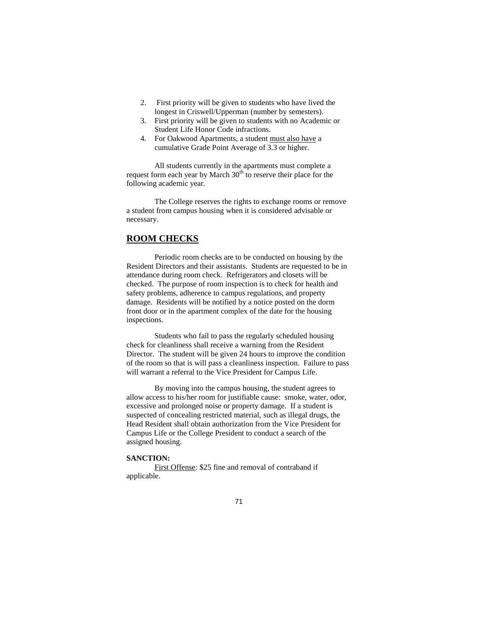- 2. First priority will be given to students who have lived the longest in Criswell/Upperman (number by semesters).
- 3. First priority will be given to students with no Academic or Student Life Honor Code infractions.
- 4. For Oakwood Apartments, a student must also have a cumulative Grade Point Average of 3.3 or higher.

All students currently in the apartments must complete a request form each year by March  $30<sup>th</sup>$  to reserve their place for the following academic year.

The College reserves the rights to exchange rooms or remove a student from campus housing when it is considered advisable or necessary.

#### **ROOM CHECKS**

Periodic room checks are to be conducted on housing by the Resident Directors and their assistants. Students are requested to be in attendance during room check. Refrigerators and closets will be checked. The purpose of room inspection is to check for health and safety problems, adherence to campus regulations, and property damage. Residents will be notified by a notice posted on the dorm front door or in the apartment complex of the date for the housing inspections.

Students who fail to pass the regularly scheduled housing check for cleanliness shall receive a warning from the Resident Director. The student will be given 24 hours to improve the condition of the room so that is will pass a cleanliness inspection. Failure to pass will warrant a referral to the Vice President for Campus Life.

By moving into the campus housing, the student agrees to allow access to his/her room for justifiable cause: smoke, water, odor, excessive and prolonged noise or property damage. If a student is suspected of concealing restricted material, such as illegal drugs, the Head Resident shall obtain authorization from the Vice President for Campus Life or the College President to conduct a search of the assigned housing.

#### **SANCTION:**

First Offense: \$25 fine and removal of contraband if applicable.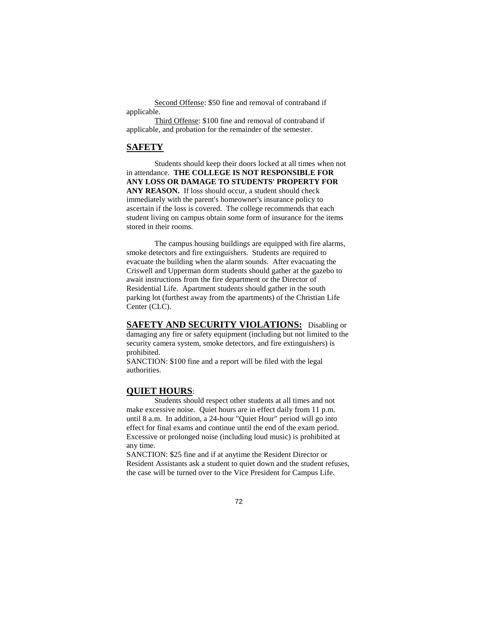Second Offense: \$50 fine and removal of contraband if applicable.

Third Offense: \$100 fine and removal of contraband if applicable, and probation for the remainder of the semester.

#### **SAFETY**

Students should keep their doors locked at all times when not in attendance. **THE COLLEGE IS NOT RESPONSIBLE FOR ANY LOSS OR DAMAGE TO STUDENTS' PROPERTY FOR ANY REASON.** If loss should occur, a student should check immediately with the parent's homeowner's insurance policy to ascertain if the loss is covered. The college recommends that each student living on campus obtain some form of insurance for the items stored in their rooms.

The campus housing buildings are equipped with fire alarms, smoke detectors and fire extinguishers. Students are required to evacuate the building when the alarm sounds. After evacuating the Criswell and Upperman dorm students should gather at the gazebo to await instructions from the fire department or the Director of Residential Life. Apartment students should gather in the south parking lot (furthest away from the apartments) of the Christian Life Center (CLC).

**SAFETY AND SECURITY VIOLATIONS:** Disabling or damaging any fire or safety equipment (including but not limited to the security camera system, smoke detectors, and fire extinguishers) is prohibited.

SANCTION: \$100 fine and a report will be filed with the legal authorities.

### **QUIET HOURS**:

Students should respect other students at all times and not make excessive noise. Quiet hours are in effect daily from 11 p.m. until 8 a.m. In addition, a 24-hour "Quiet Hour" period will go into effect for final exams and continue until the end of the exam period. Excessive or prolonged noise (including loud music) is prohibited at any time.

SANCTION: \$25 fine and if at anytime the Resident Director or Resident Assistants ask a student to quiet down and the student refuses, the case will be turned over to the Vice President for Campus Life.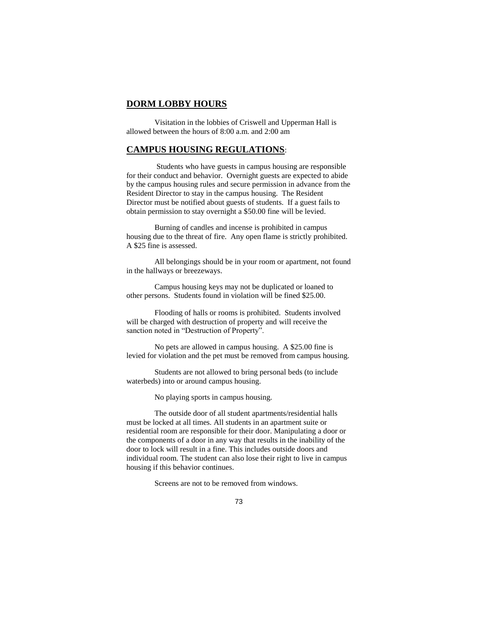### **DORM LOBBY HOURS**

Visitation in the lobbies of Criswell and Upperman Hall is allowed between the hours of 8:00 a.m. and 2:00 am

# **CAMPUS HOUSING REGULATIONS**:

Students who have guests in campus housing are responsible for their conduct and behavior. Overnight guests are expected to abide by the campus housing rules and secure permission in advance from the Resident Director to stay in the campus housing. The Resident Director must be notified about guests of students. If a guest fails to obtain permission to stay overnight a \$50.00 fine will be levied.

Burning of candles and incense is prohibited in campus housing due to the threat of fire. Any open flame is strictly prohibited. A \$25 fine is assessed.

All belongings should be in your room or apartment, not found in the hallways or breezeways.

Campus housing keys may not be duplicated or loaned to other persons. Students found in violation will be fined \$25.00.

Flooding of halls or rooms is prohibited. Students involved will be charged with destruction of property and will receive the sanction noted in "Destruction of Property".

No pets are allowed in campus housing. A \$25.00 fine is levied for violation and the pet must be removed from campus housing.

Students are not allowed to bring personal beds (to include waterbeds) into or around campus housing.

No playing sports in campus housing.

The outside door of all student apartments/residential halls must be locked at all times. All students in an apartment suite or residential room are responsible for their door. Manipulating a door or the components of a door in any way that results in the inability of the door to lock will result in a fine. This includes outside doors and individual room. The student can also lose their right to live in campus housing if this behavior continues.

Screens are not to be removed from windows.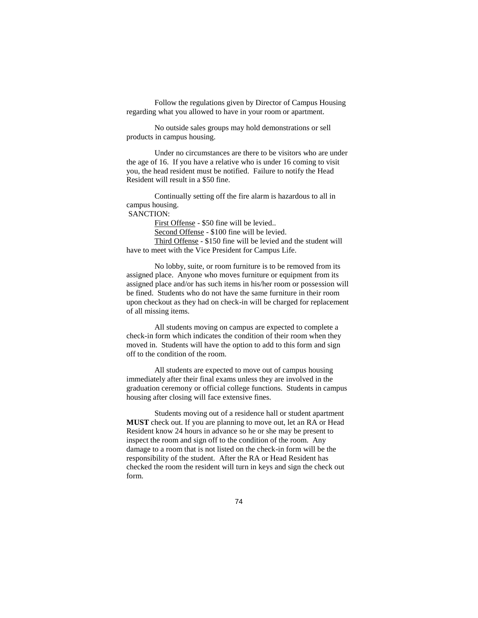Follow the regulations given by Director of Campus Housing regarding what you allowed to have in your room or apartment.

No outside sales groups may hold demonstrations or sell products in campus housing.

Under no circumstances are there to be visitors who are under the age of 16. If you have a relative who is under 16 coming to visit you, the head resident must be notified. Failure to notify the Head Resident will result in a \$50 fine.

Continually setting off the fire alarm is hazardous to all in campus housing. SANCTION:

First Offense - \$50 fine will be levied.. Second Offense - \$100 fine will be levied. Third Offense - \$150 fine will be levied and the student will have to meet with the Vice President for Campus Life.

No lobby, suite, or room furniture is to be removed from its assigned place. Anyone who moves furniture or equipment from its assigned place and/or has such items in his/her room or possession will be fined. Students who do not have the same furniture in their room upon checkout as they had on check-in will be charged for replacement of all missing items.

All students moving on campus are expected to complete a check-in form which indicates the condition of their room when they moved in. Students will have the option to add to this form and sign off to the condition of the room.

All students are expected to move out of campus housing immediately after their final exams unless they are involved in the graduation ceremony or official college functions. Students in campus housing after closing will face extensive fines.

Students moving out of a residence hall or student apartment **MUST** check out. If you are planning to move out, let an RA or Head Resident know 24 hours in advance so he or she may be present to inspect the room and sign off to the condition of the room. Any damage to a room that is not listed on the check-in form will be the responsibility of the student. After the RA or Head Resident has checked the room the resident will turn in keys and sign the check out form.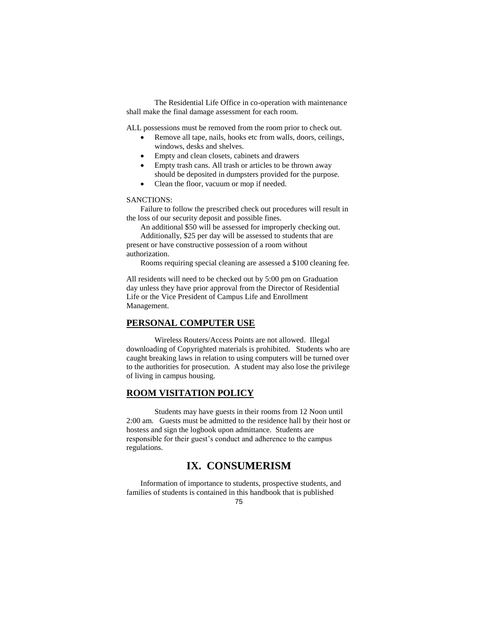The Residential Life Office in co-operation with maintenance shall make the final damage assessment for each room.

ALL possessions must be removed from the room prior to check out.

- Remove all tape, nails, hooks etc from walls, doors, ceilings, windows, desks and shelves.
	- Empty and clean closets, cabinets and drawers
	- Empty trash cans. All trash or articles to be thrown away should be deposited in dumpsters provided for the purpose.
- Clean the floor, vacuum or mop if needed.

#### SANCTIONS:

Failure to follow the prescribed check out procedures will result in the loss of our security deposit and possible fines.

An additional \$50 will be assessed for improperly checking out. Additionally, \$25 per day will be assessed to students that are present or have constructive possession of a room without authorization.

Rooms requiring special cleaning are assessed a \$100 cleaning fee.

All residents will need to be checked out by 5:00 pm on Graduation day unless they have prior approval from the Director of Residential Life or the Vice President of Campus Life and Enrollment Management.

### **PERSONAL COMPUTER USE**

Wireless Routers/Access Points are not allowed. Illegal downloading of Copyrighted materials is prohibited. Students who are caught breaking laws in relation to using computers will be turned over to the authorities for prosecution. A student may also lose the privilege of living in campus housing.

### **ROOM VISITATION POLICY**

Students may have guests in their rooms from 12 Noon until 2:00 am. Guests must be admitted to the residence hall by their host or hostess and sign the logbook upon admittance. Students are responsible for their guest's conduct and adherence to the campus regulations.

# **IX. CONSUMERISM**

Information of importance to students, prospective students, and families of students is contained in this handbook that is published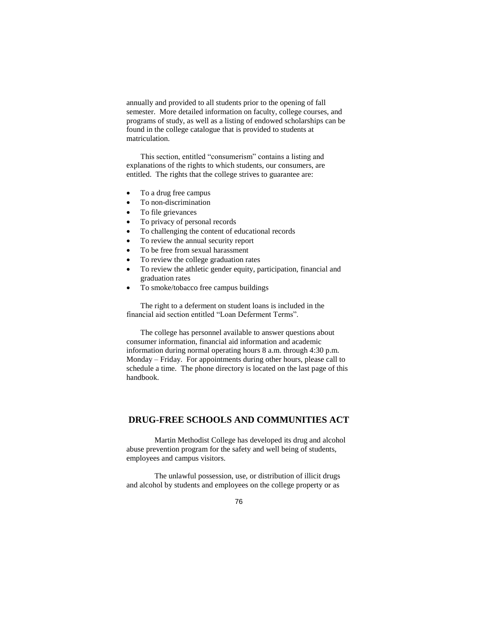annually and provided to all students prior to the opening of fall semester. More detailed information on faculty, college courses, and programs of study, as well as a listing of endowed scholarships can be found in the college catalogue that is provided to students at matriculation.

This section, entitled "consumerism" contains a listing and explanations of the rights to which students, our consumers, are entitled. The rights that the college strives to guarantee are:

- To a drug free campus
- To non-discrimination
- To file grievances
- To privacy of personal records
- To challenging the content of educational records
- To review the annual security report
- To be free from sexual harassment
- To review the college graduation rates
- To review the athletic gender equity, participation, financial and graduation rates
- To smoke/tobacco free campus buildings

The right to a deferment on student loans is included in the financial aid section entitled "Loan Deferment Terms".

The college has personnel available to answer questions about consumer information, financial aid information and academic information during normal operating hours 8 a.m. through 4:30 p.m. Monday – Friday. For appointments during other hours, please call to schedule a time. The phone directory is located on the last page of this handbook.

# **DRUG-FREE SCHOOLS AND COMMUNITIES ACT**

Martin Methodist College has developed its drug and alcohol abuse prevention program for the safety and well being of students, employees and campus visitors.

The unlawful possession, use, or distribution of illicit drugs and alcohol by students and employees on the college property or as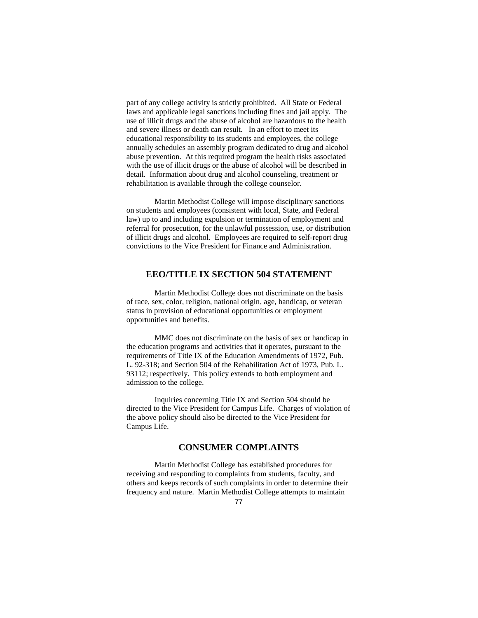part of any college activity is strictly prohibited. All State or Federal laws and applicable legal sanctions including fines and jail apply. The use of illicit drugs and the abuse of alcohol are hazardous to the health and severe illness or death can result. In an effort to meet its educational responsibility to its students and employees, the college annually schedules an assembly program dedicated to drug and alcohol abuse prevention. At this required program the health risks associated with the use of illicit drugs or the abuse of alcohol will be described in detail. Information about drug and alcohol counseling, treatment or rehabilitation is available through the college counselor.

Martin Methodist College will impose disciplinary sanctions on students and employees (consistent with local, State, and Federal law) up to and including expulsion or termination of employment and referral for prosecution, for the unlawful possession, use, or distribution of illicit drugs and alcohol. Employees are required to self-report drug convictions to the Vice President for Finance and Administration.

# **EEO/TITLE IX SECTION 504 STATEMENT**

Martin Methodist College does not discriminate on the basis of race, sex, color, religion, national origin, age, handicap, or veteran status in provision of educational opportunities or employment opportunities and benefits.

MMC does not discriminate on the basis of sex or handicap in the education programs and activities that it operates, pursuant to the requirements of Title IX of the Education Amendments of 1972, Pub. L. 92-318; and Section 504 of the Rehabilitation Act of 1973, Pub. L. 93112; respectively. This policy extends to both employment and admission to the college.

Inquiries concerning Title IX and Section 504 should be directed to the Vice President for Campus Life. Charges of violation of the above policy should also be directed to the Vice President for Campus Life.

# **CONSUMER COMPLAINTS**

Martin Methodist College has established procedures for receiving and responding to complaints from students, faculty, and others and keeps records of such complaints in order to determine their frequency and nature. Martin Methodist College attempts to maintain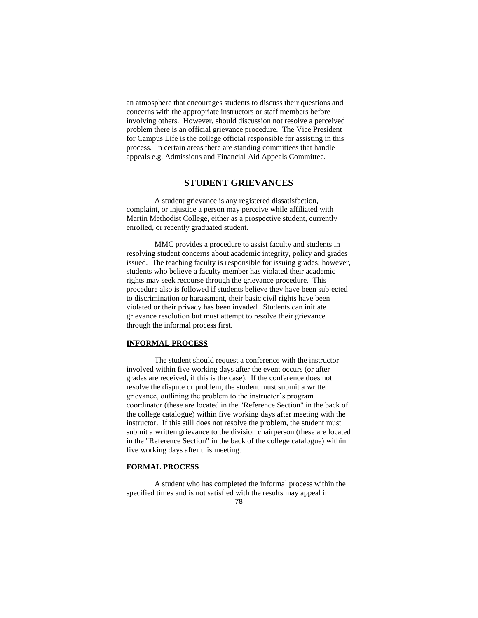an atmosphere that encourages students to discuss their questions and concerns with the appropriate instructors or staff members before involving others. However, should discussion not resolve a perceived problem there is an official grievance procedure. The Vice President for Campus Life is the college official responsible for assisting in this process. In certain areas there are standing committees that handle appeals e.g. Admissions and Financial Aid Appeals Committee.

### **STUDENT GRIEVANCES**

A student grievance is any registered dissatisfaction, complaint, or injustice a person may perceive while affiliated with Martin Methodist College, either as a prospective student, currently enrolled, or recently graduated student.

MMC provides a procedure to assist faculty and students in resolving student concerns about academic integrity, policy and grades issued. The teaching faculty is responsible for issuing grades; however, students who believe a faculty member has violated their academic rights may seek recourse through the grievance procedure. This procedure also is followed if students believe they have been subjected to discrimination or harassment, their basic civil rights have been violated or their privacy has been invaded. Students can initiate grievance resolution but must attempt to resolve their grievance through the informal process first.

### **INFORMAL PROCESS**

The student should request a conference with the instructor involved within five working days after the event occurs (or after grades are received, if this is the case). If the conference does not resolve the dispute or problem, the student must submit a written grievance, outlining the problem to the instructor's program coordinator (these are located in the "Reference Section" in the back of the college catalogue) within five working days after meeting with the instructor. If this still does not resolve the problem, the student must submit a written grievance to the division chairperson (these are located in the "Reference Section" in the back of the college catalogue) within five working days after this meeting.

#### **FORMAL PROCESS**

A student who has completed the informal process within the specified times and is not satisfied with the results may appeal in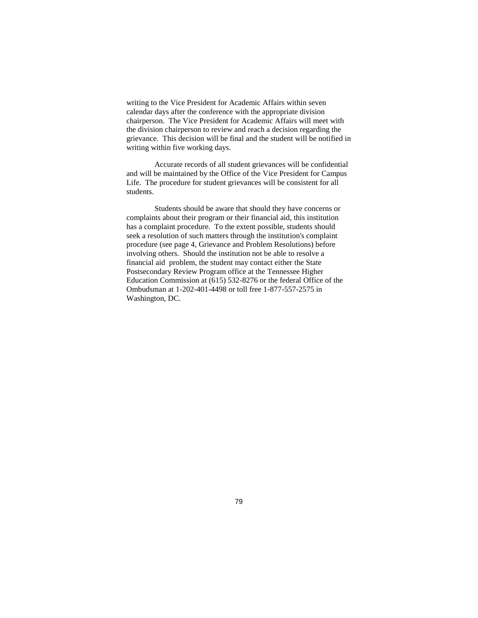writing to the Vice President for Academic Affairs within seven calendar days after the conference with the appropriate division chairperson. The Vice President for Academic Affairs will meet with the division chairperson to review and reach a decision regarding the grievance. This decision will be final and the student will be notified in writing within five working days.

Accurate records of all student grievances will be confidential and will be maintained by the Office of the Vice President for Campus Life. The procedure for student grievances will be consistent for all students.

Students should be aware that should they have concerns or complaints about their program or their financial aid, this institution has a complaint procedure. To the extent possible, students should seek a resolution of such matters through the institution's complaint procedure (see page 4, Grievance and Problem Resolutions) before involving others. Should the institution not be able to resolve a financial aid problem, the student may contact either the State Postsecondary Review Program office at the Tennessee Higher Education Commission at (615) 532-8276 or the federal Office of the Ombudsman at 1-202-401-4498 or toll free 1-877-557-2575 in Washington, DC.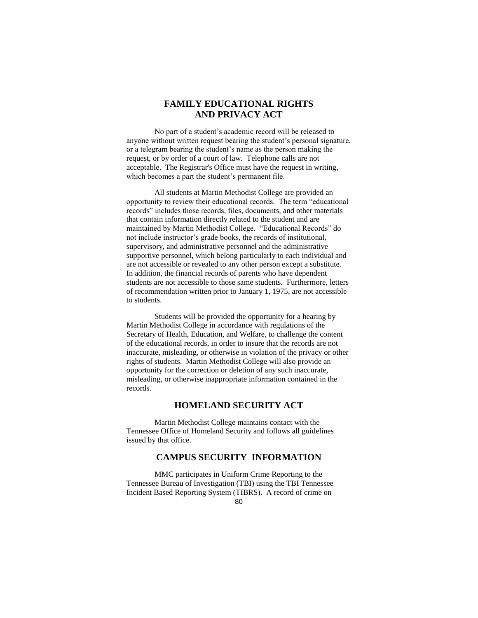# **FAMILY EDUCATIONAL RIGHTS AND PRIVACY ACT**

No part of a student's academic record will be released to anyone without written request bearing the student's personal signature, or a telegram bearing the student's name as the person making the request, or by order of a court of law. Telephone calls are not acceptable. The Registrar's Office must have the request in writing, which becomes a part the student's permanent file.

All students at Martin Methodist College are provided an opportunity to review their educational records. The term "educational records" includes those records, files, documents, and other materials that contain information directly related to the student and are maintained by Martin Methodist College. "Educational Records" do not include instructor's grade books, the records of institutional, supervisory, and administrative personnel and the administrative supportive personnel, which belong particularly to each individual and are not accessible or revealed to any other person except a substitute. In addition, the financial records of parents who have dependent students are not accessible to those same students. Furthermore, letters of recommendation written prior to January 1, 1975, are not accessible to students.

Students will be provided the opportunity for a hearing by Martin Methodist College in accordance with regulations of the Secretary of Health, Education, and Welfare, to challenge the content of the educational records, in order to insure that the records are not inaccurate, misleading, or otherwise in violation of the privacy or other rights of students. Martin Methodist College will also provide an opportunity for the correction or deletion of any such inaccurate, misleading, or otherwise inappropriate information contained in the records.

# **HOMELAND SECURITY ACT**

Martin Methodist College maintains contact with the Tennessee Office of Homeland Security and follows all guidelines issued by that office.

# **CAMPUS SECURITY INFORMATION**

MMC participates in Uniform Crime Reporting to the Tennessee Bureau of Investigation (TBI) using the TBI Tennessee Incident Based Reporting System (TIBRS). A record of crime on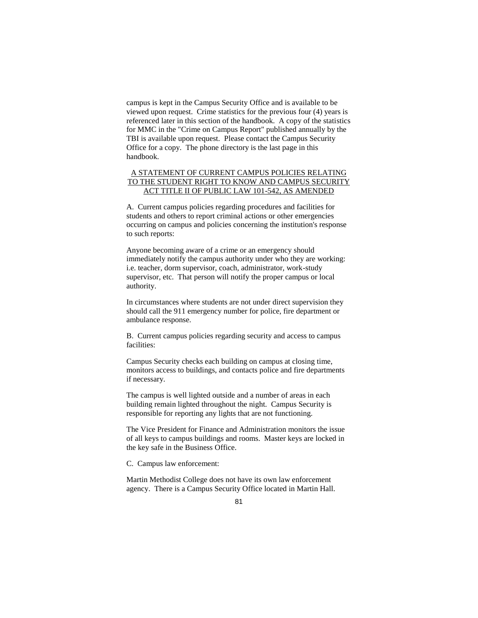campus is kept in the Campus Security Office and is available to be viewed upon request. Crime statistics for the previous four (4) years is referenced later in this section of the handbook. A copy of the statistics for MMC in the "Crime on Campus Report" published annually by the TBI is available upon request. Please contact the Campus Security Office for a copy. The phone directory is the last page in this handbook.

### A STATEMENT OF CURRENT CAMPUS POLICIES RELATING TO THE STUDENT RIGHT TO KNOW AND CAMPUS SECURITY ACT TITLE II OF PUBLIC LAW 101-542, AS AMENDED

A. Current campus policies regarding procedures and facilities for students and others to report criminal actions or other emergencies occurring on campus and policies concerning the institution's response to such reports:

Anyone becoming aware of a crime or an emergency should immediately notify the campus authority under who they are working: i.e. teacher, dorm supervisor, coach, administrator, work-study supervisor, etc. That person will notify the proper campus or local authority.

In circumstances where students are not under direct supervision they should call the 911 emergency number for police, fire department or ambulance response.

B. Current campus policies regarding security and access to campus facilities:

Campus Security checks each building on campus at closing time, monitors access to buildings, and contacts police and fire departments if necessary.

The campus is well lighted outside and a number of areas in each building remain lighted throughout the night. Campus Security is responsible for reporting any lights that are not functioning.

The Vice President for Finance and Administration monitors the issue of all keys to campus buildings and rooms. Master keys are locked in the key safe in the Business Office.

C. Campus law enforcement:

Martin Methodist College does not have its own law enforcement agency. There is a Campus Security Office located in Martin Hall.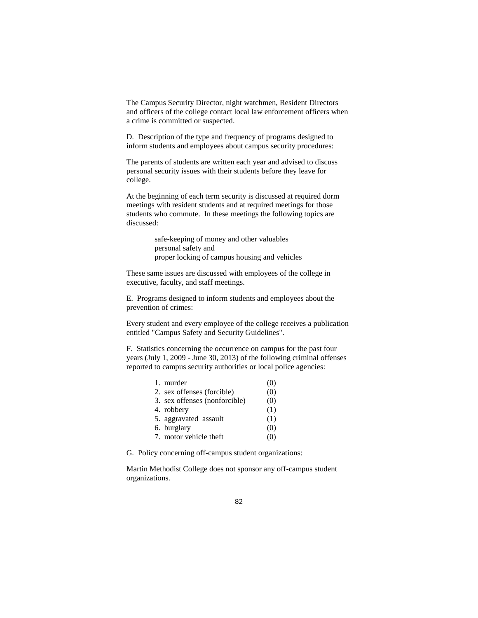The Campus Security Director, night watchmen, Resident Directors and officers of the college contact local law enforcement officers when a crime is committed or suspected.

D. Description of the type and frequency of programs designed to inform students and employees about campus security procedures:

The parents of students are written each year and advised to discuss personal security issues with their students before they leave for college.

At the beginning of each term security is discussed at required dorm meetings with resident students and at required meetings for those students who commute. In these meetings the following topics are discussed:

> safe-keeping of money and other valuables personal safety and proper locking of campus housing and vehicles

These same issues are discussed with employees of the college in executive, faculty, and staff meetings.

E. Programs designed to inform students and employees about the prevention of crimes:

Every student and every employee of the college receives a publication entitled "Campus Safety and Security Guidelines".

F. Statistics concerning the occurrence on campus for the past four years (July 1, 2009 - June 30, 2013) of the following criminal offenses reported to campus security authorities or local police agencies:

| 1. murder                     | (0) |
|-------------------------------|-----|
| 2. sex offenses (forcible)    | (0) |
| 3. sex offenses (nonforcible) | (0) |
| 4. robbery                    | (1) |
| 5. aggravated assault         | (1) |
| 6. burglary                   | (0) |
| 7. motor vehicle theft        | (0) |

G. Policy concerning off-campus student organizations:

Martin Methodist College does not sponsor any off-campus student organizations.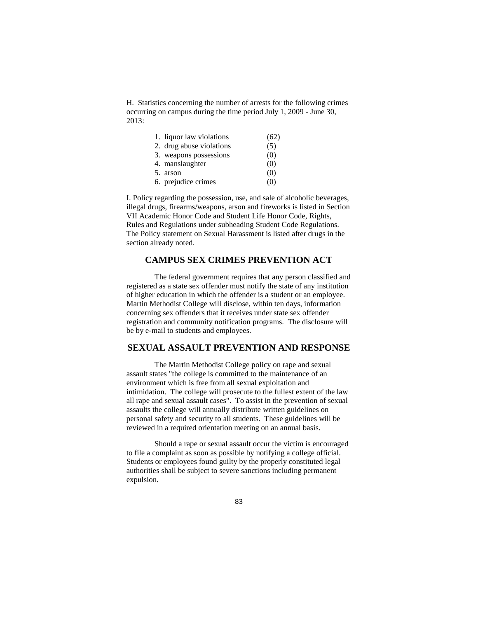H. Statistics concerning the number of arrests for the following crimes occurring on campus during the time period July 1, 2009 - June 30, 2013:

| 1. liquor law violations | (62) |
|--------------------------|------|
| 2. drug abuse violations | (5)  |
| 3. weapons possessions   | (0)  |
| 4. manslaughter          | (0)  |
| 5. arson                 | (0)  |
| 6. prejudice crimes      | (O)  |

I. Policy regarding the possession, use, and sale of alcoholic beverages, illegal drugs, firearms/weapons, arson and fireworks is listed in Section VII Academic Honor Code and Student Life Honor Code, Rights, Rules and Regulations under subheading Student Code Regulations. The Policy statement on Sexual Harassment is listed after drugs in the section already noted.

# **CAMPUS SEX CRIMES PREVENTION ACT**

The federal government requires that any person classified and registered as a state sex offender must notify the state of any institution of higher education in which the offender is a student or an employee. Martin Methodist College will disclose, within ten days, information concerning sex offenders that it receives under state sex offender registration and community notification programs. The disclosure will be by e-mail to students and employees.

### **SEXUAL ASSAULT PREVENTION AND RESPONSE**

The Martin Methodist College policy on rape and sexual assault states "the college is committed to the maintenance of an environment which is free from all sexual exploitation and intimidation. The college will prosecute to the fullest extent of the law all rape and sexual assault cases". To assist in the prevention of sexual assaults the college will annually distribute written guidelines on personal safety and security to all students. These guidelines will be reviewed in a required orientation meeting on an annual basis.

Should a rape or sexual assault occur the victim is encouraged to file a complaint as soon as possible by notifying a college official. Students or employees found guilty by the properly constituted legal authorities shall be subject to severe sanctions including permanent expulsion.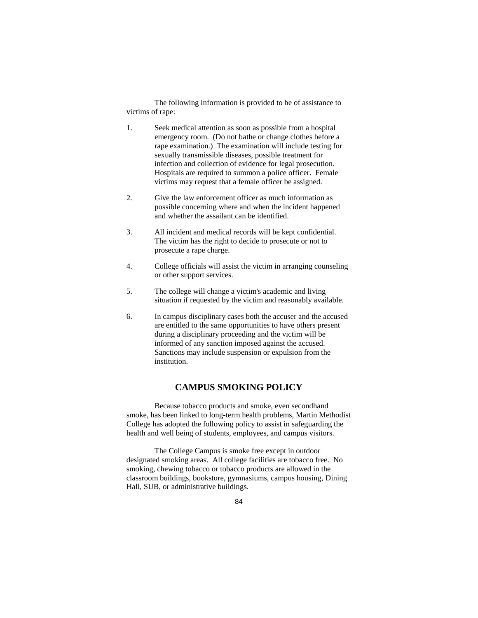The following information is provided to be of assistance to victims of rape:

- 1. Seek medical attention as soon as possible from a hospital emergency room. (Do not bathe or change clothes before a rape examination.) The examination will include testing for sexually transmissible diseases, possible treatment for infection and collection of evidence for legal prosecution. Hospitals are required to summon a police officer. Female victims may request that a female officer be assigned.
- 2. Give the law enforcement officer as much information as possible concerning where and when the incident happened and whether the assailant can be identified.
- 3. All incident and medical records will be kept confidential. The victim has the right to decide to prosecute or not to prosecute a rape charge.
- 4. College officials will assist the victim in arranging counseling or other support services.
- 5. The college will change a victim's academic and living situation if requested by the victim and reasonably available.
- 6. In campus disciplinary cases both the accuser and the accused are entitled to the same opportunities to have others present during a disciplinary proceeding and the victim will be informed of any sanction imposed against the accused. Sanctions may include suspension or expulsion from the institution.

# **CAMPUS SMOKING POLICY**

Because tobacco products and smoke, even secondhand smoke, has been linked to long-term health problems, Martin Methodist College has adopted the following policy to assist in safeguarding the health and well being of students, employees, and campus visitors.

The College Campus is smoke free except in outdoor designated smoking areas. All college facilities are tobacco free. No smoking, chewing tobacco or tobacco products are allowed in the classroom buildings, bookstore, gymnasiums, campus housing, Dining Hall, SUB, or administrative buildings.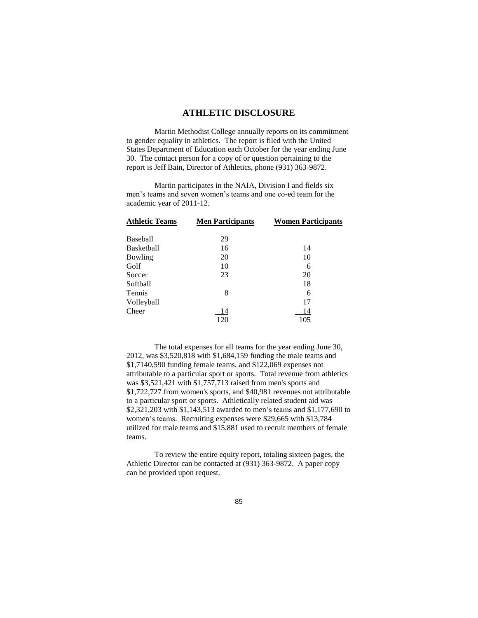### **ATHLETIC DISCLOSURE**

Martin Methodist College annually reports on its commitment to gender equality in athletics. The report is filed with the United States Department of Education each October for the year ending June 30. The contact person for a copy of or question pertaining to the report is Jeff Bain, Director of Athletics, phone (931) 363-9872.

Martin participates in the NAIA, Division I and fields six men's teams and seven women's teams and one co-ed team for the academic year of 2011-12.

| <b>Athletic Teams</b> | <b>Men Participants</b> | <b>Women Participants</b> |
|-----------------------|-------------------------|---------------------------|
| <b>Baseball</b>       | 29                      |                           |
| <b>Basketball</b>     | 16                      | 14                        |
| Bowling               | 20                      | 10                        |
| Golf                  | 10                      | 6                         |
| Soccer                | 23                      | 20                        |
| Softball              |                         | 18                        |
| Tennis                | 8                       | 6                         |
| Volleyball            |                         | 17                        |
| Cheer                 | 14                      | 14                        |
|                       | 120                     | 105                       |

The total expenses for all teams for the year ending June 30, 2012, was \$3,520,818 with \$1,684,159 funding the male teams and \$1,7140,590 funding female teams, and \$122,069 expenses not attributable to a particular sport or sports. Total revenue from athletics was \$3,521,421 with \$1,757,713 raised from men's sports and \$1,722,727 from women's sports, and \$40,981 revenues not attributable to a particular sport or sports. Athletically related student aid was \$2,321,203 with \$1,143,513 awarded to men's teams and \$1,177,690 to women's teams. Recruiting expenses were \$29,665 with \$13,784 utilized for male teams and \$15,881 used to recruit members of female teams.

To review the entire equity report, totaling sixteen pages, the Athletic Director can be contacted at (931) 363-9872. A paper copy can be provided upon request.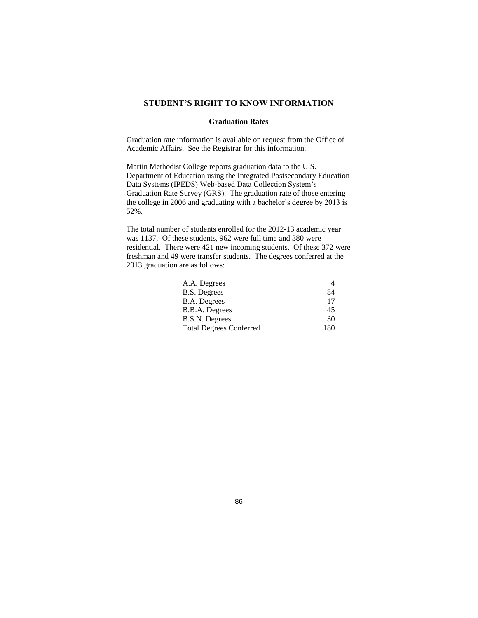### **STUDENT'S RIGHT TO KNOW INFORMATION**

### **Graduation Rates**

Graduation rate information is available on request from the Office of Academic Affairs. See the Registrar for this information.

Martin Methodist College reports graduation data to the U.S. Department of Education using the Integrated Postsecondary Education Data Systems (IPEDS) Web-based Data Collection System's Graduation Rate Survey (GRS). The graduation rate of those entering the college in 2006 and graduating with a bachelor's degree by 2013 is 52%.

The total number of students enrolled for the 2012-13 academic year was 1137. Of these students, 962 were full time and 380 were residential. There were 421 new incoming students. Of these 372 were freshman and 49 were transfer students. The degrees conferred at the 2013 graduation are as follows:

| 84  |
|-----|
| 17  |
| 45  |
| 30  |
| 180 |
|     |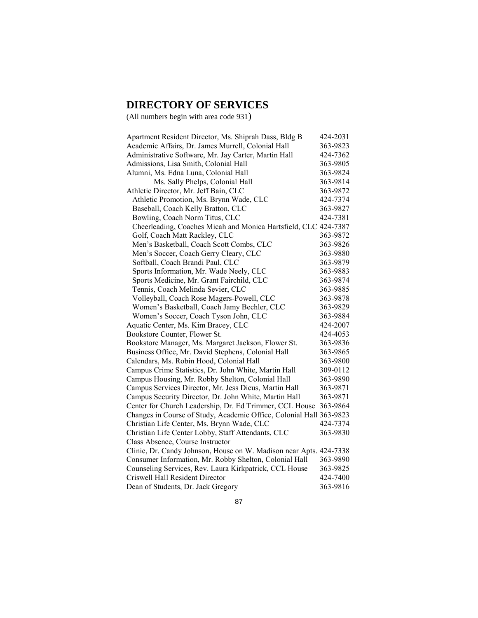# **DIRECTORY OF SERVICES**

(All numbers begin with area code 931)

| Apartment Resident Director, Ms. Shiprah Dass, Bldg B               | 424-2031 |
|---------------------------------------------------------------------|----------|
| Academic Affairs, Dr. James Murrell, Colonial Hall                  | 363-9823 |
| Administrative Software, Mr. Jay Carter, Martin Hall                | 424-7362 |
| Admissions, Lisa Smith, Colonial Hall                               | 363-9805 |
| Alumni, Ms. Edna Luna, Colonial Hall                                | 363-9824 |
| Ms. Sally Phelps, Colonial Hall                                     | 363-9814 |
| Athletic Director, Mr. Jeff Bain, CLC                               | 363-9872 |
| Athletic Promotion, Ms. Brynn Wade, CLC                             | 424-7374 |
| Baseball, Coach Kelly Bratton, CLC                                  | 363-9827 |
| Bowling, Coach Norm Titus, CLC                                      | 424-7381 |
| Cheerleading, Coaches Micah and Monica Hartsfield, CLC 424-7387     |          |
| Golf, Coach Matt Rackley, CLC                                       | 363-9872 |
| Men's Basketball, Coach Scott Combs, CLC                            | 363-9826 |
| Men's Soccer, Coach Gerry Cleary, CLC                               | 363-9880 |
| Softball, Coach Brandi Paul, CLC                                    | 363-9879 |
| Sports Information, Mr. Wade Neely, CLC                             | 363-9883 |
| Sports Medicine, Mr. Grant Fairchild, CLC                           | 363-9874 |
| Tennis, Coach Melinda Sevier, CLC                                   | 363-9885 |
| Volleyball, Coach Rose Magers-Powell, CLC                           | 363-9878 |
| Women's Basketball, Coach Jamy Bechler, CLC                         | 363-9829 |
| Women's Soccer, Coach Tyson John, CLC                               | 363-9884 |
| Aquatic Center, Ms. Kim Bracey, CLC                                 | 424-2007 |
| Bookstore Counter, Flower St.                                       | 424-4053 |
| Bookstore Manager, Ms. Margaret Jackson, Flower St.                 | 363-9836 |
| Business Office, Mr. David Stephens, Colonial Hall                  | 363-9865 |
| Calendars, Ms. Robin Hood, Colonial Hall                            | 363-9800 |
| Campus Crime Statistics, Dr. John White, Martin Hall                | 309-0112 |
| Campus Housing, Mr. Robby Shelton, Colonial Hall                    | 363-9890 |
| Campus Services Director, Mr. Jess Dicus, Martin Hall               | 363-9871 |
| Campus Security Director, Dr. John White, Martin Hall               | 363-9871 |
| Center for Church Leadership, Dr. Ed Trimmer, CCL House             | 363-9864 |
| Changes in Course of Study, Academic Office, Colonial Hall 363-9823 |          |
| Christian Life Center, Ms. Brynn Wade, CLC                          | 424-7374 |
| Christian Life Center Lobby, Staff Attendants, CLC                  | 363-9830 |
| Class Absence, Course Instructor                                    |          |
| Clinic, Dr. Candy Johnson, House on W. Madison near Apts. 424-7338  |          |
| Consumer Information, Mr. Robby Shelton, Colonial Hall              | 363-9890 |
| Counseling Services, Rev. Laura Kirkpatrick, CCL House              | 363-9825 |
| Criswell Hall Resident Director                                     | 424-7400 |
| Dean of Students, Dr. Jack Gregory                                  | 363-9816 |